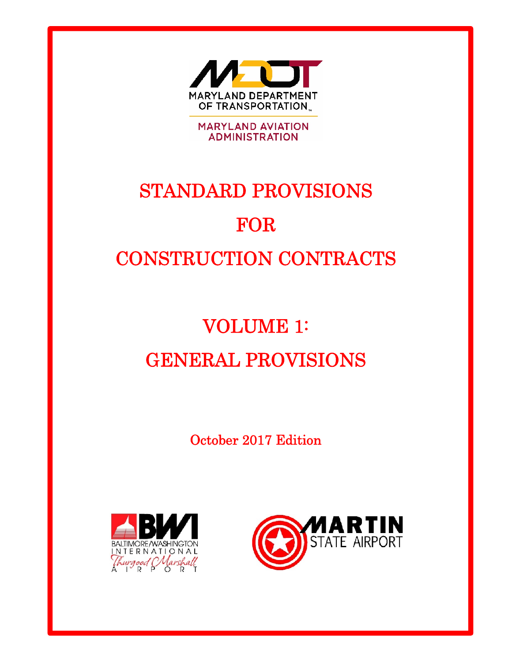

**MARYLAND AVIATION ADMINISTRATION** 

# STANDARD PROVISIONS FOR CONSTRUCTION CONTRACTS

# VOLUME 1: GENERAL PROVISIONS

October 2017 Edition



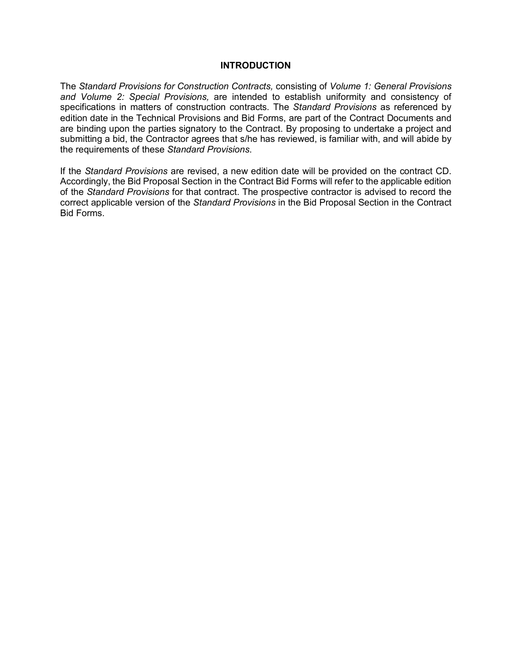#### **INTRODUCTION**

The *Standard Provisions for Construction Contracts,* consisting of *Volume 1: General Provisions and Volume 2: Special Provisions,* are intended to establish uniformity and consistency of specifications in matters of construction contracts. The *Standard Provisions* as referenced by edition date in the Technical Provisions and Bid Forms, are part of the Contract Documents and are binding upon the parties signatory to the Contract. By proposing to undertake a project and submitting a bid, the Contractor agrees that s/he has reviewed, is familiar with, and will abide by the requirements of these *Standard Provisions*.

If the *Standard Provisions* are revised, a new edition date will be provided on the contract CD. Accordingly, the Bid Proposal Section in the Contract Bid Forms will refer to the applicable edition of the *Standard Provisions* for that contract. The prospective contractor is advised to record the correct applicable version of the *Standard Provisions* in the Bid Proposal Section in the Contract Bid Forms.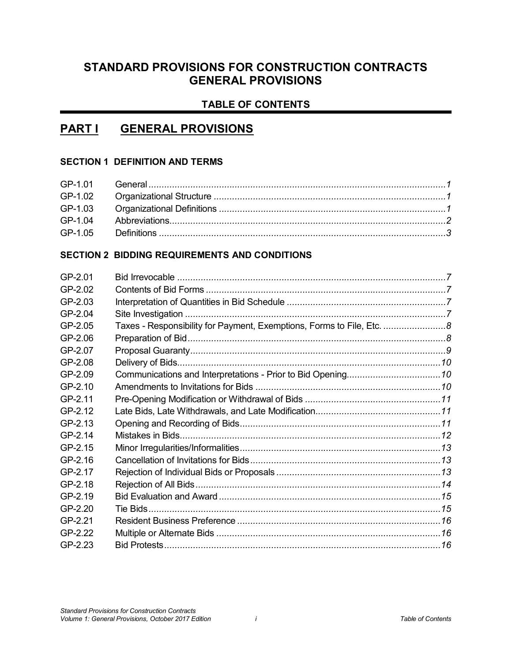#### **STANDARD PROVISIONS FOR CONSTRUCTION CONTRACTS GENERAL PROVISIONS**

#### **TABLE OF CONTENTS**

## **PART I GENERAL PROVISIONS**

#### **SECTION 1 DEFINITION AND TERMS**

#### **SECTION 2 BIDDING REQUIREMENTS AND CONDITIONS**

| GP-2.01   |  |
|-----------|--|
| GP-2.02   |  |
| GP-2.03   |  |
| GP-2.04   |  |
| GP-2.05   |  |
| GP-2.06   |  |
| GP-2.07   |  |
| $GP-2.08$ |  |
| $GP-2.09$ |  |
| $GP-210$  |  |
| GP-2.11   |  |
| GP-2.12   |  |
| GP-2.13   |  |
| GP-2.14   |  |
| GP-2.15   |  |
| GP-2.16   |  |
| GP-2.17   |  |
| GP-2.18   |  |
| GP-2.19   |  |
| GP-2.20   |  |
| GP-2.21   |  |
| GP-2.22   |  |
| GP-2.23   |  |
|           |  |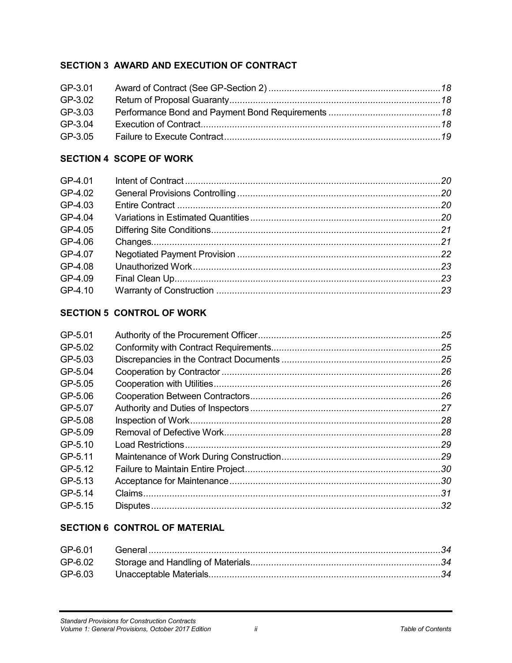#### **SECTION 3 AWARD AND EXECUTION OF CONTRACT**

| GP-3.01 |  |
|---------|--|
| GP-3.02 |  |
| GP-3.03 |  |
| GP-3.04 |  |
| GP-3.05 |  |
|         |  |

#### **SECTION 4 SCOPE OF WORK**

| GP-4.01 |  |
|---------|--|
| GP-4.02 |  |
| GP-4.03 |  |
| GP-4.04 |  |
| GP-4.05 |  |
| GP-4.06 |  |
| GP-4.07 |  |
| GP-4.08 |  |
| GP-4.09 |  |
| GP-4.10 |  |
|         |  |

#### **SECTION 5 CONTROL OF WORK**

| GP-5.01   | 25  |
|-----------|-----|
| GP-5.02   |     |
| GP-5.03   |     |
| $GP-5.04$ |     |
| GP-5.05   | .26 |
| GP-5.06   |     |
| GP-5.07   |     |
| GP-5.08   |     |
| $GP-5.09$ |     |
| $GP-5.10$ | .29 |
| $GP-5.11$ |     |
| GP-5.12   |     |
| GP-5.13   |     |
| $GP-5.14$ | 31  |
| GP-5.15   | 32  |
|           |     |

#### **SECTION 6 CONTROL OF MATERIAL**

| GP-6.03 |  |
|---------|--|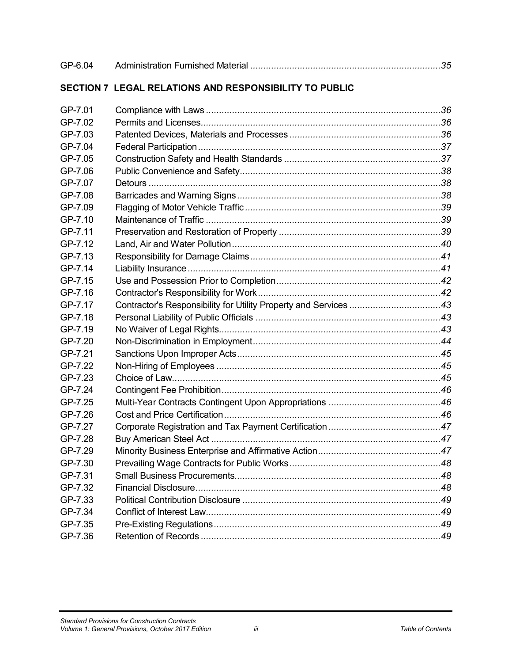| GP-6.04 |                                                                  |  |
|---------|------------------------------------------------------------------|--|
|         | <b>SECTION 7 LEGAL RELATIONS AND RESPONSIBILITY TO PUBLIC</b>    |  |
| GP-7.01 |                                                                  |  |
| GP-7.02 |                                                                  |  |
| GP-7.03 |                                                                  |  |
| GP-7.04 |                                                                  |  |
| GP-7.05 |                                                                  |  |
| GP-7.06 |                                                                  |  |
| GP-7.07 |                                                                  |  |
| GP-7.08 |                                                                  |  |
| GP-7.09 |                                                                  |  |
| GP-7.10 |                                                                  |  |
| GP-7.11 |                                                                  |  |
| GP-7.12 |                                                                  |  |
| GP-7.13 |                                                                  |  |
| GP-7.14 |                                                                  |  |
| GP-7.15 |                                                                  |  |
| GP-7.16 |                                                                  |  |
| GP-7.17 | Contractor's Responsibility for Utility Property and Services 43 |  |
| GP-7.18 |                                                                  |  |
| GP-7.19 |                                                                  |  |
| GP-7.20 |                                                                  |  |
| GP-7.21 |                                                                  |  |
| GP-7.22 |                                                                  |  |
| GP-7.23 |                                                                  |  |
| GP-7.24 |                                                                  |  |
| GP-7.25 |                                                                  |  |
| GP-7.26 |                                                                  |  |
| GP-7.27 |                                                                  |  |
| GP-7.28 |                                                                  |  |
| GP-7.29 |                                                                  |  |
| GP-7.30 |                                                                  |  |
| GP-7.31 |                                                                  |  |
| GP-7.32 |                                                                  |  |
| GP-7.33 |                                                                  |  |
| GP-7.34 |                                                                  |  |
| GP-7.35 |                                                                  |  |
| GP-7.36 |                                                                  |  |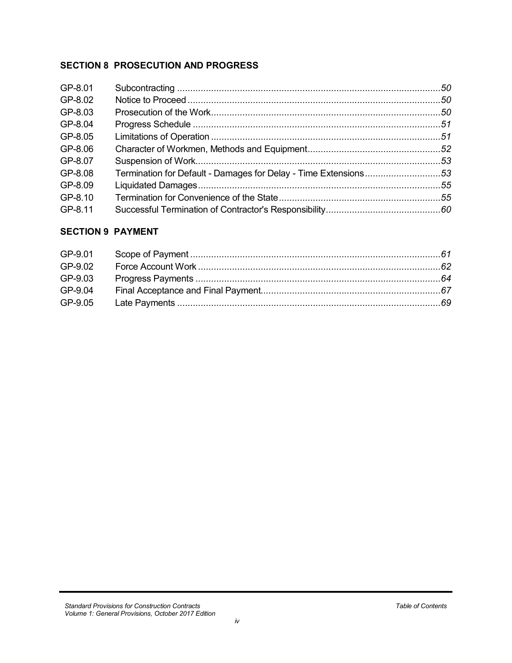#### **SECTION 8 PROSECUTION AND PROGRESS**

| GP-8.01 |                                                                 |  |
|---------|-----------------------------------------------------------------|--|
| GP-8.02 |                                                                 |  |
| GP-8.03 |                                                                 |  |
| GP-8.04 |                                                                 |  |
| GP-8.05 |                                                                 |  |
| GP-8.06 |                                                                 |  |
| GP-8.07 |                                                                 |  |
| GP-8.08 | Termination for Default - Damages for Delay - Time Extensions53 |  |
| GP-8.09 |                                                                 |  |
| GP-8.10 |                                                                 |  |
| GP-8.11 |                                                                 |  |

#### **SECTION 9 PAYMENT**

| GP-9.02 |  |
|---------|--|
| GP-9.03 |  |
| GP-9.04 |  |
|         |  |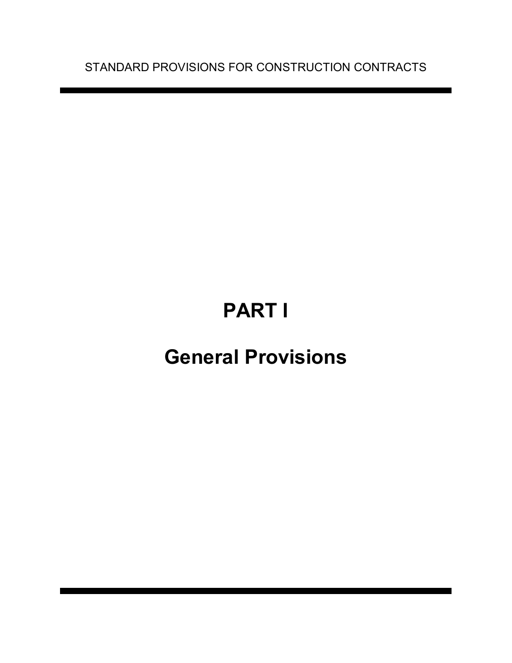STANDARD PROVISIONS FOR CONSTRUCTION CONTRACTS

# **PART I**

# **General Provisions**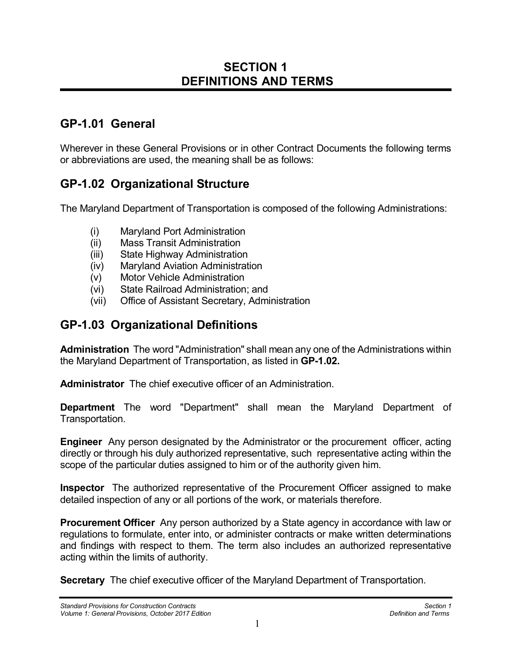#### **SECTION 1 DEFINITIONS AND TERMS**

#### <span id="page-7-0"></span>**GP-1.01 General**

Wherever in these General Provisions or in other Contract Documents the following terms or abbreviations are used, the meaning shall be as follows:

## <span id="page-7-1"></span>**GP-1.02 Organizational Structure**

The Maryland Department of Transportation is composed of the following Administrations:

- (i) Maryland Port Administration
- (ii) Mass Transit Administration
- (iii) State Highway Administration
- (iv) Maryland Aviation Administration
- (v) Motor Vehicle Administration
- (vi) State Railroad Administration; and
- (vii) Office of Assistant Secretary, Administration

#### <span id="page-7-2"></span>**GP-1.03 Organizational Definitions**

**Administration** The word "Administration" shall mean any one of the Administrations within the Maryland Department of Transportation, as listed in **GP-1.02.**

**Administrator** The chief executive officer of an Administration.

**Department** The word "Department" shall mean the Maryland Department of Transportation.

**Engineer** Any person designated by the Administrator or the procurement officer, acting directly or through his duly authorized representative, such representative acting within the scope of the particular duties assigned to him or of the authority given him.

**Inspector** The authorized representative of the Procurement Officer assigned to make detailed inspection of any or all portions of the work, or materials therefore.

**Procurement Officer** Any person authorized by a State agency in accordance with law or regulations to formulate, enter into, or administer contracts or make written determinations and findings with respect to them. The term also includes an authorized representative acting within the limits of authority.

**Secretary** The chief executive officer of the Maryland Department of Transportation.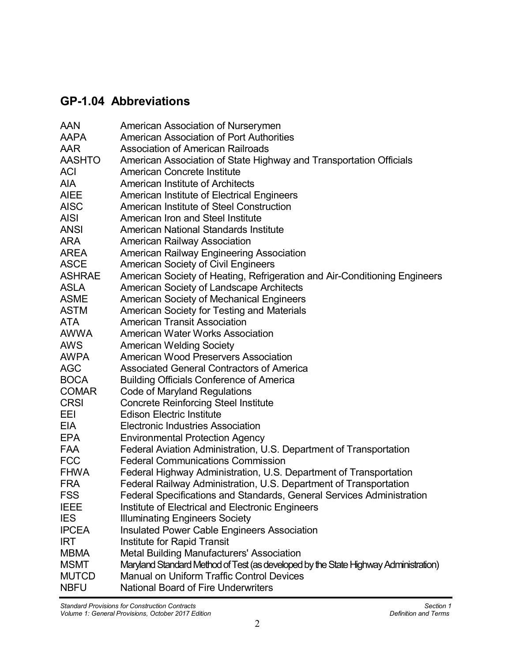## <span id="page-8-0"></span>**GP-1.04 Abbreviations**

| <b>AAN</b>    | American Association of Nurserymen                                                  |
|---------------|-------------------------------------------------------------------------------------|
| <b>AAPA</b>   | <b>American Association of Port Authorities</b>                                     |
| AAR           | <b>Association of American Railroads</b>                                            |
| <b>AASHTO</b> | American Association of State Highway and Transportation Officials                  |
| <b>ACI</b>    | American Concrete Institute                                                         |
| <b>AIA</b>    | <b>American Institute of Architects</b>                                             |
| <b>AIEE</b>   | American Institute of Electrical Engineers                                          |
| <b>AISC</b>   | American Institute of Steel Construction                                            |
| <b>AISI</b>   | American Iron and Steel Institute                                                   |
| <b>ANSI</b>   | American National Standards Institute                                               |
| <b>ARA</b>    | <b>American Railway Association</b>                                                 |
| <b>AREA</b>   | American Railway Engineering Association                                            |
| <b>ASCE</b>   | <b>American Society of Civil Engineers</b>                                          |
| <b>ASHRAE</b> | American Society of Heating, Refrigeration and Air-Conditioning Engineers           |
| <b>ASLA</b>   | American Society of Landscape Architects                                            |
| <b>ASME</b>   | <b>American Society of Mechanical Engineers</b>                                     |
| <b>ASTM</b>   | American Society for Testing and Materials                                          |
| <b>ATA</b>    | <b>American Transit Association</b>                                                 |
| <b>AWWA</b>   | American Water Works Association                                                    |
| <b>AWS</b>    | <b>American Welding Society</b>                                                     |
| <b>AWPA</b>   | <b>American Wood Preservers Association</b>                                         |
| <b>AGC</b>    | <b>Associated General Contractors of America</b>                                    |
| <b>BOCA</b>   | <b>Building Officials Conference of America</b>                                     |
| <b>COMAR</b>  | Code of Maryland Regulations                                                        |
| <b>CRSI</b>   |                                                                                     |
|               | <b>Concrete Reinforcing Steel Institute</b>                                         |
| EEI           | <b>Edison Electric Institute</b>                                                    |
| <b>EIA</b>    | Electronic Industries Association                                                   |
| <b>EPA</b>    | <b>Environmental Protection Agency</b>                                              |
| FAA           | Federal Aviation Administration, U.S. Department of Transportation                  |
| <b>FCC</b>    | <b>Federal Communications Commission</b>                                            |
| <b>FHWA</b>   | Federal Highway Administration, U.S. Department of Transportation                   |
| <b>FRA</b>    | Federal Railway Administration, U.S. Department of Transportation                   |
| <b>FSS</b>    | Federal Specifications and Standards, General Services Administration               |
| <b>IEEE</b>   | Institute of Electrical and Electronic Engineers                                    |
| <b>IES</b>    | <b>Illuminating Engineers Society</b>                                               |
| <b>IPCEA</b>  | <b>Insulated Power Cable Engineers Association</b>                                  |
| <b>IRT</b>    | Institute for Rapid Transit                                                         |
| <b>MBMA</b>   | <b>Metal Building Manufacturers' Association</b>                                    |
| <b>MSMT</b>   | Maryland Standard Method of Test (as developed by the State Highway Administration) |
| <b>MUTCD</b>  | <b>Manual on Uniform Traffic Control Devices</b>                                    |
| <b>NBFU</b>   | <b>National Board of Fire Underwriters</b>                                          |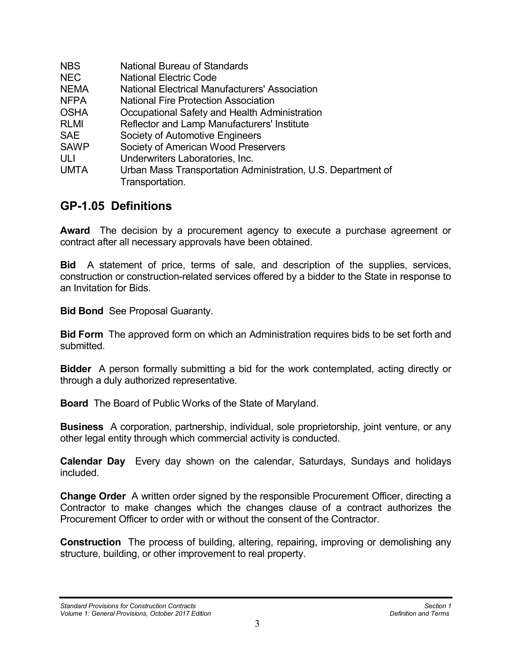| <b>NBS</b>  | <b>National Bureau of Standards</b>                          |
|-------------|--------------------------------------------------------------|
| <b>NEC</b>  | <b>National Electric Code</b>                                |
| <b>NEMA</b> | National Electrical Manufacturers' Association               |
| <b>NFPA</b> | <b>National Fire Protection Association</b>                  |
| <b>OSHA</b> | Occupational Safety and Health Administration                |
| <b>RLMI</b> | Reflector and Lamp Manufacturers' Institute                  |
| <b>SAE</b>  | Society of Automotive Engineers                              |
| <b>SAWP</b> | Society of American Wood Preservers                          |
| ULI         | Underwriters Laboratories, Inc.                              |
| <b>UMTA</b> | Urban Mass Transportation Administration, U.S. Department of |
|             | Transportation.                                              |

#### <span id="page-9-0"></span>**GP-1.05 Definitions**

**Award** The decision by a procurement agency to execute a purchase agreement or contract after all necessary approvals have been obtained.

**Bid** A statement of price, terms of sale, and description of the supplies, services, construction or construction-related services offered by a bidder to the State in response to an Invitation for Bids.

**Bid Bond** See Proposal Guaranty.

**Bid Form** The approved form on which an Administration requires bids to be set forth and submitted.

**Bidder** A person formally submitting a bid for the work contemplated, acting directly or through a duly authorized representative.

**Board** The Board of Public Works of the State of Maryland.

**Business** A corporation, partnership, individual, sole proprietorship, joint venture, or any other legal entity through which commercial activity is conducted.

**Calendar Day** Every day shown on the calendar, Saturdays, Sundays and holidays included.

**Change Order** A written order signed by the responsible Procurement Officer, directing a Contractor to make changes which the changes clause of a contract authorizes the Procurement Officer to order with or without the consent of the Contractor.

**Construction** The process of building, altering, repairing, improving or demolishing any structure, building, or other improvement to real property.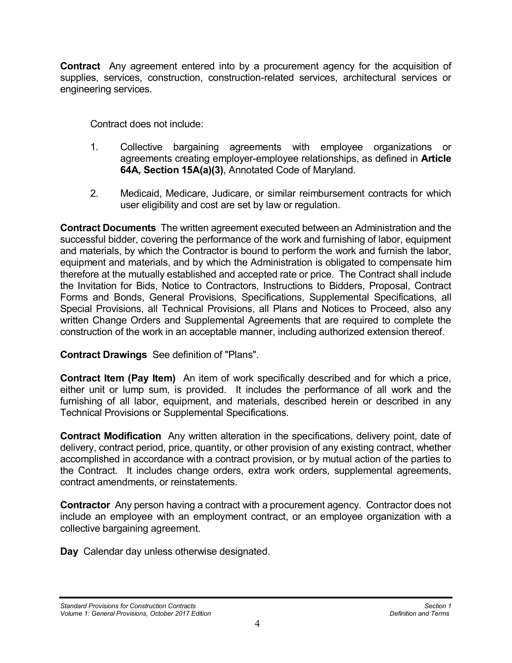**Contract** Any agreement entered into by a procurement agency for the acquisition of supplies, services, construction, construction-related services, architectural services or engineering services.

Contract does not include:

- 1. Collective bargaining agreements with employee organizations or agreements creating employer-employee relationships, as defined in **Article 64A, Section 15A(a)(3)**, Annotated Code of Maryland.
- 2. Medicaid, Medicare, Judicare, or similar reimbursement contracts for which user eligibility and cost are set by law or regulation.

**Contract Documents** The written agreement executed between an Administration and the successful bidder, covering the performance of the work and furnishing of labor, equipment and materials, by which the Contractor is bound to perform the work and furnish the labor, equipment and materials, and by which the Administration is obligated to compensate him therefore at the mutually established and accepted rate or price. The Contract shall include the Invitation for Bids, Notice to Contractors, Instructions to Bidders, Proposal, Contract Forms and Bonds, General Provisions, Specifications, Supplemental Specifications, all Special Provisions, all Technical Provisions, all Plans and Notices to Proceed, also any written Change Orders and Supplemental Agreements that are required to complete the construction of the work in an acceptable manner, including authorized extension thereof.

#### **Contract Drawings** See definition of "Plans".

**Contract Item (Pay Item)** An item of work specifically described and for which a price, either unit or lump sum, is provided. It includes the performance of all work and the furnishing of all labor, equipment, and materials, described herein or described in any Technical Provisions or Supplemental Specifications.

**Contract Modification** Any written alteration in the specifications, delivery point, date of delivery, contract period, price, quantity, or other provision of any existing contract, whether accomplished in accordance with a contract provision, or by mutual action of the parties to the Contract. It includes change orders, extra work orders, supplemental agreements, contract amendments, or reinstatements.

**Contractor** Any person having a contract with a procurement agency. Contractor does not include an employee with an employment contract, or an employee organization with a collective bargaining agreement.

**Day** Calendar day unless otherwise designated.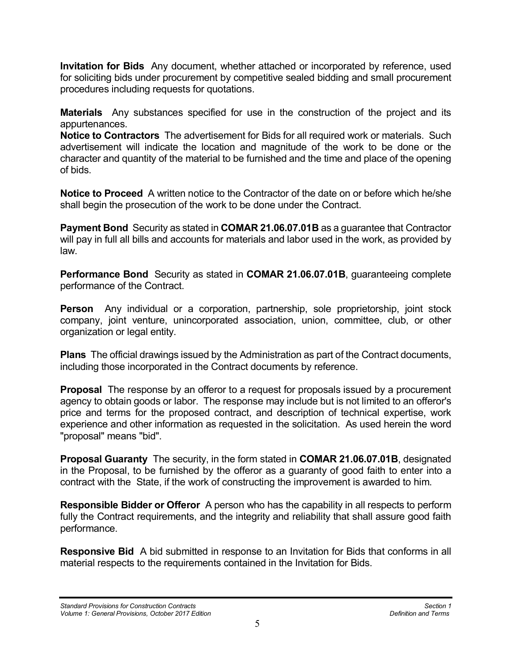**Invitation for Bids** Any document, whether attached or incorporated by reference, used for soliciting bids under procurement by competitive sealed bidding and small procurement procedures including requests for quotations.

**Materials** Any substances specified for use in the construction of the project and its appurtenances.

**Notice to Contractors** The advertisement for Bids for all required work or materials. Such advertisement will indicate the location and magnitude of the work to be done or the character and quantity of the material to be furnished and the time and place of the opening of bids.

**Notice to Proceed** A written notice to the Contractor of the date on or before which he/she shall begin the prosecution of the work to be done under the Contract.

**Payment Bond** Security as stated in **COMAR 21.06.07.01B** as a guarantee that Contractor will pay in full all bills and accounts for materials and labor used in the work, as provided by law.

**Performance Bond** Security as stated in **COMAR 21.06.07.01B**, guaranteeing complete performance of the Contract.

**Person** Any individual or a corporation, partnership, sole proprietorship, joint stock company, joint venture, unincorporated association, union, committee, club, or other organization or legal entity.

**Plans** The official drawings issued by the Administration as part of the Contract documents, including those incorporated in the Contract documents by reference.

**Proposal** The response by an offeror to a request for proposals issued by a procurement agency to obtain goods or labor. The response may include but is not limited to an offeror's price and terms for the proposed contract, and description of technical expertise, work experience and other information as requested in the solicitation. As used herein the word "proposal" means "bid".

**Proposal Guaranty** The security, in the form stated in **COMAR 21.06.07.01B**, designated in the Proposal, to be furnished by the offeror as a guaranty of good faith to enter into a contract with the State, if the work of constructing the improvement is awarded to him.

**Responsible Bidder or Offeror** A person who has the capability in all respects to perform fully the Contract requirements, and the integrity and reliability that shall assure good faith performance.

**Responsive Bid** A bid submitted in response to an Invitation for Bids that conforms in all material respects to the requirements contained in the Invitation for Bids.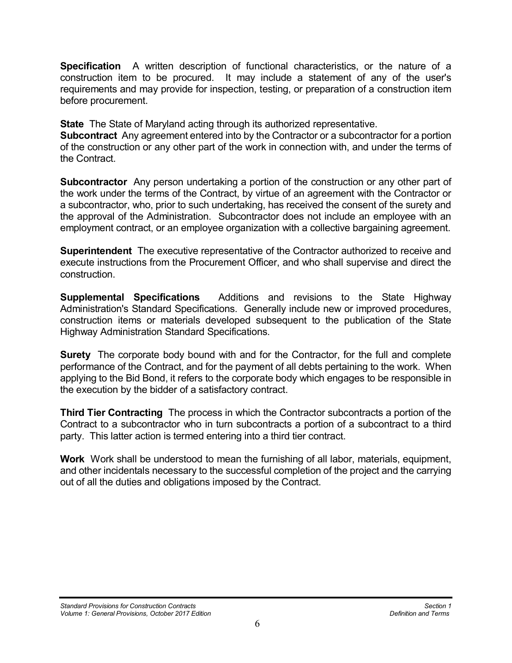**Specification** A written description of functional characteristics, or the nature of a construction item to be procured. It may include a statement of any of the user's requirements and may provide for inspection, testing, or preparation of a construction item before procurement.

**State** The State of Maryland acting through its authorized representative.

**Subcontract** Any agreement entered into by the Contractor or a subcontractor for a portion of the construction or any other part of the work in connection with, and under the terms of the Contract.

**Subcontractor** Any person undertaking a portion of the construction or any other part of the work under the terms of the Contract, by virtue of an agreement with the Contractor or a subcontractor, who, prior to such undertaking, has received the consent of the surety and the approval of the Administration. Subcontractor does not include an employee with an employment contract, or an employee organization with a collective bargaining agreement.

**Superintendent** The executive representative of the Contractor authorized to receive and execute instructions from the Procurement Officer, and who shall supervise and direct the construction.

**Supplemental Specifications** Additions and revisions to the State Highway Administration's Standard Specifications. Generally include new or improved procedures, construction items or materials developed subsequent to the publication of the State Highway Administration Standard Specifications.

**Surety** The corporate body bound with and for the Contractor, for the full and complete performance of the Contract, and for the payment of all debts pertaining to the work. When applying to the Bid Bond, it refers to the corporate body which engages to be responsible in the execution by the bidder of a satisfactory contract.

**Third Tier Contracting** The process in which the Contractor subcontracts a portion of the Contract to a subcontractor who in turn subcontracts a portion of a subcontract to a third party. This latter action is termed entering into a third tier contract.

**Work** Work shall be understood to mean the furnishing of all labor, materials, equipment, and other incidentals necessary to the successful completion of the project and the carrying out of all the duties and obligations imposed by the Contract.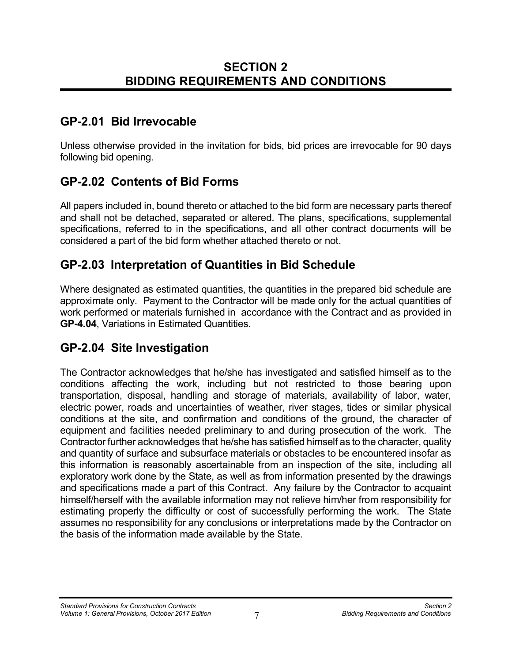## **SECTION 2 BIDDING REQUIREMENTS AND CONDITIONS**

## <span id="page-13-0"></span>**GP-2.01 Bid Irrevocable**

Unless otherwise provided in the invitation for bids, bid prices are irrevocable for 90 days following bid opening.

#### <span id="page-13-1"></span>**GP-2.02 Contents of Bid Forms**

All papers included in, bound thereto or attached to the bid form are necessary parts thereof and shall not be detached, separated or altered. The plans, specifications, supplemental specifications, referred to in the specifications, and all other contract documents will be considered a part of the bid form whether attached thereto or not.

#### <span id="page-13-2"></span>**GP-2.03 Interpretation of Quantities in Bid Schedule**

Where designated as estimated quantities, the quantities in the prepared bid schedule are approximate only. Payment to the Contractor will be made only for the actual quantities of work performed or materials furnished in accordance with the Contract and as provided in **GP-4.04**, Variations in Estimated Quantities.

#### <span id="page-13-3"></span>**GP-2.04 Site Investigation**

The Contractor acknowledges that he/she has investigated and satisfied himself as to the conditions affecting the work, including but not restricted to those bearing upon transportation, disposal, handling and storage of materials, availability of labor, water, electric power, roads and uncertainties of weather, river stages, tides or similar physical conditions at the site, and confirmation and conditions of the ground, the character of equipment and facilities needed preliminary to and during prosecution of the work. The Contractor further acknowledges that he/she has satisfied himself as to the character, quality and quantity of surface and subsurface materials or obstacles to be encountered insofar as this information is reasonably ascertainable from an inspection of the site, including all exploratory work done by the State, as well as from information presented by the drawings and specifications made a part of this Contract. Any failure by the Contractor to acquaint himself/herself with the available information may not relieve him/her from responsibility for estimating properly the difficulty or cost of successfully performing the work. The State assumes no responsibility for any conclusions or interpretations made by the Contractor on the basis of the information made available by the State.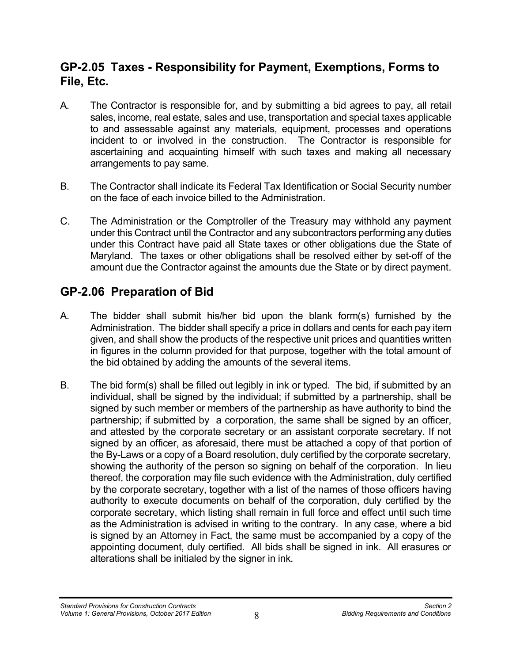#### <span id="page-14-0"></span>**GP-2.05 Taxes - Responsibility for Payment, Exemptions, Forms to File, Etc.**

- A. The Contractor is responsible for, and by submitting a bid agrees to pay, all retail sales, income, real estate, sales and use, transportation and special taxes applicable to and assessable against any materials, equipment, processes and operations incident to or involved in the construction. The Contractor is responsible for ascertaining and acquainting himself with such taxes and making all necessary arrangements to pay same.
- B. The Contractor shall indicate its Federal Tax Identification or Social Security number on the face of each invoice billed to the Administration.
- C. The Administration or the Comptroller of the Treasury may withhold any payment under this Contract until the Contractor and any subcontractors performing any duties under this Contract have paid all State taxes or other obligations due the State of Maryland. The taxes or other obligations shall be resolved either by set-off of the amount due the Contractor against the amounts due the State or by direct payment.

## <span id="page-14-1"></span>**GP-2.06 Preparation of Bid**

- A. The bidder shall submit his/her bid upon the blank form(s) furnished by the Administration. The bidder shall specify a price in dollars and cents for each pay item given, and shall show the products of the respective unit prices and quantities written in figures in the column provided for that purpose, together with the total amount of the bid obtained by adding the amounts of the several items.
- B. The bid form(s) shall be filled out legibly in ink or typed. The bid, if submitted by an individual, shall be signed by the individual; if submitted by a partnership, shall be signed by such member or members of the partnership as have authority to bind the partnership; if submitted by a corporation, the same shall be signed by an officer, and attested by the corporate secretary or an assistant corporate secretary. If not signed by an officer, as aforesaid, there must be attached a copy of that portion of the By-Laws or a copy of a Board resolution, duly certified by the corporate secretary, showing the authority of the person so signing on behalf of the corporation. In lieu thereof, the corporation may file such evidence with the Administration, duly certified by the corporate secretary, together with a list of the names of those officers having authority to execute documents on behalf of the corporation, duly certified by the corporate secretary, which listing shall remain in full force and effect until such time as the Administration is advised in writing to the contrary. In any case, where a bid is signed by an Attorney in Fact, the same must be accompanied by a copy of the appointing document, duly certified. All bids shall be signed in ink. All erasures or alterations shall be initialed by the signer in ink.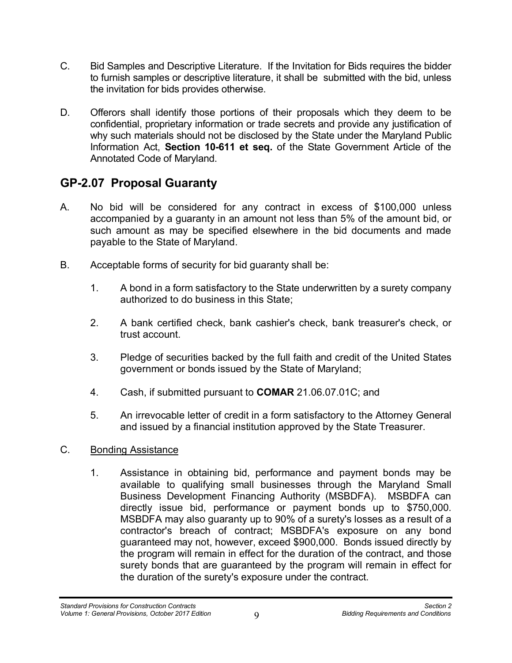- C. Bid Samples and Descriptive Literature. If the Invitation for Bids requires the bidder to furnish samples or descriptive literature, it shall be submitted with the bid, unless the invitation for bids provides otherwise.
- D. Offerors shall identify those portions of their proposals which they deem to be confidential, proprietary information or trade secrets and provide any justification of why such materials should not be disclosed by the State under the Maryland Public Information Act, **Section 10-611 et seq.** of the State Government Article of the Annotated Code of Maryland.

## <span id="page-15-0"></span>**GP-2.07 Proposal Guaranty**

- A. No bid will be considered for any contract in excess of \$100,000 unless accompanied by a guaranty in an amount not less than 5% of the amount bid, or such amount as may be specified elsewhere in the bid documents and made payable to the State of Maryland.
- B. Acceptable forms of security for bid guaranty shall be:
	- 1. A bond in a form satisfactory to the State underwritten by a surety company authorized to do business in this State;
	- 2. A bank certified check, bank cashier's check, bank treasurer's check, or trust account.
	- 3. Pledge of securities backed by the full faith and credit of the United States government or bonds issued by the State of Maryland;
	- 4. Cash, if submitted pursuant to **COMAR** 21.06.07.01C; and
	- 5. An irrevocable letter of credit in a form satisfactory to the Attorney General and issued by a financial institution approved by the State Treasurer.

#### C. Bonding Assistance

1. Assistance in obtaining bid, performance and payment bonds may be available to qualifying small businesses through the Maryland Small Business Development Financing Authority (MSBDFA). MSBDFA can directly issue bid, performance or payment bonds up to \$750,000. MSBDFA may also guaranty up to 90% of a surety's losses as a result of a contractor's breach of contract; MSBDFA's exposure on any bond guaranteed may not, however, exceed \$900,000. Bonds issued directly by the program will remain in effect for the duration of the contract, and those surety bonds that are guaranteed by the program will remain in effect for the duration of the surety's exposure under the contract.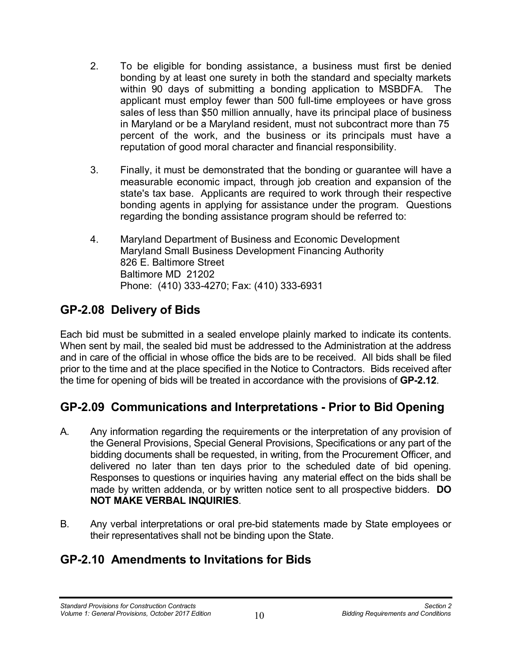- 2. To be eligible for bonding assistance, a business must first be denied bonding by at least one surety in both the standard and specialty markets within 90 days of submitting a bonding application to MSBDFA. The applicant must employ fewer than 500 full-time employees or have gross sales of less than \$50 million annually, have its principal place of business in Maryland or be a Maryland resident, must not subcontract more than 75 percent of the work, and the business or its principals must have a reputation of good moral character and financial responsibility.
- 3. Finally, it must be demonstrated that the bonding or guarantee will have a measurable economic impact, through job creation and expansion of the state's tax base. Applicants are required to work through their respective bonding agents in applying for assistance under the program. Questions regarding the bonding assistance program should be referred to:
- 4. Maryland Department of Business and Economic Development Maryland Small Business Development Financing Authority 826 E. Baltimore Street Baltimore MD 21202 Phone: (410) 333-4270; Fax: (410) 333-6931

# <span id="page-16-0"></span>**GP-2.08 Delivery of Bids**

Each bid must be submitted in a sealed envelope plainly marked to indicate its contents. When sent by mail, the sealed bid must be addressed to the Administration at the address and in care of the official in whose office the bids are to be received. All bids shall be filed prior to the time and at the place specified in the Notice to Contractors. Bids received after the time for opening of bids will be treated in accordance with the provisions of **GP-2.12**.

# <span id="page-16-1"></span>**GP-2.09 Communications and Interpretations - Prior to Bid Opening**

- A. Any information regarding the requirements or the interpretation of any provision of the General Provisions, Special General Provisions, Specifications or any part of the bidding documents shall be requested, in writing, from the Procurement Officer, and delivered no later than ten days prior to the scheduled date of bid opening. Responses to questions or inquiries having any material effect on the bids shall be made by written addenda, or by written notice sent to all prospective bidders. **DO NOT MAKE VERBAL INQUIRIES**.
- B. Any verbal interpretations or oral pre-bid statements made by State employees or their representatives shall not be binding upon the State.

# <span id="page-16-2"></span>**GP-2.10 Amendments to Invitations for Bids**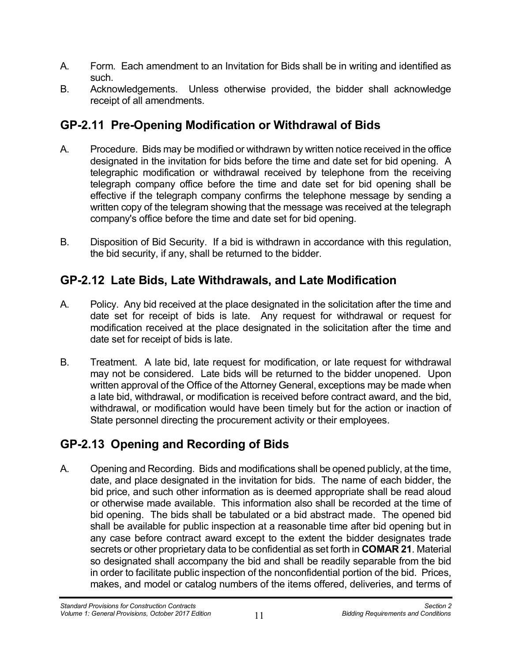- A. Form. Each amendment to an Invitation for Bids shall be in writing and identified as such.
- B. Acknowledgements. Unless otherwise provided, the bidder shall acknowledge receipt of all amendments.

# <span id="page-17-0"></span>**GP-2.11 Pre-Opening Modification or Withdrawal of Bids**

- A. Procedure. Bids may be modified or withdrawn by written notice received in the office designated in the invitation for bids before the time and date set for bid opening. A telegraphic modification or withdrawal received by telephone from the receiving telegraph company office before the time and date set for bid opening shall be effective if the telegraph company confirms the telephone message by sending a written copy of the telegram showing that the message was received at the telegraph company's office before the time and date set for bid opening.
- B. Disposition of Bid Security. If a bid is withdrawn in accordance with this regulation, the bid security, if any, shall be returned to the bidder.

# <span id="page-17-1"></span>**GP-2.12 Late Bids, Late Withdrawals, and Late Modification**

- A. Policy. Any bid received at the place designated in the solicitation after the time and date set for receipt of bids is late. Any request for withdrawal or request for modification received at the place designated in the solicitation after the time and date set for receipt of bids is late.
- B. Treatment. A late bid, late request for modification, or late request for withdrawal may not be considered. Late bids will be returned to the bidder unopened. Upon written approval of the Office of the Attorney General, exceptions may be made when a late bid, withdrawal, or modification is received before contract award, and the bid, withdrawal, or modification would have been timely but for the action or inaction of State personnel directing the procurement activity or their employees.

# <span id="page-17-2"></span>**GP-2.13 Opening and Recording of Bids**

A. Opening and Recording. Bids and modifications shall be opened publicly, at the time, date, and place designated in the invitation for bids. The name of each bidder, the bid price, and such other information as is deemed appropriate shall be read aloud or otherwise made available. This information also shall be recorded at the time of bid opening. The bids shall be tabulated or a bid abstract made. The opened bid shall be available for public inspection at a reasonable time after bid opening but in any case before contract award except to the extent the bidder designates trade secrets or other proprietary data to be confidential as set forth in **COMAR 21**. Material so designated shall accompany the bid and shall be readily separable from the bid in order to facilitate public inspection of the nonconfidential portion of the bid. Prices, makes, and model or catalog numbers of the items offered, deliveries, and terms of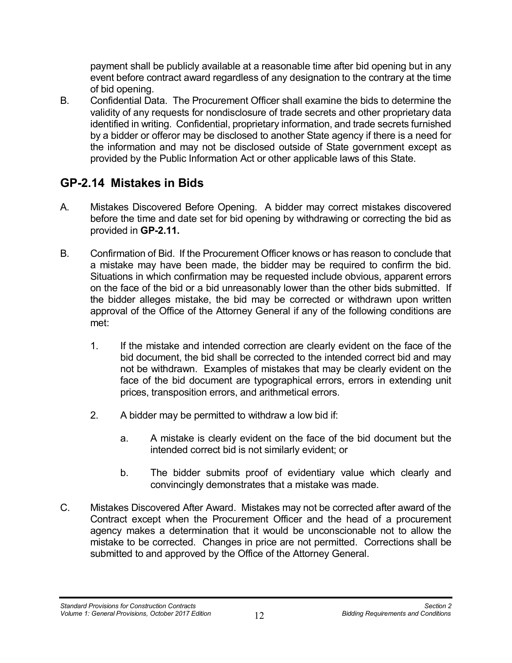payment shall be publicly available at a reasonable time after bid opening but in any event before contract award regardless of any designation to the contrary at the time of bid opening.

B. Confidential Data. The Procurement Officer shall examine the bids to determine the validity of any requests for nondisclosure of trade secrets and other proprietary data identified in writing. Confidential, proprietary information, and trade secrets furnished by a bidder or offeror may be disclosed to another State agency if there is a need for the information and may not be disclosed outside of State government except as provided by the Public Information Act or other applicable laws of this State.

# <span id="page-18-0"></span>**GP-2.14 Mistakes in Bids**

- A. Mistakes Discovered Before Opening. A bidder may correct mistakes discovered before the time and date set for bid opening by withdrawing or correcting the bid as provided in **GP-2.11.**
- B. Confirmation of Bid. If the Procurement Officer knows or has reason to conclude that a mistake may have been made, the bidder may be required to confirm the bid. Situations in which confirmation may be requested include obvious, apparent errors on the face of the bid or a bid unreasonably lower than the other bids submitted. If the bidder alleges mistake, the bid may be corrected or withdrawn upon written approval of the Office of the Attorney General if any of the following conditions are met:
	- 1. If the mistake and intended correction are clearly evident on the face of the bid document, the bid shall be corrected to the intended correct bid and may not be withdrawn. Examples of mistakes that may be clearly evident on the face of the bid document are typographical errors, errors in extending unit prices, transposition errors, and arithmetical errors.
	- 2. A bidder may be permitted to withdraw a low bid if:
		- a. A mistake is clearly evident on the face of the bid document but the intended correct bid is not similarly evident; or
		- b. The bidder submits proof of evidentiary value which clearly and convincingly demonstrates that a mistake was made.
- C. Mistakes Discovered After Award. Mistakes may not be corrected after award of the Contract except when the Procurement Officer and the head of a procurement agency makes a determination that it would be unconscionable not to allow the mistake to be corrected. Changes in price are not permitted. Corrections shall be submitted to and approved by the Office of the Attorney General.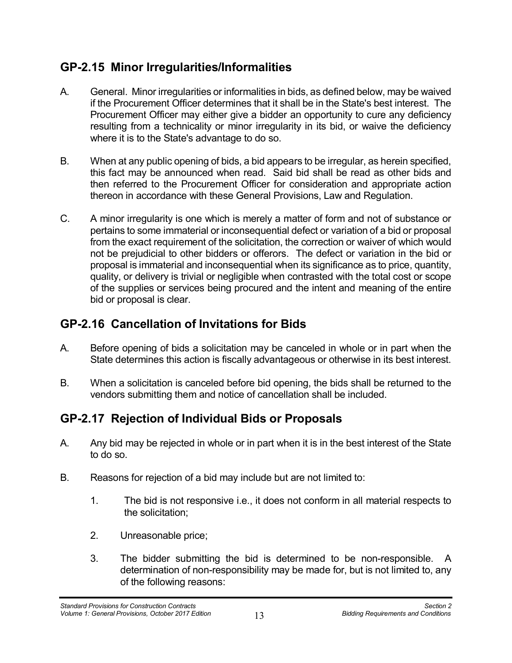## <span id="page-19-0"></span>**GP-2.15 Minor Irregularities/Informalities**

- A. General. Minor irregularities or informalities in bids, as defined below, may be waived if the Procurement Officer determines that it shall be in the State's best interest. The Procurement Officer may either give a bidder an opportunity to cure any deficiency resulting from a technicality or minor irregularity in its bid, or waive the deficiency where it is to the State's advantage to do so.
- B. When at any public opening of bids, a bid appears to be irregular, as herein specified, this fact may be announced when read. Said bid shall be read as other bids and then referred to the Procurement Officer for consideration and appropriate action thereon in accordance with these General Provisions, Law and Regulation.
- C. A minor irregularity is one which is merely a matter of form and not of substance or pertains to some immaterial or inconsequential defect or variation of a bid or proposal from the exact requirement of the solicitation, the correction or waiver of which would not be prejudicial to other bidders or offerors. The defect or variation in the bid or proposal is immaterial and inconsequential when its significance as to price, quantity, quality, or delivery is trivial or negligible when contrasted with the total cost or scope of the supplies or services being procured and the intent and meaning of the entire bid or proposal is clear.

# <span id="page-19-1"></span>**GP-2.16 Cancellation of Invitations for Bids**

- A. Before opening of bids a solicitation may be canceled in whole or in part when the State determines this action is fiscally advantageous or otherwise in its best interest.
- B. When a solicitation is canceled before bid opening, the bids shall be returned to the vendors submitting them and notice of cancellation shall be included.

# <span id="page-19-2"></span>**GP-2.17 Rejection of Individual Bids or Proposals**

- A. Any bid may be rejected in whole or in part when it is in the best interest of the State to do so.
- B. Reasons for rejection of a bid may include but are not limited to:
	- 1. The bid is not responsive i.e., it does not conform in all material respects to the solicitation;
	- 2. Unreasonable price;
	- 3. The bidder submitting the bid is determined to be non-responsible. A determination of non-responsibility may be made for, but is not limited to, any of the following reasons: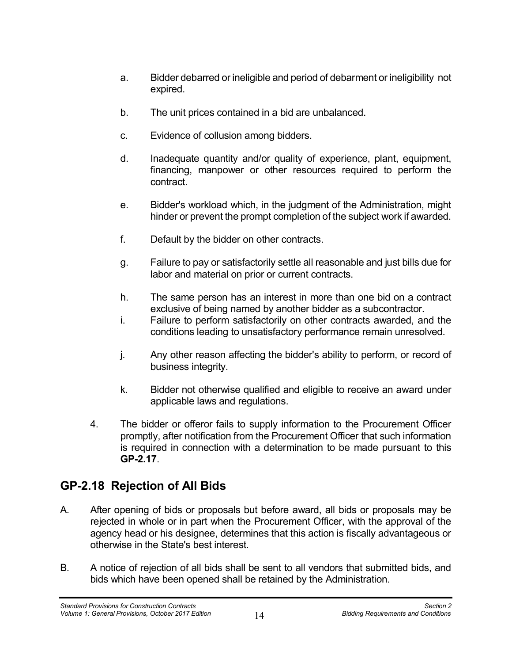- a. Bidder debarred or ineligible and period of debarment or ineligibility not expired.
- b. The unit prices contained in a bid are unbalanced.
- c. Evidence of collusion among bidders.
- d. Inadequate quantity and/or quality of experience, plant, equipment, financing, manpower or other resources required to perform the contract.
- e. Bidder's workload which, in the judgment of the Administration, might hinder or prevent the prompt completion of the subject work if awarded.
- f. Default by the bidder on other contracts.
- g. Failure to pay or satisfactorily settle all reasonable and just bills due for labor and material on prior or current contracts.
- h. The same person has an interest in more than one bid on a contract exclusive of being named by another bidder as a subcontractor.
- i. Failure to perform satisfactorily on other contracts awarded, and the conditions leading to unsatisfactory performance remain unresolved.
- j. Any other reason affecting the bidder's ability to perform, or record of business integrity.
- k. Bidder not otherwise qualified and eligible to receive an award under applicable laws and regulations.
- 4. The bidder or offeror fails to supply information to the Procurement Officer promptly, after notification from the Procurement Officer that such information is required in connection with a determination to be made pursuant to this **GP-2.17**.

# <span id="page-20-0"></span>**GP-2.18 Rejection of All Bids**

- A. After opening of bids or proposals but before award, all bids or proposals may be rejected in whole or in part when the Procurement Officer, with the approval of the agency head or his designee, determines that this action is fiscally advantageous or otherwise in the State's best interest.
- B. A notice of rejection of all bids shall be sent to all vendors that submitted bids, and bids which have been opened shall be retained by the Administration.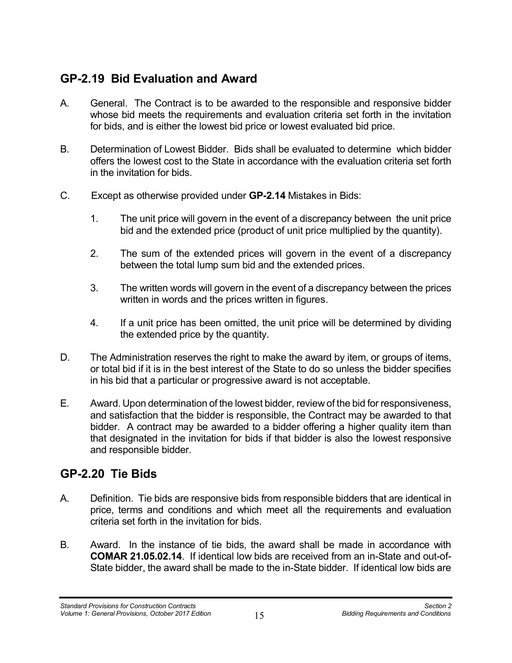# <span id="page-21-0"></span>**GP-2.19 Bid Evaluation and Award**

- A. General. The Contract is to be awarded to the responsible and responsive bidder whose bid meets the requirements and evaluation criteria set forth in the invitation for bids, and is either the lowest bid price or lowest evaluated bid price.
- B. Determination of Lowest Bidder. Bids shall be evaluated to determine which bidder offers the lowest cost to the State in accordance with the evaluation criteria set forth in the invitation for bids.
- C. Except as otherwise provided under **GP-2.14** Mistakes in Bids:
	- 1. The unit price will govern in the event of a discrepancy between the unit price bid and the extended price (product of unit price multiplied by the quantity).
	- 2. The sum of the extended prices will govern in the event of a discrepancy between the total lump sum bid and the extended prices.
	- 3. The written words will govern in the event of a discrepancy between the prices written in words and the prices written in figures.
	- 4. If a unit price has been omitted, the unit price will be determined by dividing the extended price by the quantity.
- D. The Administration reserves the right to make the award by item, or groups of items, or total bid if it is in the best interest of the State to do so unless the bidder specifies in his bid that a particular or progressive award is not acceptable.
- E. Award. Upon determination of the lowest bidder, review of the bid for responsiveness, and satisfaction that the bidder is responsible, the Contract may be awarded to that bidder. A contract may be awarded to a bidder offering a higher quality item than that designated in the invitation for bids if that bidder is also the lowest responsive and responsible bidder.

## <span id="page-21-1"></span>**GP-2.20 Tie Bids**

- A. Definition. Tie bids are responsive bids from responsible bidders that are identical in price, terms and conditions and which meet all the requirements and evaluation criteria set forth in the invitation for bids.
- B. Award. In the instance of tie bids, the award shall be made in accordance with **COMAR 21.05.02.14**. If identical low bids are received from an in-State and out-of-State bidder, the award shall be made to the in-State bidder. If identical low bids are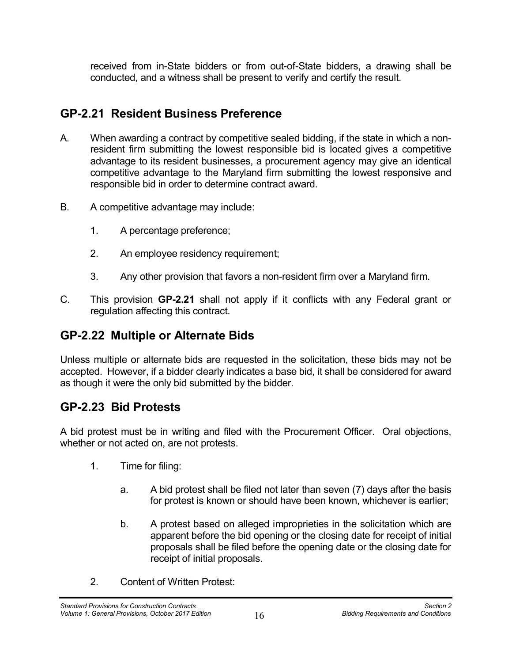received from in-State bidders or from out-of-State bidders, a drawing shall be conducted, and a witness shall be present to verify and certify the result.

# <span id="page-22-0"></span>**GP-2.21 Resident Business Preference**

- A. When awarding a contract by competitive sealed bidding, if the state in which a nonresident firm submitting the lowest responsible bid is located gives a competitive advantage to its resident businesses, a procurement agency may give an identical competitive advantage to the Maryland firm submitting the lowest responsive and responsible bid in order to determine contract award.
- B. A competitive advantage may include:
	- 1. A percentage preference;
	- 2. An employee residency requirement;
	- 3. Any other provision that favors a non-resident firm over a Maryland firm.
- C. This provision **GP-2.21** shall not apply if it conflicts with any Federal grant or regulation affecting this contract.

# <span id="page-22-1"></span>**GP-2.22 Multiple or Alternate Bids**

Unless multiple or alternate bids are requested in the solicitation, these bids may not be accepted. However, if a bidder clearly indicates a base bid, it shall be considered for award as though it were the only bid submitted by the bidder.

## <span id="page-22-2"></span>**GP-2.23 Bid Protests**

A bid protest must be in writing and filed with the Procurement Officer. Oral objections, whether or not acted on, are not protests.

- 1. Time for filing:
	- a. A bid protest shall be filed not later than seven (7) days after the basis for protest is known or should have been known, whichever is earlier;
	- b. A protest based on alleged improprieties in the solicitation which are apparent before the bid opening or the closing date for receipt of initial proposals shall be filed before the opening date or the closing date for receipt of initial proposals.
- 2. Content of Written Protest: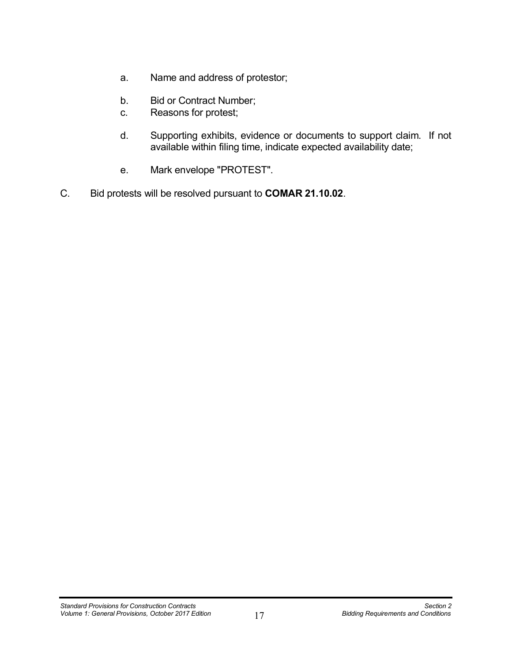- a. Name and address of protestor;
- b. Bid or Contract Number;
- c. Reasons for protest;
- d. Supporting exhibits, evidence or documents to support claim. If not available within filing time, indicate expected availability date;
- e. Mark envelope "PROTEST".
- C. Bid protests will be resolved pursuant to **COMAR 21.10.02**.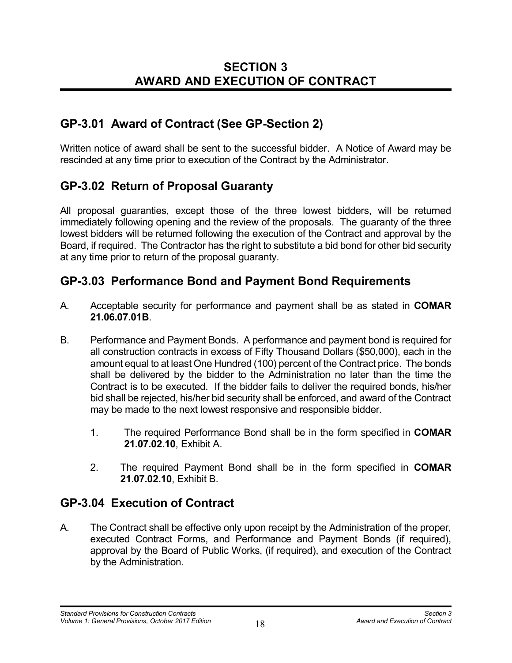## <span id="page-24-0"></span>**GP-3.01 Award of Contract (See GP-Section 2)**

Written notice of award shall be sent to the successful bidder. A Notice of Award may be rescinded at any time prior to execution of the Contract by the Administrator.

## <span id="page-24-1"></span>**GP-3.02 Return of Proposal Guaranty**

All proposal guaranties, except those of the three lowest bidders, will be returned immediately following opening and the review of the proposals. The guaranty of the three lowest bidders will be returned following the execution of the Contract and approval by the Board, if required. The Contractor has the right to substitute a bid bond for other bid security at any time prior to return of the proposal guaranty.

#### <span id="page-24-2"></span>**GP-3.03 Performance Bond and Payment Bond Requirements**

- A. Acceptable security for performance and payment shall be as stated in **COMAR 21.06.07.01B**.
- B. Performance and Payment Bonds. A performance and payment bond is required for all construction contracts in excess of Fifty Thousand Dollars (\$50,000), each in the amount equal to at least One Hundred (100) percent of the Contract price. The bonds shall be delivered by the bidder to the Administration no later than the time the Contract is to be executed. If the bidder fails to deliver the required bonds, his/her bid shall be rejected, his/her bid security shall be enforced, and award of the Contract may be made to the next lowest responsive and responsible bidder.
	- 1. The required Performance Bond shall be in the form specified in **COMAR 21.07.02.10**, Exhibit A.
	- 2. The required Payment Bond shall be in the form specified in **COMAR 21.07.02.10**, Exhibit B.

## <span id="page-24-3"></span>**GP-3.04 Execution of Contract**

A. The Contract shall be effective only upon receipt by the Administration of the proper, executed Contract Forms, and Performance and Payment Bonds (if required), approval by the Board of Public Works, (if required), and execution of the Contract by the Administration.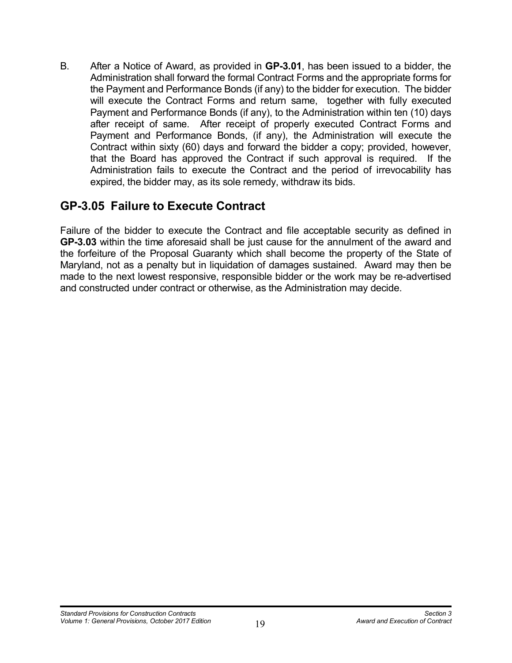B. After a Notice of Award, as provided in **GP-3.01**, has been issued to a bidder, the Administration shall forward the formal Contract Forms and the appropriate forms for the Payment and Performance Bonds (if any) to the bidder for execution. The bidder will execute the Contract Forms and return same, together with fully executed Payment and Performance Bonds (if any), to the Administration within ten (10) days after receipt of same. After receipt of properly executed Contract Forms and Payment and Performance Bonds, (if any), the Administration will execute the Contract within sixty (60) days and forward the bidder a copy; provided, however, that the Board has approved the Contract if such approval is required. If the Administration fails to execute the Contract and the period of irrevocability has expired, the bidder may, as its sole remedy, withdraw its bids.

## <span id="page-25-0"></span>**GP-3.05 Failure to Execute Contract**

Failure of the bidder to execute the Contract and file acceptable security as defined in **GP-3.03** within the time aforesaid shall be just cause for the annulment of the award and the forfeiture of the Proposal Guaranty which shall become the property of the State of Maryland, not as a penalty but in liquidation of damages sustained. Award may then be made to the next lowest responsive, responsible bidder or the work may be re-advertised and constructed under contract or otherwise, as the Administration may decide.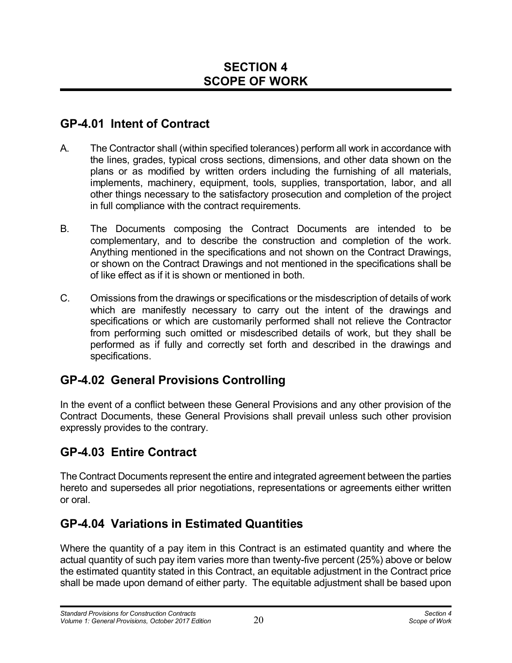#### <span id="page-26-0"></span>**GP-4.01 Intent of Contract**

- A. The Contractor shall (within specified tolerances) perform all work in accordance with the lines, grades, typical cross sections, dimensions, and other data shown on the plans or as modified by written orders including the furnishing of all materials, implements, machinery, equipment, tools, supplies, transportation, labor, and all other things necessary to the satisfactory prosecution and completion of the project in full compliance with the contract requirements.
- B. The Documents composing the Contract Documents are intended to be complementary, and to describe the construction and completion of the work. Anything mentioned in the specifications and not shown on the Contract Drawings, or shown on the Contract Drawings and not mentioned in the specifications shall be of like effect as if it is shown or mentioned in both.
- C. Omissions from the drawings or specifications or the misdescription of details of work which are manifestly necessary to carry out the intent of the drawings and specifications or which are customarily performed shall not relieve the Contractor from performing such omitted or misdescribed details of work, but they shall be performed as if fully and correctly set forth and described in the drawings and specifications.

## <span id="page-26-1"></span>**GP-4.02 General Provisions Controlling**

In the event of a conflict between these General Provisions and any other provision of the Contract Documents, these General Provisions shall prevail unless such other provision expressly provides to the contrary.

# <span id="page-26-2"></span>**GP-4.03 Entire Contract**

The Contract Documents represent the entire and integrated agreement between the parties hereto and supersedes all prior negotiations, representations or agreements either written or oral.

## <span id="page-26-3"></span>**GP-4.04 Variations in Estimated Quantities**

Where the quantity of a pay item in this Contract is an estimated quantity and where the actual quantity of such pay item varies more than twenty-five percent (25%) above or below the estimated quantity stated in this Contract, an equitable adjustment in the Contract price shall be made upon demand of either party. The equitable adjustment shall be based upon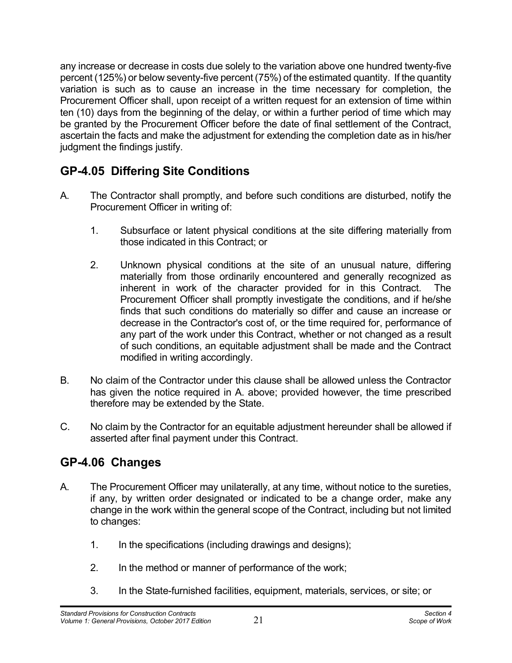any increase or decrease in costs due solely to the variation above one hundred twenty-five percent (125%) or below seventy-five percent (75%) of the estimated quantity. If the quantity variation is such as to cause an increase in the time necessary for completion, the Procurement Officer shall, upon receipt of a written request for an extension of time within ten (10) days from the beginning of the delay, or within a further period of time which may be granted by the Procurement Officer before the date of final settlement of the Contract, ascertain the facts and make the adjustment for extending the completion date as in his/her judgment the findings justify.

# <span id="page-27-0"></span>**GP-4.05 Differing Site Conditions**

- A. The Contractor shall promptly, and before such conditions are disturbed, notify the Procurement Officer in writing of:
	- 1. Subsurface or latent physical conditions at the site differing materially from those indicated in this Contract; or
	- 2. Unknown physical conditions at the site of an unusual nature, differing materially from those ordinarily encountered and generally recognized as inherent in work of the character provided for in this Contract. The Procurement Officer shall promptly investigate the conditions, and if he/she finds that such conditions do materially so differ and cause an increase or decrease in the Contractor's cost of, or the time required for, performance of any part of the work under this Contract, whether or not changed as a result of such conditions, an equitable adjustment shall be made and the Contract modified in writing accordingly.
- B. No claim of the Contractor under this clause shall be allowed unless the Contractor has given the notice required in A. above; provided however, the time prescribed therefore may be extended by the State.
- C. No claim by the Contractor for an equitable adjustment hereunder shall be allowed if asserted after final payment under this Contract.

## <span id="page-27-1"></span>**GP-4.06 Changes**

- A. The Procurement Officer may unilaterally, at any time, without notice to the sureties, if any, by written order designated or indicated to be a change order, make any change in the work within the general scope of the Contract, including but not limited to changes:
	- 1. In the specifications (including drawings and designs);
	- 2. In the method or manner of performance of the work;
	- 3. In the State-furnished facilities, equipment, materials, services, or site; or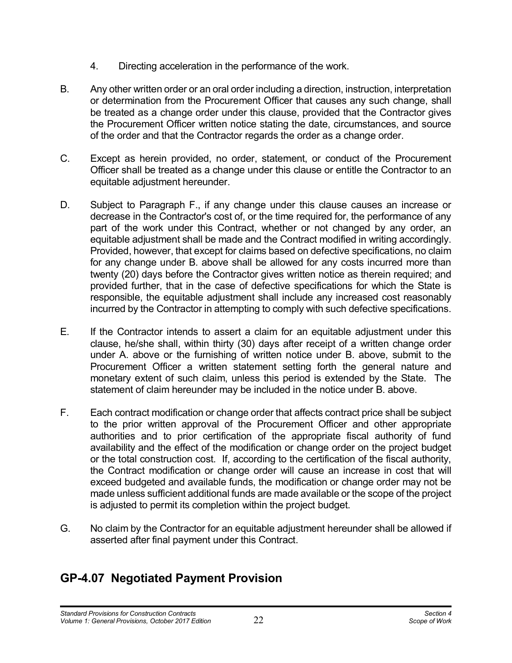- 4. Directing acceleration in the performance of the work.
- B. Any other written order or an oral order including a direction, instruction, interpretation or determination from the Procurement Officer that causes any such change, shall be treated as a change order under this clause, provided that the Contractor gives the Procurement Officer written notice stating the date, circumstances, and source of the order and that the Contractor regards the order as a change order.
- C. Except as herein provided, no order, statement, or conduct of the Procurement Officer shall be treated as a change under this clause or entitle the Contractor to an equitable adjustment hereunder.
- D. Subject to Paragraph F., if any change under this clause causes an increase or decrease in the Contractor's cost of, or the time required for, the performance of any part of the work under this Contract, whether or not changed by any order, an equitable adjustment shall be made and the Contract modified in writing accordingly. Provided, however, that except for claims based on defective specifications, no claim for any change under B. above shall be allowed for any costs incurred more than twenty (20) days before the Contractor gives written notice as therein required; and provided further, that in the case of defective specifications for which the State is responsible, the equitable adjustment shall include any increased cost reasonably incurred by the Contractor in attempting to comply with such defective specifications.
- E. If the Contractor intends to assert a claim for an equitable adjustment under this clause, he/she shall, within thirty (30) days after receipt of a written change order under A. above or the furnishing of written notice under B. above, submit to the Procurement Officer a written statement setting forth the general nature and monetary extent of such claim, unless this period is extended by the State. The statement of claim hereunder may be included in the notice under B. above.
- F. Each contract modification or change order that affects contract price shall be subject to the prior written approval of the Procurement Officer and other appropriate authorities and to prior certification of the appropriate fiscal authority of fund availability and the effect of the modification or change order on the project budget or the total construction cost. If, according to the certification of the fiscal authority, the Contract modification or change order will cause an increase in cost that will exceed budgeted and available funds, the modification or change order may not be made unless sufficient additional funds are made available or the scope of the project is adjusted to permit its completion within the project budget.
- G. No claim by the Contractor for an equitable adjustment hereunder shall be allowed if asserted after final payment under this Contract.

# <span id="page-28-0"></span>**GP-4.07 Negotiated Payment Provision**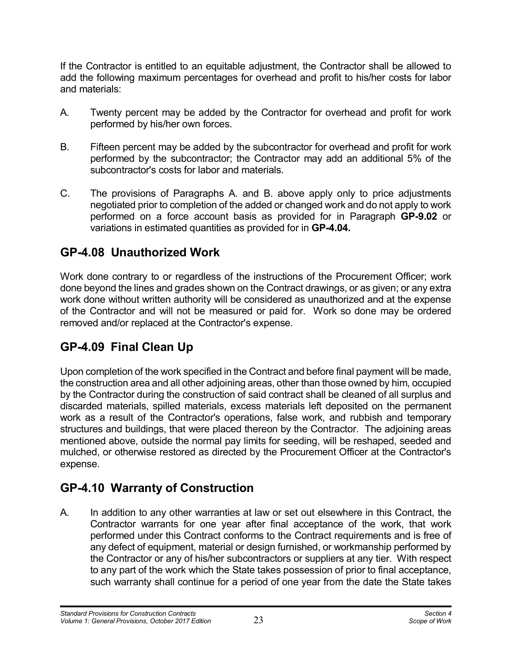If the Contractor is entitled to an equitable adjustment, the Contractor shall be allowed to add the following maximum percentages for overhead and profit to his/her costs for labor and materials:

- A. Twenty percent may be added by the Contractor for overhead and profit for work performed by his/her own forces.
- B. Fifteen percent may be added by the subcontractor for overhead and profit for work performed by the subcontractor; the Contractor may add an additional 5% of the subcontractor's costs for labor and materials.
- C. The provisions of Paragraphs A. and B. above apply only to price adjustments negotiated prior to completion of the added or changed work and do not apply to work performed on a force account basis as provided for in Paragraph **GP-9.02** or variations in estimated quantities as provided for in **GP-4.04.**

# <span id="page-29-0"></span>**GP-4.08 Unauthorized Work**

Work done contrary to or regardless of the instructions of the Procurement Officer; work done beyond the lines and grades shown on the Contract drawings, or as given; or any extra work done without written authority will be considered as unauthorized and at the expense of the Contractor and will not be measured or paid for. Work so done may be ordered removed and/or replaced at the Contractor's expense.

# <span id="page-29-1"></span>**GP-4.09 Final Clean Up**

Upon completion of the work specified in the Contract and before final payment will be made, the construction area and all other adjoining areas, other than those owned by him, occupied by the Contractor during the construction of said contract shall be cleaned of all surplus and discarded materials, spilled materials, excess materials left deposited on the permanent work as a result of the Contractor's operations, false work, and rubbish and temporary structures and buildings, that were placed thereon by the Contractor. The adjoining areas mentioned above, outside the normal pay limits for seeding, will be reshaped, seeded and mulched, or otherwise restored as directed by the Procurement Officer at the Contractor's expense.

# <span id="page-29-2"></span>**GP-4.10 Warranty of Construction**

A. In addition to any other warranties at law or set out elsewhere in this Contract, the Contractor warrants for one year after final acceptance of the work, that work performed under this Contract conforms to the Contract requirements and is free of any defect of equipment, material or design furnished, or workmanship performed by the Contractor or any of his/her subcontractors or suppliers at any tier. With respect to any part of the work which the State takes possession of prior to final acceptance, such warranty shall continue for a period of one year from the date the State takes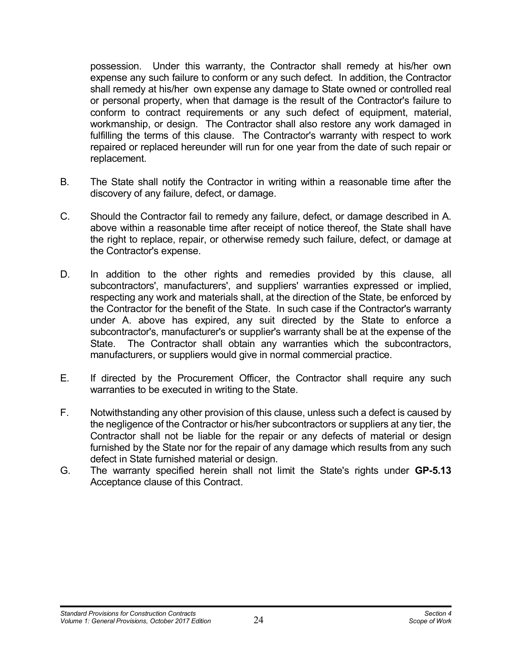possession. Under this warranty, the Contractor shall remedy at his/her own expense any such failure to conform or any such defect. In addition, the Contractor shall remedy at his/her own expense any damage to State owned or controlled real or personal property, when that damage is the result of the Contractor's failure to conform to contract requirements or any such defect of equipment, material, workmanship, or design. The Contractor shall also restore any work damaged in fulfilling the terms of this clause. The Contractor's warranty with respect to work repaired or replaced hereunder will run for one year from the date of such repair or replacement.

- B. The State shall notify the Contractor in writing within a reasonable time after the discovery of any failure, defect, or damage.
- C. Should the Contractor fail to remedy any failure, defect, or damage described in A. above within a reasonable time after receipt of notice thereof, the State shall have the right to replace, repair, or otherwise remedy such failure, defect, or damage at the Contractor's expense.
- D. In addition to the other rights and remedies provided by this clause, all subcontractors', manufacturers', and suppliers' warranties expressed or implied, respecting any work and materials shall, at the direction of the State, be enforced by the Contractor for the benefit of the State. In such case if the Contractor's warranty under A. above has expired, any suit directed by the State to enforce a subcontractor's, manufacturer's or supplier's warranty shall be at the expense of the State. The Contractor shall obtain any warranties which the subcontractors, manufacturers, or suppliers would give in normal commercial practice.
- E. If directed by the Procurement Officer, the Contractor shall require any such warranties to be executed in writing to the State.
- F. Notwithstanding any other provision of this clause, unless such a defect is caused by the negligence of the Contractor or his/her subcontractors or suppliers at any tier, the Contractor shall not be liable for the repair or any defects of material or design furnished by the State nor for the repair of any damage which results from any such defect in State furnished material or design.
- G. The warranty specified herein shall not limit the State's rights under **GP-5.13** Acceptance clause of this Contract.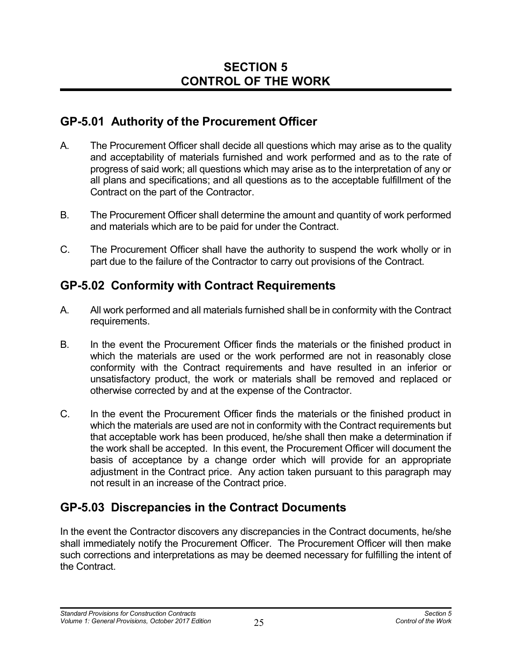## <span id="page-31-0"></span>**GP-5.01 Authority of the Procurement Officer**

- A. The Procurement Officer shall decide all questions which may arise as to the quality and acceptability of materials furnished and work performed and as to the rate of progress of said work; all questions which may arise as to the interpretation of any or all plans and specifications; and all questions as to the acceptable fulfillment of the Contract on the part of the Contractor.
- B. The Procurement Officer shall determine the amount and quantity of work performed and materials which are to be paid for under the Contract.
- C. The Procurement Officer shall have the authority to suspend the work wholly or in part due to the failure of the Contractor to carry out provisions of the Contract.

## <span id="page-31-1"></span>**GP-5.02 Conformity with Contract Requirements**

- A. All work performed and all materials furnished shall be in conformity with the Contract requirements.
- B. In the event the Procurement Officer finds the materials or the finished product in which the materials are used or the work performed are not in reasonably close conformity with the Contract requirements and have resulted in an inferior or unsatisfactory product, the work or materials shall be removed and replaced or otherwise corrected by and at the expense of the Contractor.
- C. In the event the Procurement Officer finds the materials or the finished product in which the materials are used are not in conformity with the Contract requirements but that acceptable work has been produced, he/she shall then make a determination if the work shall be accepted. In this event, the Procurement Officer will document the basis of acceptance by a change order which will provide for an appropriate adjustment in the Contract price. Any action taken pursuant to this paragraph may not result in an increase of the Contract price.

## <span id="page-31-2"></span>**GP-5.03 Discrepancies in the Contract Documents**

In the event the Contractor discovers any discrepancies in the Contract documents, he/she shall immediately notify the Procurement Officer. The Procurement Officer will then make such corrections and interpretations as may be deemed necessary for fulfilling the intent of the Contract.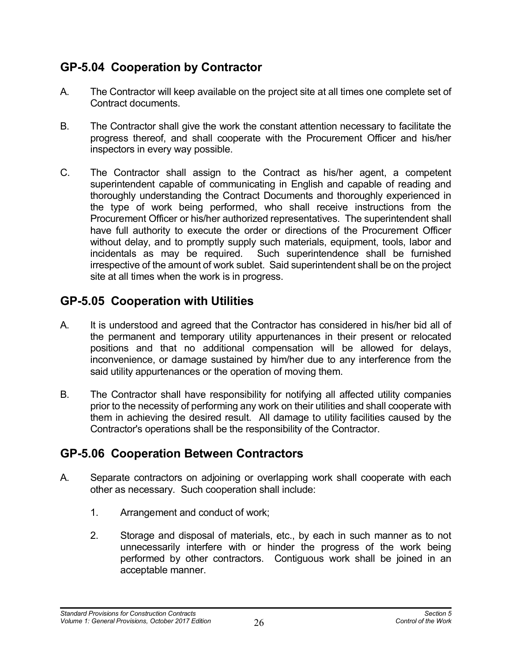# <span id="page-32-0"></span>**GP-5.04 Cooperation by Contractor**

- A. The Contractor will keep available on the project site at all times one complete set of Contract documents.
- B. The Contractor shall give the work the constant attention necessary to facilitate the progress thereof, and shall cooperate with the Procurement Officer and his/her inspectors in every way possible.
- C. The Contractor shall assign to the Contract as his/her agent, a competent superintendent capable of communicating in English and capable of reading and thoroughly understanding the Contract Documents and thoroughly experienced in the type of work being performed, who shall receive instructions from the Procurement Officer or his/her authorized representatives. The superintendent shall have full authority to execute the order or directions of the Procurement Officer without delay, and to promptly supply such materials, equipment, tools, labor and incidentals as may be required. Such superintendence shall be furnished irrespective of the amount of work sublet. Said superintendent shall be on the project site at all times when the work is in progress.

## <span id="page-32-1"></span>**GP-5.05 Cooperation with Utilities**

- A. It is understood and agreed that the Contractor has considered in his/her bid all of the permanent and temporary utility appurtenances in their present or relocated positions and that no additional compensation will be allowed for delays, inconvenience, or damage sustained by him/her due to any interference from the said utility appurtenances or the operation of moving them.
- B. The Contractor shall have responsibility for notifying all affected utility companies prior to the necessity of performing any work on their utilities and shall cooperate with them in achieving the desired result. All damage to utility facilities caused by the Contractor's operations shall be the responsibility of the Contractor.

## <span id="page-32-2"></span>**GP-5.06 Cooperation Between Contractors**

- A. Separate contractors on adjoining or overlapping work shall cooperate with each other as necessary. Such cooperation shall include:
	- 1. Arrangement and conduct of work;
	- 2. Storage and disposal of materials, etc., by each in such manner as to not unnecessarily interfere with or hinder the progress of the work being performed by other contractors. Contiguous work shall be joined in an acceptable manner.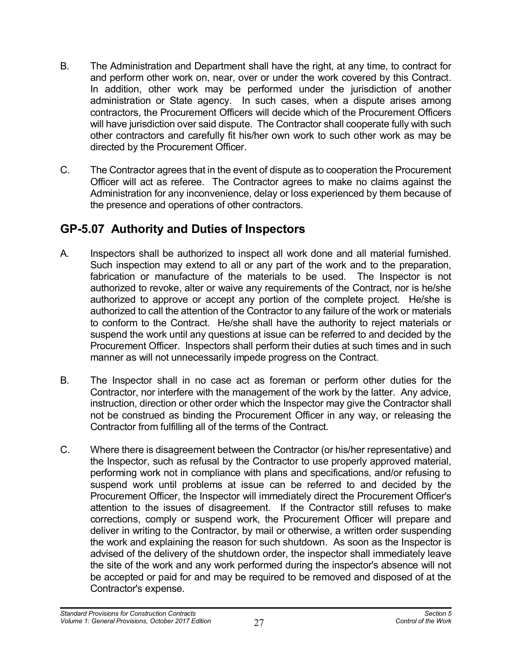- B. The Administration and Department shall have the right, at any time, to contract for and perform other work on, near, over or under the work covered by this Contract. In addition, other work may be performed under the jurisdiction of another administration or State agency. In such cases, when a dispute arises among contractors, the Procurement Officers will decide which of the Procurement Officers will have jurisdiction over said dispute. The Contractor shall cooperate fully with such other contractors and carefully fit his/her own work to such other work as may be directed by the Procurement Officer.
- C. The Contractor agrees that in the event of dispute as to cooperation the Procurement Officer will act as referee. The Contractor agrees to make no claims against the Administration for any inconvenience, delay or loss experienced by them because of the presence and operations of other contractors.

## <span id="page-33-0"></span>**GP-5.07 Authority and Duties of Inspectors**

- A. Inspectors shall be authorized to inspect all work done and all material furnished. Such inspection may extend to all or any part of the work and to the preparation, fabrication or manufacture of the materials to be used. The Inspector is not authorized to revoke, alter or waive any requirements of the Contract, nor is he/she authorized to approve or accept any portion of the complete project. He/she is authorized to call the attention of the Contractor to any failure of the work or materials to conform to the Contract. He/she shall have the authority to reject materials or suspend the work until any questions at issue can be referred to and decided by the Procurement Officer. Inspectors shall perform their duties at such times and in such manner as will not unnecessarily impede progress on the Contract.
- B. The Inspector shall in no case act as foreman or perform other duties for the Contractor, nor interfere with the management of the work by the latter. Any advice, instruction, direction or other order which the Inspector may give the Contractor shall not be construed as binding the Procurement Officer in any way, or releasing the Contractor from fulfilling all of the terms of the Contract.
- C. Where there is disagreement between the Contractor (or his/her representative) and the Inspector, such as refusal by the Contractor to use properly approved material, performing work not in compliance with plans and specifications, and/or refusing to suspend work until problems at issue can be referred to and decided by the Procurement Officer, the Inspector will immediately direct the Procurement Officer's attention to the issues of disagreement. If the Contractor still refuses to make corrections, comply or suspend work, the Procurement Officer will prepare and deliver in writing to the Contractor, by mail or otherwise, a written order suspending the work and explaining the reason for such shutdown. As soon as the Inspector is advised of the delivery of the shutdown order, the inspector shall immediately leave the site of the work and any work performed during the inspector's absence will not be accepted or paid for and may be required to be removed and disposed of at the Contractor's expense.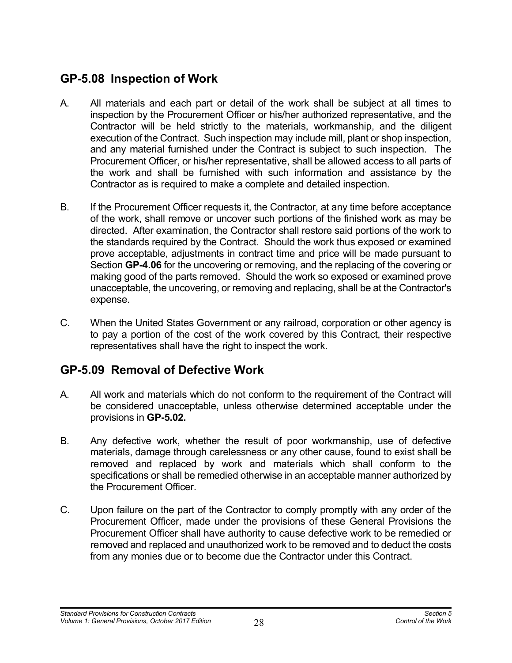# <span id="page-34-0"></span>**GP-5.08 Inspection of Work**

- A. All materials and each part or detail of the work shall be subject at all times to inspection by the Procurement Officer or his/her authorized representative, and the Contractor will be held strictly to the materials, workmanship, and the diligent execution of the Contract. Such inspection may include mill, plant or shop inspection, and any material furnished under the Contract is subject to such inspection. The Procurement Officer, or his/her representative, shall be allowed access to all parts of the work and shall be furnished with such information and assistance by the Contractor as is required to make a complete and detailed inspection.
- B. If the Procurement Officer requests it, the Contractor, at any time before acceptance of the work, shall remove or uncover such portions of the finished work as may be directed. After examination, the Contractor shall restore said portions of the work to the standards required by the Contract. Should the work thus exposed or examined prove acceptable, adjustments in contract time and price will be made pursuant to Section **GP-4.06** for the uncovering or removing, and the replacing of the covering or making good of the parts removed. Should the work so exposed or examined prove unacceptable, the uncovering, or removing and replacing, shall be at the Contractor's expense.
- C. When the United States Government or any railroad, corporation or other agency is to pay a portion of the cost of the work covered by this Contract, their respective representatives shall have the right to inspect the work.

## <span id="page-34-1"></span>**GP-5.09 Removal of Defective Work**

- A. All work and materials which do not conform to the requirement of the Contract will be considered unacceptable, unless otherwise determined acceptable under the provisions in **GP-5.02.**
- B. Any defective work, whether the result of poor workmanship, use of defective materials, damage through carelessness or any other cause, found to exist shall be removed and replaced by work and materials which shall conform to the specifications or shall be remedied otherwise in an acceptable manner authorized by the Procurement Officer.
- C. Upon failure on the part of the Contractor to comply promptly with any order of the Procurement Officer, made under the provisions of these General Provisions the Procurement Officer shall have authority to cause defective work to be remedied or removed and replaced and unauthorized work to be removed and to deduct the costs from any monies due or to become due the Contractor under this Contract.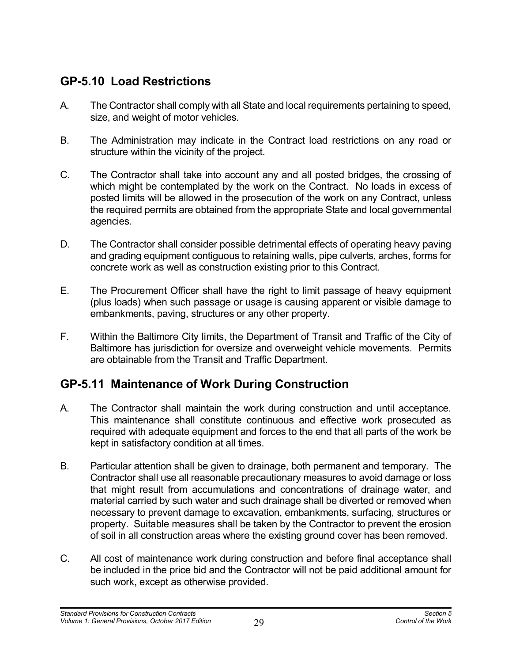# <span id="page-35-0"></span>**GP-5.10 Load Restrictions**

- A. The Contractor shall comply with all State and local requirements pertaining to speed, size, and weight of motor vehicles.
- B. The Administration may indicate in the Contract load restrictions on any road or structure within the vicinity of the project.
- C. The Contractor shall take into account any and all posted bridges, the crossing of which might be contemplated by the work on the Contract. No loads in excess of posted limits will be allowed in the prosecution of the work on any Contract, unless the required permits are obtained from the appropriate State and local governmental agencies.
- D. The Contractor shall consider possible detrimental effects of operating heavy paving and grading equipment contiguous to retaining walls, pipe culverts, arches, forms for concrete work as well as construction existing prior to this Contract.
- E. The Procurement Officer shall have the right to limit passage of heavy equipment (plus loads) when such passage or usage is causing apparent or visible damage to embankments, paving, structures or any other property.
- F. Within the Baltimore City limits, the Department of Transit and Traffic of the City of Baltimore has jurisdiction for oversize and overweight vehicle movements. Permits are obtainable from the Transit and Traffic Department.

# <span id="page-35-1"></span>**GP-5.11 Maintenance of Work During Construction**

- A. The Contractor shall maintain the work during construction and until acceptance. This maintenance shall constitute continuous and effective work prosecuted as required with adequate equipment and forces to the end that all parts of the work be kept in satisfactory condition at all times.
- B. Particular attention shall be given to drainage, both permanent and temporary. The Contractor shall use all reasonable precautionary measures to avoid damage or loss that might result from accumulations and concentrations of drainage water, and material carried by such water and such drainage shall be diverted or removed when necessary to prevent damage to excavation, embankments, surfacing, structures or property. Suitable measures shall be taken by the Contractor to prevent the erosion of soil in all construction areas where the existing ground cover has been removed.
- C. All cost of maintenance work during construction and before final acceptance shall be included in the price bid and the Contractor will not be paid additional amount for such work, except as otherwise provided.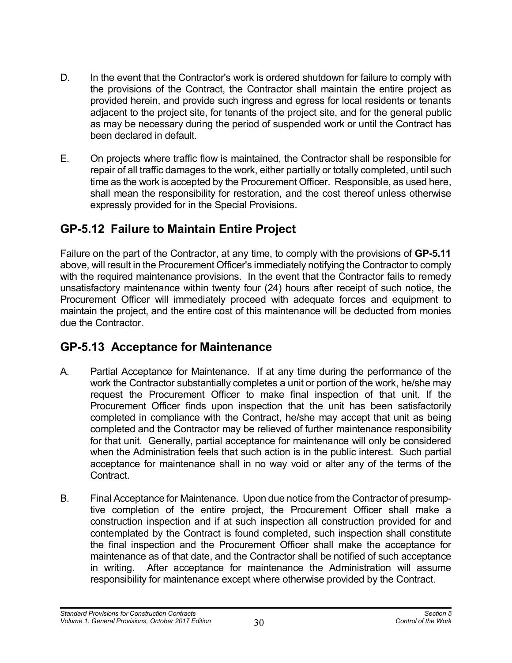- D. In the event that the Contractor's work is ordered shutdown for failure to comply with the provisions of the Contract, the Contractor shall maintain the entire project as provided herein, and provide such ingress and egress for local residents or tenants adjacent to the project site, for tenants of the project site, and for the general public as may be necessary during the period of suspended work or until the Contract has been declared in default.
- E. On projects where traffic flow is maintained, the Contractor shall be responsible for repair of all traffic damages to the work, either partially or totally completed, until such time as the work is accepted by the Procurement Officer. Responsible, as used here, shall mean the responsibility for restoration, and the cost thereof unless otherwise expressly provided for in the Special Provisions.

### **GP-5.12 Failure to Maintain Entire Project**

Failure on the part of the Contractor, at any time, to comply with the provisions of **GP-5.11** above, will result in the Procurement Officer's immediately notifying the Contractor to comply with the required maintenance provisions. In the event that the Contractor fails to remedy unsatisfactory maintenance within twenty four (24) hours after receipt of such notice, the Procurement Officer will immediately proceed with adequate forces and equipment to maintain the project, and the entire cost of this maintenance will be deducted from monies due the Contractor.

#### **GP-5.13 Acceptance for Maintenance**

- A. Partial Acceptance for Maintenance. If at any time during the performance of the work the Contractor substantially completes a unit or portion of the work, he/she may request the Procurement Officer to make final inspection of that unit. If the Procurement Officer finds upon inspection that the unit has been satisfactorily completed in compliance with the Contract, he/she may accept that unit as being completed and the Contractor may be relieved of further maintenance responsibility for that unit. Generally, partial acceptance for maintenance will only be considered when the Administration feels that such action is in the public interest. Such partial acceptance for maintenance shall in no way void or alter any of the terms of the Contract.
- B. Final Acceptance for Maintenance. Upon due notice from the Contractor of presumptive completion of the entire project, the Procurement Officer shall make a construction inspection and if at such inspection all construction provided for and contemplated by the Contract is found completed, such inspection shall constitute the final inspection and the Procurement Officer shall make the acceptance for maintenance as of that date, and the Contractor shall be notified of such acceptance in writing. After acceptance for maintenance the Administration will assume responsibility for maintenance except where otherwise provided by the Contract.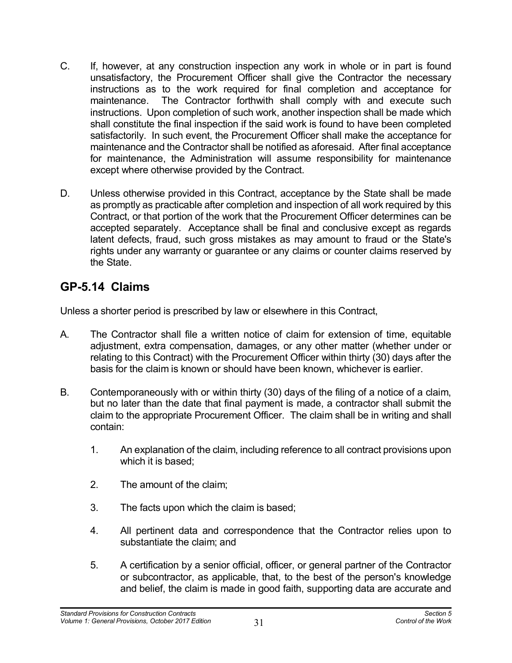- C. If, however, at any construction inspection any work in whole or in part is found unsatisfactory, the Procurement Officer shall give the Contractor the necessary instructions as to the work required for final completion and acceptance for maintenance. The Contractor forthwith shall comply with and execute such instructions. Upon completion of such work, another inspection shall be made which shall constitute the final inspection if the said work is found to have been completed satisfactorily. In such event, the Procurement Officer shall make the acceptance for maintenance and the Contractor shall be notified as aforesaid. After final acceptance for maintenance, the Administration will assume responsibility for maintenance except where otherwise provided by the Contract.
- D. Unless otherwise provided in this Contract, acceptance by the State shall be made as promptly as practicable after completion and inspection of all work required by this Contract, or that portion of the work that the Procurement Officer determines can be accepted separately. Acceptance shall be final and conclusive except as regards latent defects, fraud, such gross mistakes as may amount to fraud or the State's rights under any warranty or guarantee or any claims or counter claims reserved by the State.

#### **GP-5.14 Claims**

Unless a shorter period is prescribed by law or elsewhere in this Contract,

- A. The Contractor shall file a written notice of claim for extension of time, equitable adjustment, extra compensation, damages, or any other matter (whether under or relating to this Contract) with the Procurement Officer within thirty (30) days after the basis for the claim is known or should have been known, whichever is earlier.
- B. Contemporaneously with or within thirty (30) days of the filing of a notice of a claim, but no later than the date that final payment is made, a contractor shall submit the claim to the appropriate Procurement Officer. The claim shall be in writing and shall contain:
	- 1. An explanation of the claim, including reference to all contract provisions upon which it is based:
	- 2. The amount of the claim;
	- 3. The facts upon which the claim is based;
	- 4. All pertinent data and correspondence that the Contractor relies upon to substantiate the claim; and
	- 5. A certification by a senior official, officer, or general partner of the Contractor or subcontractor, as applicable, that, to the best of the person's knowledge and belief, the claim is made in good faith, supporting data are accurate and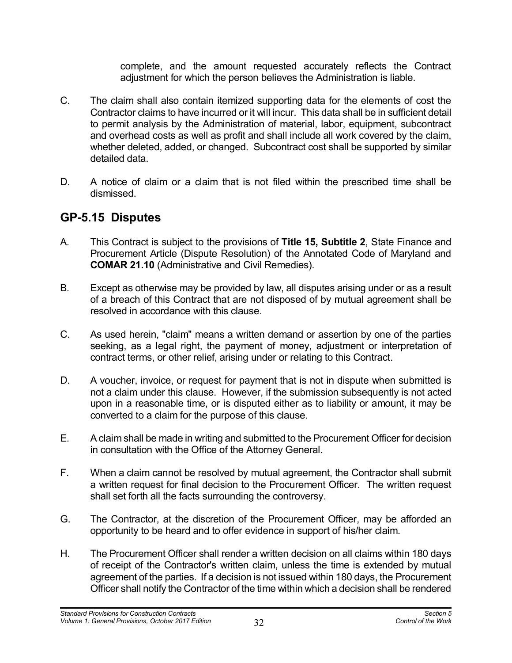complete, and the amount requested accurately reflects the Contract adjustment for which the person believes the Administration is liable.

- C. The claim shall also contain itemized supporting data for the elements of cost the Contractor claims to have incurred or it will incur. This data shall be in sufficient detail to permit analysis by the Administration of material, labor, equipment, subcontract and overhead costs as well as profit and shall include all work covered by the claim, whether deleted, added, or changed. Subcontract cost shall be supported by similar detailed data.
- D. A notice of claim or a claim that is not filed within the prescribed time shall be dismissed.

### **GP-5.15 Disputes**

- A. This Contract is subject to the provisions of **Title 15, Subtitle 2**, State Finance and Procurement Article (Dispute Resolution) of the Annotated Code of Maryland and **COMAR 21.10** (Administrative and Civil Remedies).
- B. Except as otherwise may be provided by law, all disputes arising under or as a result of a breach of this Contract that are not disposed of by mutual agreement shall be resolved in accordance with this clause.
- C. As used herein, "claim" means a written demand or assertion by one of the parties seeking, as a legal right, the payment of money, adjustment or interpretation of contract terms, or other relief, arising under or relating to this Contract.
- D. A voucher, invoice, or request for payment that is not in dispute when submitted is not a claim under this clause. However, if the submission subsequently is not acted upon in a reasonable time, or is disputed either as to liability or amount, it may be converted to a claim for the purpose of this clause.
- E. A claim shall be made in writing and submitted to the Procurement Officer for decision in consultation with the Office of the Attorney General.
- F. When a claim cannot be resolved by mutual agreement, the Contractor shall submit a written request for final decision to the Procurement Officer. The written request shall set forth all the facts surrounding the controversy.
- G. The Contractor, at the discretion of the Procurement Officer, may be afforded an opportunity to be heard and to offer evidence in support of his/her claim.
- H. The Procurement Officer shall render a written decision on all claims within 180 days of receipt of the Contractor's written claim, unless the time is extended by mutual agreement of the parties. If a decision is not issued within 180 days, the Procurement Officer shall notify the Contractor of the time within which a decision shall be rendered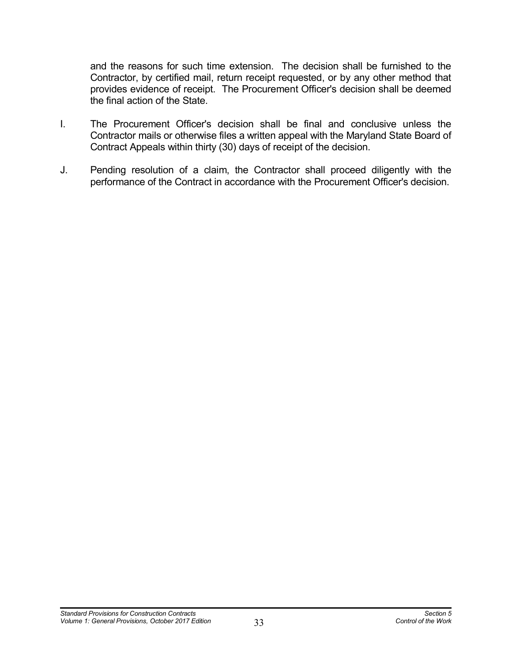and the reasons for such time extension. The decision shall be furnished to the Contractor, by certified mail, return receipt requested, or by any other method that provides evidence of receipt. The Procurement Officer's decision shall be deemed the final action of the State.

- I. The Procurement Officer's decision shall be final and conclusive unless the Contractor mails or otherwise files a written appeal with the Maryland State Board of Contract Appeals within thirty (30) days of receipt of the decision.
- J. Pending resolution of a claim, the Contractor shall proceed diligently with the performance of the Contract in accordance with the Procurement Officer's decision.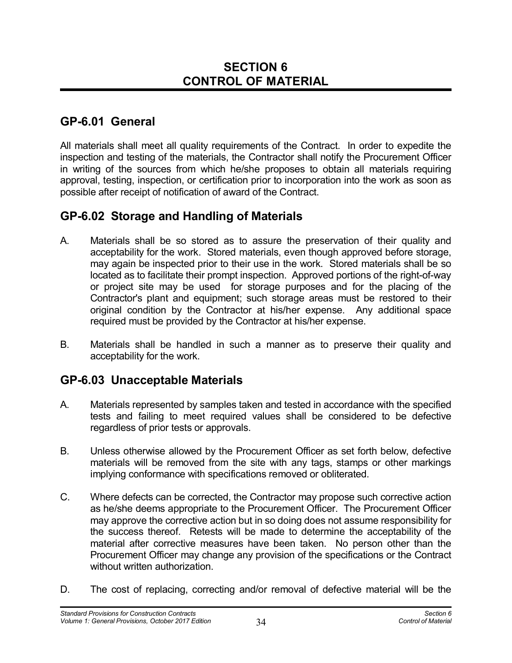#### **GP-6.01 General**

All materials shall meet all quality requirements of the Contract. In order to expedite the inspection and testing of the materials, the Contractor shall notify the Procurement Officer in writing of the sources from which he/she proposes to obtain all materials requiring approval, testing, inspection, or certification prior to incorporation into the work as soon as possible after receipt of notification of award of the Contract.

#### **GP-6.02 Storage and Handling of Materials**

- A. Materials shall be so stored as to assure the preservation of their quality and acceptability for the work. Stored materials, even though approved before storage, may again be inspected prior to their use in the work. Stored materials shall be so located as to facilitate their prompt inspection. Approved portions of the right-of-way or project site may be used for storage purposes and for the placing of the Contractor's plant and equipment; such storage areas must be restored to their original condition by the Contractor at his/her expense. Any additional space required must be provided by the Contractor at his/her expense.
- B. Materials shall be handled in such a manner as to preserve their quality and acceptability for the work.

#### **GP-6.03 Unacceptable Materials**

- A. Materials represented by samples taken and tested in accordance with the specified tests and failing to meet required values shall be considered to be defective regardless of prior tests or approvals.
- B. Unless otherwise allowed by the Procurement Officer as set forth below, defective materials will be removed from the site with any tags, stamps or other markings implying conformance with specifications removed or obliterated.
- C. Where defects can be corrected, the Contractor may propose such corrective action as he/she deems appropriate to the Procurement Officer. The Procurement Officer may approve the corrective action but in so doing does not assume responsibility for the success thereof. Retests will be made to determine the acceptability of the material after corrective measures have been taken. No person other than the Procurement Officer may change any provision of the specifications or the Contract without written authorization.
- D. The cost of replacing, correcting and/or removal of defective material will be the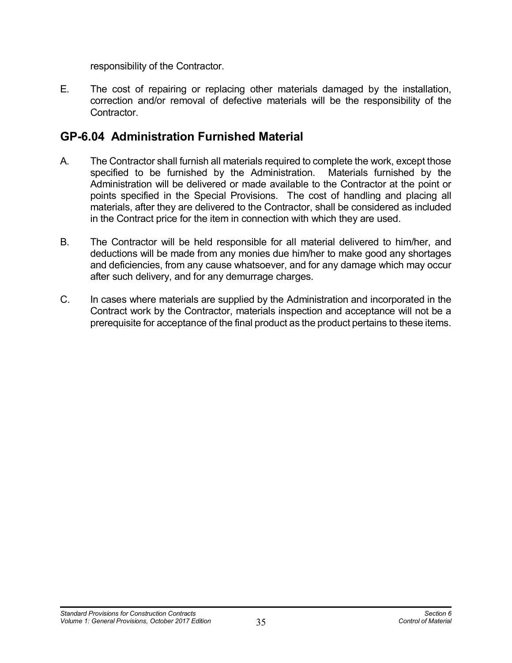responsibility of the Contractor.

E. The cost of repairing or replacing other materials damaged by the installation, correction and/or removal of defective materials will be the responsibility of the Contractor.

#### **GP-6.04 Administration Furnished Material**

- A. The Contractor shall furnish all materials required to complete the work, except those specified to be furnished by the Administration. Materials furnished by the Administration will be delivered or made available to the Contractor at the point or points specified in the Special Provisions. The cost of handling and placing all materials, after they are delivered to the Contractor, shall be considered as included in the Contract price for the item in connection with which they are used.
- B. The Contractor will be held responsible for all material delivered to him/her, and deductions will be made from any monies due him/her to make good any shortages and deficiencies, from any cause whatsoever, and for any damage which may occur after such delivery, and for any demurrage charges.
- C. In cases where materials are supplied by the Administration and incorporated in the Contract work by the Contractor, materials inspection and acceptance will not be a prerequisite for acceptance of the final product as the product pertains to these items.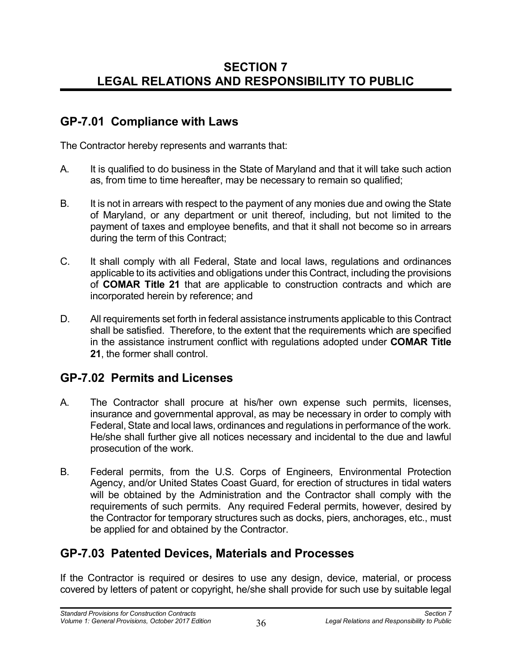#### **SECTION 7 LEGAL RELATIONS AND RESPONSIBILITY TO PUBLIC**

### **GP-7.01 Compliance with Laws**

The Contractor hereby represents and warrants that:

- A. It is qualified to do business in the State of Maryland and that it will take such action as, from time to time hereafter, may be necessary to remain so qualified;
- B. It is not in arrears with respect to the payment of any monies due and owing the State of Maryland, or any department or unit thereof, including, but not limited to the payment of taxes and employee benefits, and that it shall not become so in arrears during the term of this Contract;
- C. It shall comply with all Federal, State and local laws, regulations and ordinances applicable to its activities and obligations under this Contract, including the provisions of **COMAR Title 21** that are applicable to construction contracts and which are incorporated herein by reference; and
- D. All requirements set forth in federal assistance instruments applicable to this Contract shall be satisfied. Therefore, to the extent that the requirements which are specified in the assistance instrument conflict with regulations adopted under **COMAR Title 21**, the former shall control.

#### **GP-7.02 Permits and Licenses**

- A. The Contractor shall procure at his/her own expense such permits, licenses, insurance and governmental approval, as may be necessary in order to comply with Federal, State and local laws, ordinances and regulations in performance of the work. He/she shall further give all notices necessary and incidental to the due and lawful prosecution of the work.
- B. Federal permits, from the U.S. Corps of Engineers, Environmental Protection Agency, and/or United States Coast Guard, for erection of structures in tidal waters will be obtained by the Administration and the Contractor shall comply with the requirements of such permits. Any required Federal permits, however, desired by the Contractor for temporary structures such as docks, piers, anchorages, etc., must be applied for and obtained by the Contractor.

#### **GP-7.03 Patented Devices, Materials and Processes**

If the Contractor is required or desires to use any design, device, material, or process covered by letters of patent or copyright, he/she shall provide for such use by suitable legal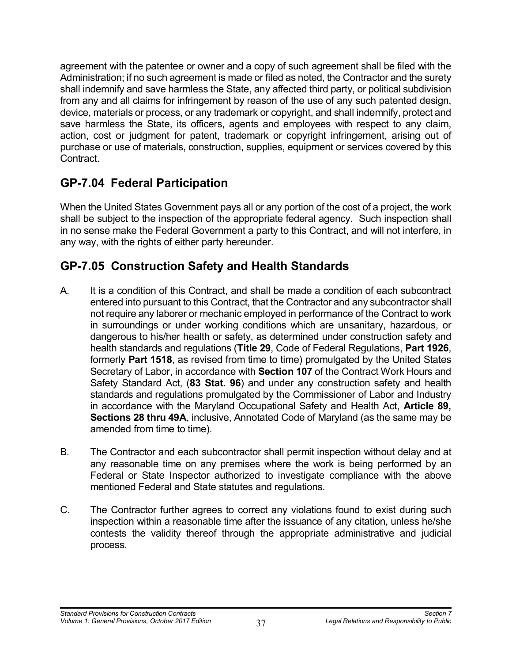agreement with the patentee or owner and a copy of such agreement shall be filed with the Administration; if no such agreement is made or filed as noted, the Contractor and the surety shall indemnify and save harmless the State, any affected third party, or political subdivision from any and all claims for infringement by reason of the use of any such patented design, device, materials or process, or any trademark or copyright, and shall indemnify, protect and save harmless the State, its officers, agents and employees with respect to any claim, action, cost or judgment for patent, trademark or copyright infringement, arising out of purchase or use of materials, construction, supplies, equipment or services covered by this Contract.

# **GP-7.04 Federal Participation**

When the United States Government pays all or any portion of the cost of a project, the work shall be subject to the inspection of the appropriate federal agency. Such inspection shall in no sense make the Federal Government a party to this Contract, and will not interfere, in any way, with the rights of either party hereunder.

## **GP-7.05 Construction Safety and Health Standards**

- A. It is a condition of this Contract, and shall be made a condition of each subcontract entered into pursuant to this Contract, that the Contractor and any subcontractor shall not require any laborer or mechanic employed in performance of the Contract to work in surroundings or under working conditions which are unsanitary, hazardous, or dangerous to his/her health or safety, as determined under construction safety and health standards and regulations (**Title 29**, Code of Federal Regulations, **Part 1926**, formerly **Part 1518**, as revised from time to time) promulgated by the United States Secretary of Labor, in accordance with **Section 107** of the Contract Work Hours and Safety Standard Act, (**83 Stat. 96**) and under any construction safety and health standards and regulations promulgated by the Commissioner of Labor and Industry in accordance with the Maryland Occupational Safety and Health Act, **Article 89, Sections 28 thru 49A**, inclusive, Annotated Code of Maryland (as the same may be amended from time to time).
- B. The Contractor and each subcontractor shall permit inspection without delay and at any reasonable time on any premises where the work is being performed by an Federal or State Inspector authorized to investigate compliance with the above mentioned Federal and State statutes and regulations.
- C. The Contractor further agrees to correct any violations found to exist during such inspection within a reasonable time after the issuance of any citation, unless he/she contests the validity thereof through the appropriate administrative and judicial process.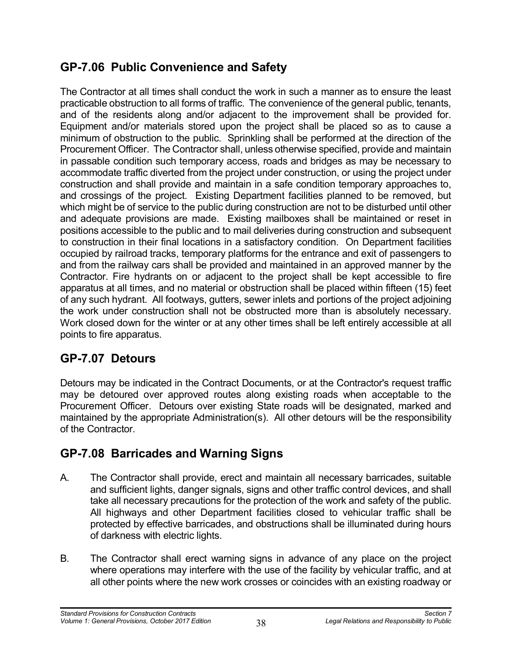# **GP-7.06 Public Convenience and Safety**

The Contractor at all times shall conduct the work in such a manner as to ensure the least practicable obstruction to all forms of traffic. The convenience of the general public, tenants, and of the residents along and/or adjacent to the improvement shall be provided for. Equipment and/or materials stored upon the project shall be placed so as to cause a minimum of obstruction to the public. Sprinkling shall be performed at the direction of the Procurement Officer. The Contractor shall, unless otherwise specified, provide and maintain in passable condition such temporary access, roads and bridges as may be necessary to accommodate traffic diverted from the project under construction, or using the project under construction and shall provide and maintain in a safe condition temporary approaches to, and crossings of the project. Existing Department facilities planned to be removed, but which might be of service to the public during construction are not to be disturbed until other and adequate provisions are made. Existing mailboxes shall be maintained or reset in positions accessible to the public and to mail deliveries during construction and subsequent to construction in their final locations in a satisfactory condition. On Department facilities occupied by railroad tracks, temporary platforms for the entrance and exit of passengers to and from the railway cars shall be provided and maintained in an approved manner by the Contractor. Fire hydrants on or adjacent to the project shall be kept accessible to fire apparatus at all times, and no material or obstruction shall be placed within fifteen (15) feet of any such hydrant. All footways, gutters, sewer inlets and portions of the project adjoining the work under construction shall not be obstructed more than is absolutely necessary. Work closed down for the winter or at any other times shall be left entirely accessible at all points to fire apparatus.

# **GP-7.07 Detours**

Detours may be indicated in the Contract Documents, or at the Contractor's request traffic may be detoured over approved routes along existing roads when acceptable to the Procurement Officer. Detours over existing State roads will be designated, marked and maintained by the appropriate Administration(s). All other detours will be the responsibility of the Contractor.

# **GP-7.08 Barricades and Warning Signs**

- A. The Contractor shall provide, erect and maintain all necessary barricades, suitable and sufficient lights, danger signals, signs and other traffic control devices, and shall take all necessary precautions for the protection of the work and safety of the public. All highways and other Department facilities closed to vehicular traffic shall be protected by effective barricades, and obstructions shall be illuminated during hours of darkness with electric lights.
- B. The Contractor shall erect warning signs in advance of any place on the project where operations may interfere with the use of the facility by vehicular traffic, and at all other points where the new work crosses or coincides with an existing roadway or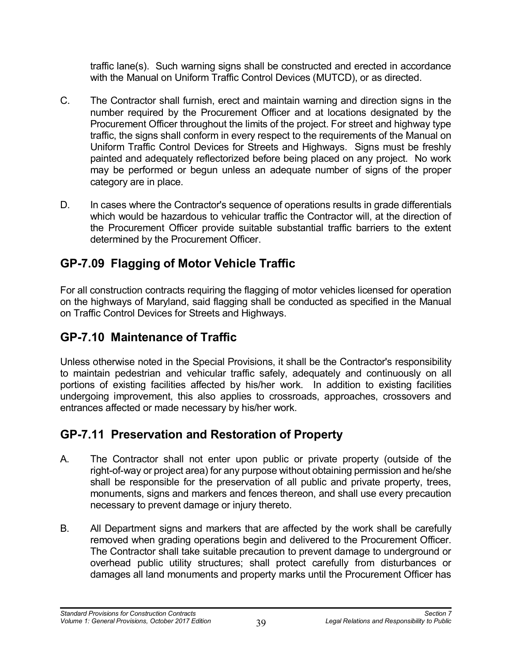traffic lane(s). Such warning signs shall be constructed and erected in accordance with the Manual on Uniform Traffic Control Devices (MUTCD), or as directed.

- C. The Contractor shall furnish, erect and maintain warning and direction signs in the number required by the Procurement Officer and at locations designated by the Procurement Officer throughout the limits of the project. For street and highway type traffic, the signs shall conform in every respect to the requirements of the Manual on Uniform Traffic Control Devices for Streets and Highways. Signs must be freshly painted and adequately reflectorized before being placed on any project. No work may be performed or begun unless an adequate number of signs of the proper category are in place.
- D. In cases where the Contractor's sequence of operations results in grade differentials which would be hazardous to vehicular traffic the Contractor will, at the direction of the Procurement Officer provide suitable substantial traffic barriers to the extent determined by the Procurement Officer.

# **GP-7.09 Flagging of Motor Vehicle Traffic**

For all construction contracts requiring the flagging of motor vehicles licensed for operation on the highways of Maryland, said flagging shall be conducted as specified in the Manual on Traffic Control Devices for Streets and Highways.

# **GP-7.10 Maintenance of Traffic**

Unless otherwise noted in the Special Provisions, it shall be the Contractor's responsibility to maintain pedestrian and vehicular traffic safely, adequately and continuously on all portions of existing facilities affected by his/her work. In addition to existing facilities undergoing improvement, this also applies to crossroads, approaches, crossovers and entrances affected or made necessary by his/her work.

## **GP-7.11 Preservation and Restoration of Property**

- A. The Contractor shall not enter upon public or private property (outside of the right-of-way or project area) for any purpose without obtaining permission and he/she shall be responsible for the preservation of all public and private property, trees, monuments, signs and markers and fences thereon, and shall use every precaution necessary to prevent damage or injury thereto.
- B. All Department signs and markers that are affected by the work shall be carefully removed when grading operations begin and delivered to the Procurement Officer. The Contractor shall take suitable precaution to prevent damage to underground or overhead public utility structures; shall protect carefully from disturbances or damages all land monuments and property marks until the Procurement Officer has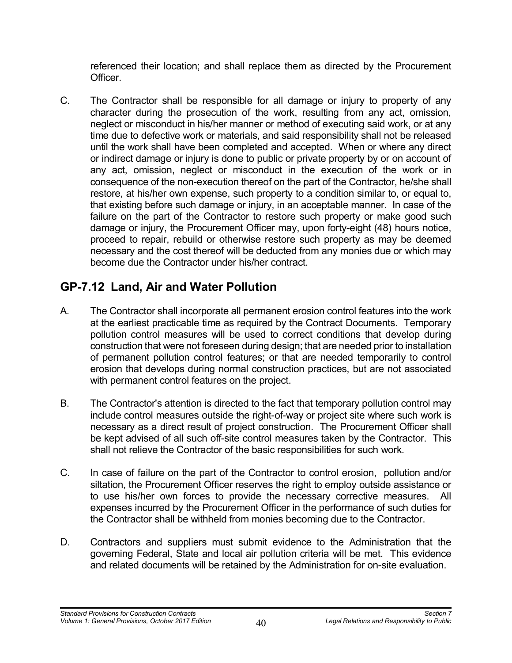referenced their location; and shall replace them as directed by the Procurement **Officer** 

C. The Contractor shall be responsible for all damage or injury to property of any character during the prosecution of the work, resulting from any act, omission, neglect or misconduct in his/her manner or method of executing said work, or at any time due to defective work or materials, and said responsibility shall not be released until the work shall have been completed and accepted. When or where any direct or indirect damage or injury is done to public or private property by or on account of any act, omission, neglect or misconduct in the execution of the work or in consequence of the non-execution thereof on the part of the Contractor, he/she shall restore, at his/her own expense, such property to a condition similar to, or equal to, that existing before such damage or injury, in an acceptable manner. In case of the failure on the part of the Contractor to restore such property or make good such damage or injury, the Procurement Officer may, upon forty-eight (48) hours notice, proceed to repair, rebuild or otherwise restore such property as may be deemed necessary and the cost thereof will be deducted from any monies due or which may become due the Contractor under his/her contract.

# **GP-7.12 Land, Air and Water Pollution**

- A. The Contractor shall incorporate all permanent erosion control features into the work at the earliest practicable time as required by the Contract Documents. Temporary pollution control measures will be used to correct conditions that develop during construction that were not foreseen during design; that are needed prior to installation of permanent pollution control features; or that are needed temporarily to control erosion that develops during normal construction practices, but are not associated with permanent control features on the project.
- B. The Contractor's attention is directed to the fact that temporary pollution control may include control measures outside the right-of-way or project site where such work is necessary as a direct result of project construction. The Procurement Officer shall be kept advised of all such off-site control measures taken by the Contractor. This shall not relieve the Contractor of the basic responsibilities for such work.
- C. In case of failure on the part of the Contractor to control erosion, pollution and/or siltation, the Procurement Officer reserves the right to employ outside assistance or to use his/her own forces to provide the necessary corrective measures. All expenses incurred by the Procurement Officer in the performance of such duties for the Contractor shall be withheld from monies becoming due to the Contractor.
- D. Contractors and suppliers must submit evidence to the Administration that the governing Federal, State and local air pollution criteria will be met. This evidence and related documents will be retained by the Administration for on-site evaluation.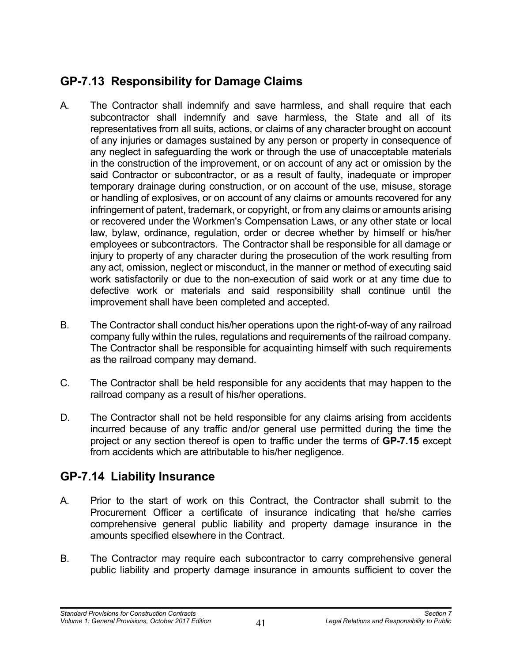## **GP-7.13 Responsibility for Damage Claims**

- A. The Contractor shall indemnify and save harmless, and shall require that each subcontractor shall indemnify and save harmless, the State and all of its representatives from all suits, actions, or claims of any character brought on account of any injuries or damages sustained by any person or property in consequence of any neglect in safeguarding the work or through the use of unacceptable materials in the construction of the improvement, or on account of any act or omission by the said Contractor or subcontractor, or as a result of faulty, inadequate or improper temporary drainage during construction, or on account of the use, misuse, storage or handling of explosives, or on account of any claims or amounts recovered for any infringement of patent, trademark, or copyright, or from any claims or amounts arising or recovered under the Workmen's Compensation Laws, or any other state or local law, bylaw, ordinance, regulation, order or decree whether by himself or his/her employees or subcontractors. The Contractor shall be responsible for all damage or injury to property of any character during the prosecution of the work resulting from any act, omission, neglect or misconduct, in the manner or method of executing said work satisfactorily or due to the non-execution of said work or at any time due to defective work or materials and said responsibility shall continue until the improvement shall have been completed and accepted.
- B. The Contractor shall conduct his/her operations upon the right-of-way of any railroad company fully within the rules, regulations and requirements of the railroad company. The Contractor shall be responsible for acquainting himself with such requirements as the railroad company may demand.
- C. The Contractor shall be held responsible for any accidents that may happen to the railroad company as a result of his/her operations.
- D. The Contractor shall not be held responsible for any claims arising from accidents incurred because of any traffic and/or general use permitted during the time the project or any section thereof is open to traffic under the terms of **GP-7.15** except from accidents which are attributable to his/her negligence.

## **GP-7.14 Liability Insurance**

- A. Prior to the start of work on this Contract, the Contractor shall submit to the Procurement Officer a certificate of insurance indicating that he/she carries comprehensive general public liability and property damage insurance in the amounts specified elsewhere in the Contract.
- B. The Contractor may require each subcontractor to carry comprehensive general public liability and property damage insurance in amounts sufficient to cover the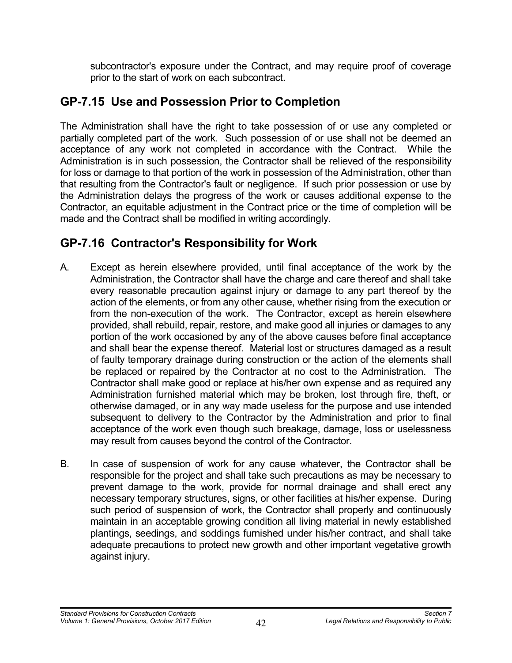subcontractor's exposure under the Contract, and may require proof of coverage prior to the start of work on each subcontract.

### **GP-7.15 Use and Possession Prior to Completion**

The Administration shall have the right to take possession of or use any completed or partially completed part of the work. Such possession of or use shall not be deemed an acceptance of any work not completed in accordance with the Contract. While the Administration is in such possession, the Contractor shall be relieved of the responsibility for loss or damage to that portion of the work in possession of the Administration, other than that resulting from the Contractor's fault or negligence. If such prior possession or use by the Administration delays the progress of the work or causes additional expense to the Contractor, an equitable adjustment in the Contract price or the time of completion will be made and the Contract shall be modified in writing accordingly.

## **GP-7.16 Contractor's Responsibility for Work**

- A. Except as herein elsewhere provided, until final acceptance of the work by the Administration, the Contractor shall have the charge and care thereof and shall take every reasonable precaution against injury or damage to any part thereof by the action of the elements, or from any other cause, whether rising from the execution or from the non-execution of the work. The Contractor, except as herein elsewhere provided, shall rebuild, repair, restore, and make good all injuries or damages to any portion of the work occasioned by any of the above causes before final acceptance and shall bear the expense thereof. Material lost or structures damaged as a result of faulty temporary drainage during construction or the action of the elements shall be replaced or repaired by the Contractor at no cost to the Administration. The Contractor shall make good or replace at his/her own expense and as required any Administration furnished material which may be broken, lost through fire, theft, or otherwise damaged, or in any way made useless for the purpose and use intended subsequent to delivery to the Contractor by the Administration and prior to final acceptance of the work even though such breakage, damage, loss or uselessness may result from causes beyond the control of the Contractor.
- B. In case of suspension of work for any cause whatever, the Contractor shall be responsible for the project and shall take such precautions as may be necessary to prevent damage to the work, provide for normal drainage and shall erect any necessary temporary structures, signs, or other facilities at his/her expense. During such period of suspension of work, the Contractor shall properly and continuously maintain in an acceptable growing condition all living material in newly established plantings, seedings, and soddings furnished under his/her contract, and shall take adequate precautions to protect new growth and other important vegetative growth against injury.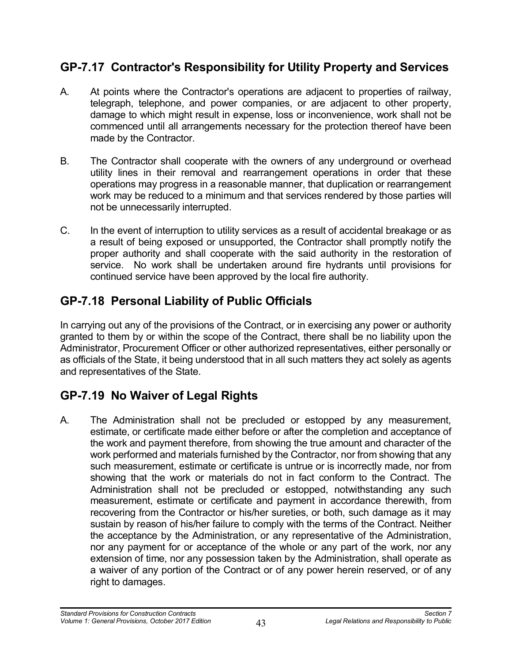### **GP-7.17 Contractor's Responsibility for Utility Property and Services**

- A. At points where the Contractor's operations are adjacent to properties of railway, telegraph, telephone, and power companies, or are adjacent to other property, damage to which might result in expense, loss or inconvenience, work shall not be commenced until all arrangements necessary for the protection thereof have been made by the Contractor.
- B. The Contractor shall cooperate with the owners of any underground or overhead utility lines in their removal and rearrangement operations in order that these operations may progress in a reasonable manner, that duplication or rearrangement work may be reduced to a minimum and that services rendered by those parties will not be unnecessarily interrupted.
- C. In the event of interruption to utility services as a result of accidental breakage or as a result of being exposed or unsupported, the Contractor shall promptly notify the proper authority and shall cooperate with the said authority in the restoration of service. No work shall be undertaken around fire hydrants until provisions for continued service have been approved by the local fire authority.

# **GP-7.18 Personal Liability of Public Officials**

In carrying out any of the provisions of the Contract, or in exercising any power or authority granted to them by or within the scope of the Contract, there shall be no liability upon the Administrator, Procurement Officer or other authorized representatives, either personally or as officials of the State, it being understood that in all such matters they act solely as agents and representatives of the State.

# **GP-7.19 No Waiver of Legal Rights**

A. The Administration shall not be precluded or estopped by any measurement, estimate, or certificate made either before or after the completion and acceptance of the work and payment therefore, from showing the true amount and character of the work performed and materials furnished by the Contractor, nor from showing that any such measurement, estimate or certificate is untrue or is incorrectly made, nor from showing that the work or materials do not in fact conform to the Contract. The Administration shall not be precluded or estopped, notwithstanding any such measurement, estimate or certificate and payment in accordance therewith, from recovering from the Contractor or his/her sureties, or both, such damage as it may sustain by reason of his/her failure to comply with the terms of the Contract. Neither the acceptance by the Administration, or any representative of the Administration, nor any payment for or acceptance of the whole or any part of the work, nor any extension of time, nor any possession taken by the Administration, shall operate as a waiver of any portion of the Contract or of any power herein reserved, or of any right to damages.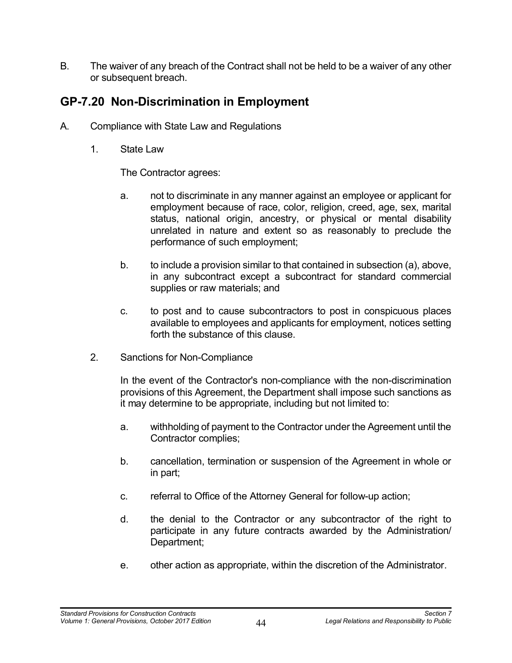B. The waiver of any breach of the Contract shall not be held to be a waiver of any other or subsequent breach.

#### **GP-7.20 Non-Discrimination in Employment**

- A. Compliance with State Law and Regulations
	- 1. State Law

The Contractor agrees:

- a. not to discriminate in any manner against an employee or applicant for employment because of race, color, religion, creed, age, sex, marital status, national origin, ancestry, or physical or mental disability unrelated in nature and extent so as reasonably to preclude the performance of such employment;
- b. to include a provision similar to that contained in subsection (a), above, in any subcontract except a subcontract for standard commercial supplies or raw materials; and
- c. to post and to cause subcontractors to post in conspicuous places available to employees and applicants for employment, notices setting forth the substance of this clause.
- 2. Sanctions for Non-Compliance

In the event of the Contractor's non-compliance with the non-discrimination provisions of this Agreement, the Department shall impose such sanctions as it may determine to be appropriate, including but not limited to:

- a. withholding of payment to the Contractor under the Agreement until the Contractor complies;
- b. cancellation, termination or suspension of the Agreement in whole or in part;
- c. referral to Office of the Attorney General for follow-up action;
- d. the denial to the Contractor or any subcontractor of the right to participate in any future contracts awarded by the Administration/ Department;
- e. other action as appropriate, within the discretion of the Administrator.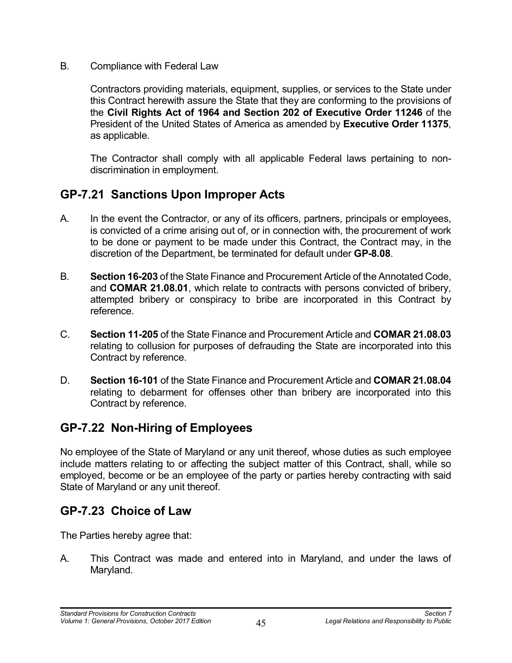B. Compliance with Federal Law

Contractors providing materials, equipment, supplies, or services to the State under this Contract herewith assure the State that they are conforming to the provisions of the **Civil Rights Act of 1964 and Section 202 of Executive Order 11246** of the President of the United States of America as amended by **Executive Order 11375**, as applicable.

The Contractor shall comply with all applicable Federal laws pertaining to nondiscrimination in employment.

## **GP-7.21 Sanctions Upon Improper Acts**

- A. In the event the Contractor, or any of its officers, partners, principals or employees, is convicted of a crime arising out of, or in connection with, the procurement of work to be done or payment to be made under this Contract, the Contract may, in the discretion of the Department, be terminated for default under **GP-8.08**.
- B. **Section 16-203** of the State Finance and Procurement Article of the Annotated Code, and **COMAR 21.08.01**, which relate to contracts with persons convicted of bribery, attempted bribery or conspiracy to bribe are incorporated in this Contract by reference.
- C. **Section 11-205** of the State Finance and Procurement Article and **COMAR 21.08.03** relating to collusion for purposes of defrauding the State are incorporated into this Contract by reference.
- D. **Section 16-101** of the State Finance and Procurement Article and **COMAR 21.08.04** relating to debarment for offenses other than bribery are incorporated into this Contract by reference.

## **GP-7.22 Non-Hiring of Employees**

No employee of the State of Maryland or any unit thereof, whose duties as such employee include matters relating to or affecting the subject matter of this Contract, shall, while so employed, become or be an employee of the party or parties hereby contracting with said State of Maryland or any unit thereof.

## **GP-7.23 Choice of Law**

The Parties hereby agree that:

A. This Contract was made and entered into in Maryland, and under the laws of Maryland.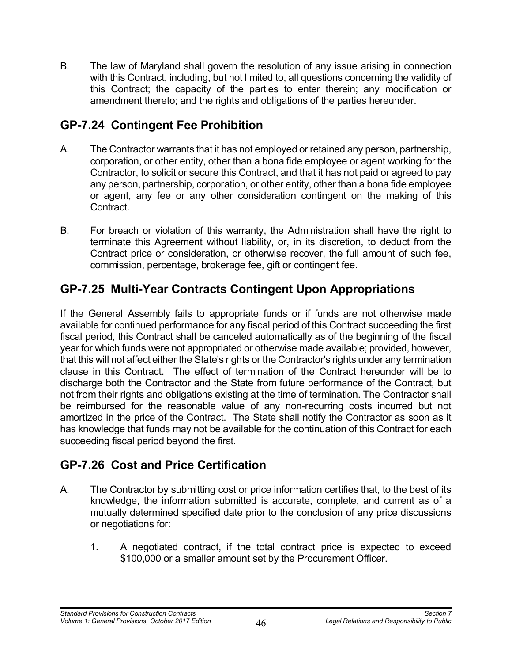B. The law of Maryland shall govern the resolution of any issue arising in connection with this Contract, including, but not limited to, all questions concerning the validity of this Contract; the capacity of the parties to enter therein; any modification or amendment thereto; and the rights and obligations of the parties hereunder.

## **GP-7.24 Contingent Fee Prohibition**

- A. The Contractor warrants that it has not employed or retained any person, partnership, corporation, or other entity, other than a bona fide employee or agent working for the Contractor, to solicit or secure this Contract, and that it has not paid or agreed to pay any person, partnership, corporation, or other entity, other than a bona fide employee or agent, any fee or any other consideration contingent on the making of this Contract.
- B. For breach or violation of this warranty, the Administration shall have the right to terminate this Agreement without liability, or, in its discretion, to deduct from the Contract price or consideration, or otherwise recover, the full amount of such fee, commission, percentage, brokerage fee, gift or contingent fee.

# **GP-7.25 Multi-Year Contracts Contingent Upon Appropriations**

If the General Assembly fails to appropriate funds or if funds are not otherwise made available for continued performance for any fiscal period of this Contract succeeding the first fiscal period, this Contract shall be canceled automatically as of the beginning of the fiscal year for which funds were not appropriated or otherwise made available; provided, however, that this will not affect either the State's rights or the Contractor's rights under any termination clause in this Contract. The effect of termination of the Contract hereunder will be to discharge both the Contractor and the State from future performance of the Contract, but not from their rights and obligations existing at the time of termination. The Contractor shall be reimbursed for the reasonable value of any non-recurring costs incurred but not amortized in the price of the Contract. The State shall notify the Contractor as soon as it has knowledge that funds may not be available for the continuation of this Contract for each succeeding fiscal period beyond the first.

## **GP-7.26 Cost and Price Certification**

- A. The Contractor by submitting cost or price information certifies that, to the best of its knowledge, the information submitted is accurate, complete, and current as of a mutually determined specified date prior to the conclusion of any price discussions or negotiations for:
	- 1. A negotiated contract, if the total contract price is expected to exceed \$100,000 or a smaller amount set by the Procurement Officer.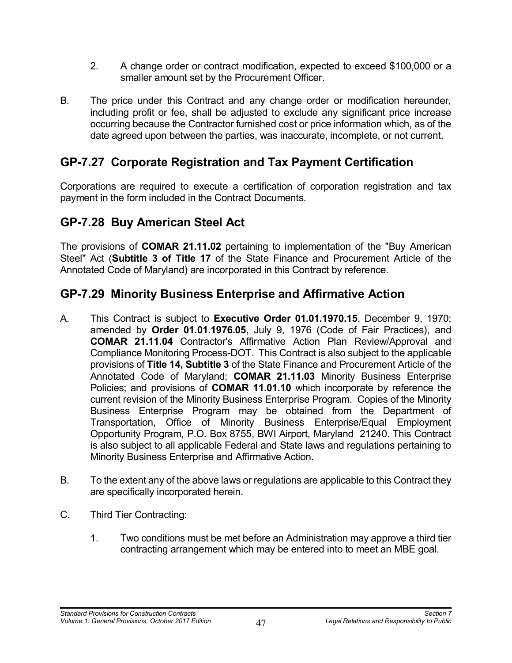- 2. A change order or contract modification, expected to exceed \$100,000 or a smaller amount set by the Procurement Officer.
- B. The price under this Contract and any change order or modification hereunder, including profit or fee, shall be adjusted to exclude any significant price increase occurring because the Contractor furnished cost or price information which, as of the date agreed upon between the parties, was inaccurate, incomplete, or not current.

#### **GP-7.27 Corporate Registration and Tax Payment Certification**

Corporations are required to execute a certification of corporation registration and tax payment in the form included in the Contract Documents.

### **GP-7.28 Buy American Steel Act**

The provisions of **COMAR 21.11.02** pertaining to implementation of the "Buy American Steel" Act (**Subtitle 3 of Title 17** of the State Finance and Procurement Article of the Annotated Code of Maryland) are incorporated in this Contract by reference.

### **GP-7.29 Minority Business Enterprise and Affirmative Action**

- A. This Contract is subject to **Executive Order 01.01.1970.15**, December 9, 1970; amended by **Order 01.01.1976.05**, July 9, 1976 (Code of Fair Practices), and **COMAR 21.11.04** Contractor's Affirmative Action Plan Review/Approval and Compliance Monitoring Process-DOT. This Contract is also subject to the applicable provisions of **Title 14, Subtitle 3** of the State Finance and Procurement Article of the Annotated Code of Maryland; **COMAR 21.11.03** Minority Business Enterprise Policies; and provisions of **COMAR 11.01.10** which incorporate by reference the current revision of the Minority Business Enterprise Program. Copies of the Minority Business Enterprise Program may be obtained from the Department of Transportation, Office of Minority Business Enterprise/Equal Employment Opportunity Program, P.O. Box 8755, BWI Airport, Maryland 21240. This Contract is also subject to all applicable Federal and State laws and regulations pertaining to Minority Business Enterprise and Affirmative Action.
- B. To the extent any of the above laws or regulations are applicable to this Contract they are specifically incorporated herein.
- C. Third Tier Contracting:
	- 1. Two conditions must be met before an Administration may approve a third tier contracting arrangement which may be entered into to meet an MBE goal.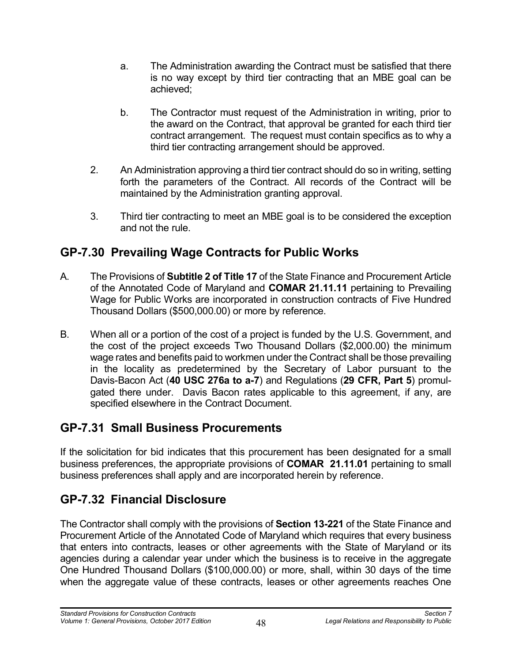- a. The Administration awarding the Contract must be satisfied that there is no way except by third tier contracting that an MBE goal can be achieved;
- b. The Contractor must request of the Administration in writing, prior to the award on the Contract, that approval be granted for each third tier contract arrangement. The request must contain specifics as to why a third tier contracting arrangement should be approved.
- 2. An Administration approving a third tier contract should do so in writing, setting forth the parameters of the Contract. All records of the Contract will be maintained by the Administration granting approval.
- 3. Third tier contracting to meet an MBE goal is to be considered the exception and not the rule.

# **GP-7.30 Prevailing Wage Contracts for Public Works**

- A. The Provisions of **Subtitle 2 of Title 17** of the State Finance and Procurement Article of the Annotated Code of Maryland and **COMAR 21.11.11** pertaining to Prevailing Wage for Public Works are incorporated in construction contracts of Five Hundred Thousand Dollars (\$500,000.00) or more by reference.
- B. When all or a portion of the cost of a project is funded by the U.S. Government, and the cost of the project exceeds Two Thousand Dollars (\$2,000.00) the minimum wage rates and benefits paid to workmen under the Contract shall be those prevailing in the locality as predetermined by the Secretary of Labor pursuant to the Davis-Bacon Act (**40 USC 276a to a-7**) and Regulations (**29 CFR, Part 5**) promulgated there under. Davis Bacon rates applicable to this agreement, if any, are specified elsewhere in the Contract Document.

# **GP-7.31 Small Business Procurements**

If the solicitation for bid indicates that this procurement has been designated for a small business preferences, the appropriate provisions of **COMAR 21.11.01** pertaining to small business preferences shall apply and are incorporated herein by reference.

## **GP-7.32 Financial Disclosure**

The Contractor shall comply with the provisions of **Section 13-221** of the State Finance and Procurement Article of the Annotated Code of Maryland which requires that every business that enters into contracts, leases or other agreements with the State of Maryland or its agencies during a calendar year under which the business is to receive in the aggregate One Hundred Thousand Dollars (\$100,000.00) or more, shall, within 30 days of the time when the aggregate value of these contracts, leases or other agreements reaches One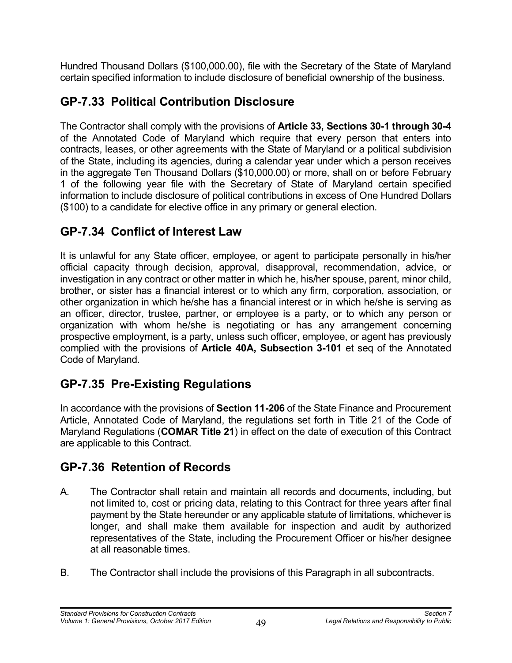Hundred Thousand Dollars (\$100,000.00), file with the Secretary of the State of Maryland certain specified information to include disclosure of beneficial ownership of the business.

## **GP-7.33 Political Contribution Disclosure**

The Contractor shall comply with the provisions of **Article 33, Sections 30-1 through 30-4** of the Annotated Code of Maryland which require that every person that enters into contracts, leases, or other agreements with the State of Maryland or a political subdivision of the State, including its agencies, during a calendar year under which a person receives in the aggregate Ten Thousand Dollars (\$10,000.00) or more, shall on or before February 1 of the following year file with the Secretary of State of Maryland certain specified information to include disclosure of political contributions in excess of One Hundred Dollars (\$100) to a candidate for elective office in any primary or general election.

# **GP-7.34 Conflict of Interest Law**

It is unlawful for any State officer, employee, or agent to participate personally in his/her official capacity through decision, approval, disapproval, recommendation, advice, or investigation in any contract or other matter in which he, his/her spouse, parent, minor child, brother, or sister has a financial interest or to which any firm, corporation, association, or other organization in which he/she has a financial interest or in which he/she is serving as an officer, director, trustee, partner, or employee is a party, or to which any person or organization with whom he/she is negotiating or has any arrangement concerning prospective employment, is a party, unless such officer, employee, or agent has previously complied with the provisions of **Article 40A, Subsection 3-101** et seq of the Annotated Code of Maryland.

# **GP-7.35 Pre-Existing Regulations**

In accordance with the provisions of **Section 11-206** of the State Finance and Procurement Article, Annotated Code of Maryland, the regulations set forth in Title 21 of the Code of Maryland Regulations (**COMAR Title 21**) in effect on the date of execution of this Contract are applicable to this Contract.

## **GP-7.36 Retention of Records**

- A. The Contractor shall retain and maintain all records and documents, including, but not limited to, cost or pricing data, relating to this Contract for three years after final payment by the State hereunder or any applicable statute of limitations, whichever is longer, and shall make them available for inspection and audit by authorized representatives of the State, including the Procurement Officer or his/her designee at all reasonable times.
- B. The Contractor shall include the provisions of this Paragraph in all subcontracts.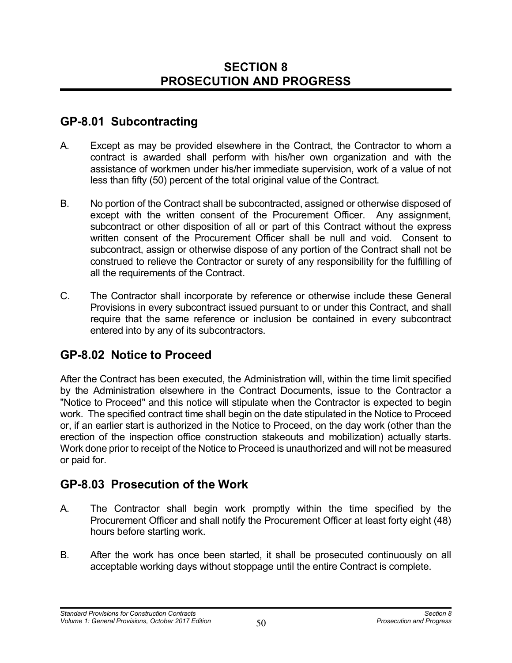### **GP-8.01 Subcontracting**

- A. Except as may be provided elsewhere in the Contract, the Contractor to whom a contract is awarded shall perform with his/her own organization and with the assistance of workmen under his/her immediate supervision, work of a value of not less than fifty (50) percent of the total original value of the Contract.
- B. No portion of the Contract shall be subcontracted, assigned or otherwise disposed of except with the written consent of the Procurement Officer. Any assignment, subcontract or other disposition of all or part of this Contract without the express written consent of the Procurement Officer shall be null and void. Consent to subcontract, assign or otherwise dispose of any portion of the Contract shall not be construed to relieve the Contractor or surety of any responsibility for the fulfilling of all the requirements of the Contract.
- C. The Contractor shall incorporate by reference or otherwise include these General Provisions in every subcontract issued pursuant to or under this Contract, and shall require that the same reference or inclusion be contained in every subcontract entered into by any of its subcontractors.

## **GP-8.02 Notice to Proceed**

After the Contract has been executed, the Administration will, within the time limit specified by the Administration elsewhere in the Contract Documents, issue to the Contractor a "Notice to Proceed" and this notice will stipulate when the Contractor is expected to begin work. The specified contract time shall begin on the date stipulated in the Notice to Proceed or, if an earlier start is authorized in the Notice to Proceed, on the day work (other than the erection of the inspection office construction stakeouts and mobilization) actually starts. Work done prior to receipt of the Notice to Proceed is unauthorized and will not be measured or paid for.

#### **GP-8.03 Prosecution of the Work**

- A. The Contractor shall begin work promptly within the time specified by the Procurement Officer and shall notify the Procurement Officer at least forty eight (48) hours before starting work.
- B. After the work has once been started, it shall be prosecuted continuously on all acceptable working days without stoppage until the entire Contract is complete.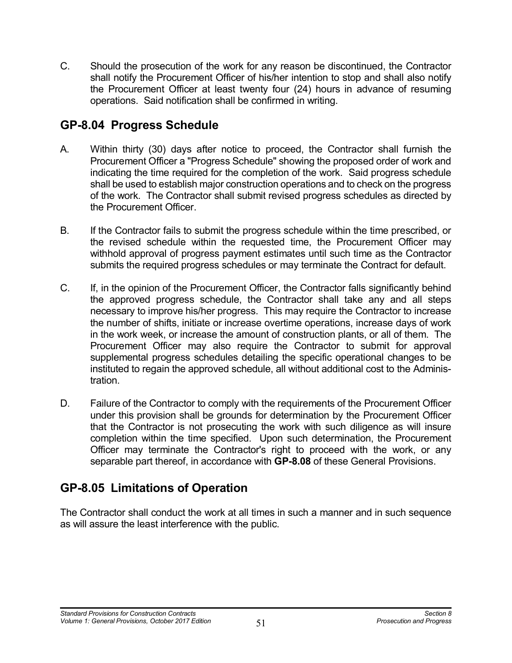C. Should the prosecution of the work for any reason be discontinued, the Contractor shall notify the Procurement Officer of his/her intention to stop and shall also notify the Procurement Officer at least twenty four (24) hours in advance of resuming operations. Said notification shall be confirmed in writing.

### **GP-8.04 Progress Schedule**

- A. Within thirty (30) days after notice to proceed, the Contractor shall furnish the Procurement Officer a "Progress Schedule" showing the proposed order of work and indicating the time required for the completion of the work. Said progress schedule shall be used to establish major construction operations and to check on the progress of the work. The Contractor shall submit revised progress schedules as directed by the Procurement Officer.
- B. If the Contractor fails to submit the progress schedule within the time prescribed, or the revised schedule within the requested time, the Procurement Officer may withhold approval of progress payment estimates until such time as the Contractor submits the required progress schedules or may terminate the Contract for default.
- C. If, in the opinion of the Procurement Officer, the Contractor falls significantly behind the approved progress schedule, the Contractor shall take any and all steps necessary to improve his/her progress. This may require the Contractor to increase the number of shifts, initiate or increase overtime operations, increase days of work in the work week, or increase the amount of construction plants, or all of them. The Procurement Officer may also require the Contractor to submit for approval supplemental progress schedules detailing the specific operational changes to be instituted to regain the approved schedule, all without additional cost to the Administration.
- D. Failure of the Contractor to comply with the requirements of the Procurement Officer under this provision shall be grounds for determination by the Procurement Officer that the Contractor is not prosecuting the work with such diligence as will insure completion within the time specified. Upon such determination, the Procurement Officer may terminate the Contractor's right to proceed with the work, or any separable part thereof, in accordance with **GP-8.08** of these General Provisions.

## **GP-8.05 Limitations of Operation**

The Contractor shall conduct the work at all times in such a manner and in such sequence as will assure the least interference with the public.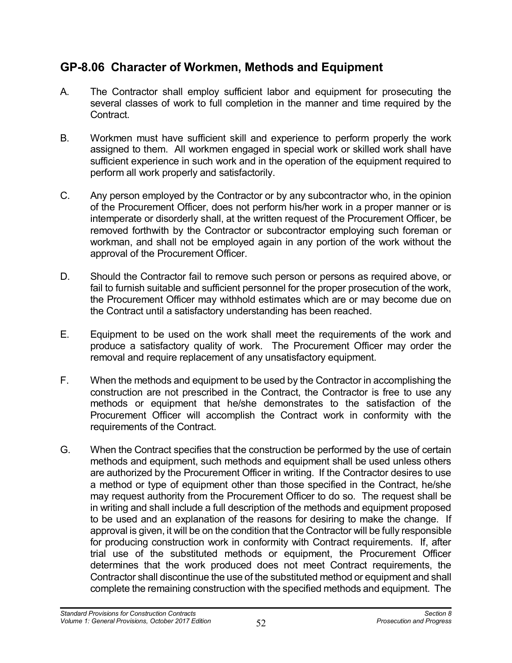#### **GP-8.06 Character of Workmen, Methods and Equipment**

- A. The Contractor shall employ sufficient labor and equipment for prosecuting the several classes of work to full completion in the manner and time required by the Contract.
- B. Workmen must have sufficient skill and experience to perform properly the work assigned to them. All workmen engaged in special work or skilled work shall have sufficient experience in such work and in the operation of the equipment required to perform all work properly and satisfactorily.
- C. Any person employed by the Contractor or by any subcontractor who, in the opinion of the Procurement Officer, does not perform his/her work in a proper manner or is intemperate or disorderly shall, at the written request of the Procurement Officer, be removed forthwith by the Contractor or subcontractor employing such foreman or workman, and shall not be employed again in any portion of the work without the approval of the Procurement Officer.
- D. Should the Contractor fail to remove such person or persons as required above, or fail to furnish suitable and sufficient personnel for the proper prosecution of the work, the Procurement Officer may withhold estimates which are or may become due on the Contract until a satisfactory understanding has been reached.
- E. Equipment to be used on the work shall meet the requirements of the work and produce a satisfactory quality of work. The Procurement Officer may order the removal and require replacement of any unsatisfactory equipment.
- F. When the methods and equipment to be used by the Contractor in accomplishing the construction are not prescribed in the Contract, the Contractor is free to use any methods or equipment that he/she demonstrates to the satisfaction of the Procurement Officer will accomplish the Contract work in conformity with the requirements of the Contract.
- G. When the Contract specifies that the construction be performed by the use of certain methods and equipment, such methods and equipment shall be used unless others are authorized by the Procurement Officer in writing. If the Contractor desires to use a method or type of equipment other than those specified in the Contract, he/she may request authority from the Procurement Officer to do so. The request shall be in writing and shall include a full description of the methods and equipment proposed to be used and an explanation of the reasons for desiring to make the change. If approval is given, it will be on the condition that the Contractor will be fully responsible for producing construction work in conformity with Contract requirements. If, after trial use of the substituted methods or equipment, the Procurement Officer determines that the work produced does not meet Contract requirements, the Contractor shall discontinue the use of the substituted method or equipment and shall complete the remaining construction with the specified methods and equipment. The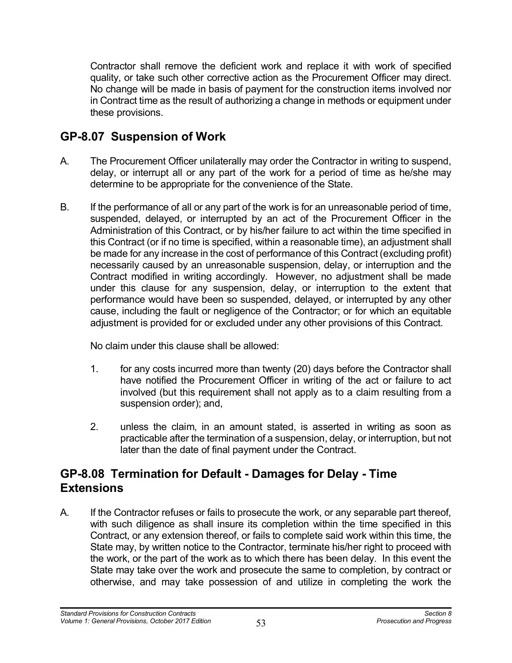Contractor shall remove the deficient work and replace it with work of specified quality, or take such other corrective action as the Procurement Officer may direct. No change will be made in basis of payment for the construction items involved nor in Contract time as the result of authorizing a change in methods or equipment under these provisions.

#### **GP-8.07 Suspension of Work**

- A. The Procurement Officer unilaterally may order the Contractor in writing to suspend, delay, or interrupt all or any part of the work for a period of time as he/she may determine to be appropriate for the convenience of the State.
- B. If the performance of all or any part of the work is for an unreasonable period of time, suspended, delayed, or interrupted by an act of the Procurement Officer in the Administration of this Contract, or by his/her failure to act within the time specified in this Contract (or if no time is specified, within a reasonable time), an adjustment shall be made for any increase in the cost of performance of this Contract (excluding profit) necessarily caused by an unreasonable suspension, delay, or interruption and the Contract modified in writing accordingly. However, no adjustment shall be made under this clause for any suspension, delay, or interruption to the extent that performance would have been so suspended, delayed, or interrupted by any other cause, including the fault or negligence of the Contractor; or for which an equitable adjustment is provided for or excluded under any other provisions of this Contract.

No claim under this clause shall be allowed:

- 1. for any costs incurred more than twenty (20) days before the Contractor shall have notified the Procurement Officer in writing of the act or failure to act involved (but this requirement shall not apply as to a claim resulting from a suspension order); and,
- 2. unless the claim, in an amount stated, is asserted in writing as soon as practicable after the termination of a suspension, delay, or interruption, but not later than the date of final payment under the Contract.

#### **GP-8.08 Termination for Default - Damages for Delay - Time Extensions**

A. If the Contractor refuses or fails to prosecute the work, or any separable part thereof, with such diligence as shall insure its completion within the time specified in this Contract, or any extension thereof, or fails to complete said work within this time, the State may, by written notice to the Contractor, terminate his/her right to proceed with the work, or the part of the work as to which there has been delay. In this event the State may take over the work and prosecute the same to completion, by contract or otherwise, and may take possession of and utilize in completing the work the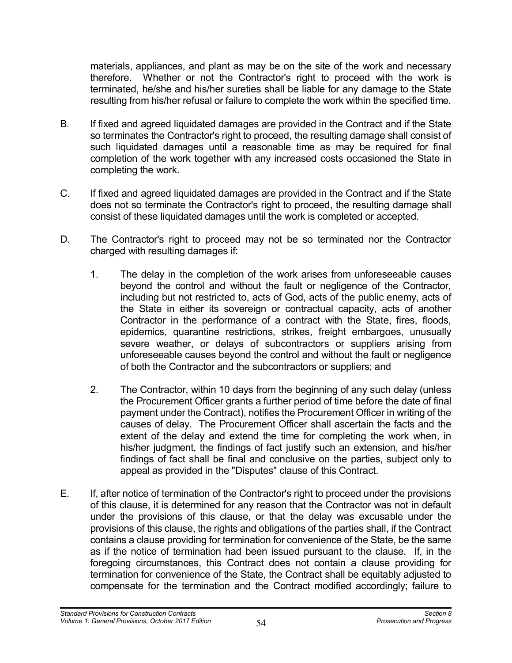materials, appliances, and plant as may be on the site of the work and necessary therefore. Whether or not the Contractor's right to proceed with the work is terminated, he/she and his/her sureties shall be liable for any damage to the State resulting from his/her refusal or failure to complete the work within the specified time.

- B. If fixed and agreed liquidated damages are provided in the Contract and if the State so terminates the Contractor's right to proceed, the resulting damage shall consist of such liquidated damages until a reasonable time as may be required for final completion of the work together with any increased costs occasioned the State in completing the work.
- C. If fixed and agreed liquidated damages are provided in the Contract and if the State does not so terminate the Contractor's right to proceed, the resulting damage shall consist of these liquidated damages until the work is completed or accepted.
- D. The Contractor's right to proceed may not be so terminated nor the Contractor charged with resulting damages if:
	- 1. The delay in the completion of the work arises from unforeseeable causes beyond the control and without the fault or negligence of the Contractor, including but not restricted to, acts of God, acts of the public enemy, acts of the State in either its sovereign or contractual capacity, acts of another Contractor in the performance of a contract with the State, fires, floods, epidemics, quarantine restrictions, strikes, freight embargoes, unusually severe weather, or delays of subcontractors or suppliers arising from unforeseeable causes beyond the control and without the fault or negligence of both the Contractor and the subcontractors or suppliers; and
	- 2. The Contractor, within 10 days from the beginning of any such delay (unless the Procurement Officer grants a further period of time before the date of final payment under the Contract), notifies the Procurement Officer in writing of the causes of delay. The Procurement Officer shall ascertain the facts and the extent of the delay and extend the time for completing the work when, in his/her judgment, the findings of fact justify such an extension, and his/her findings of fact shall be final and conclusive on the parties, subject only to appeal as provided in the "Disputes" clause of this Contract.
- E. If, after notice of termination of the Contractor's right to proceed under the provisions of this clause, it is determined for any reason that the Contractor was not in default under the provisions of this clause, or that the delay was excusable under the provisions of this clause, the rights and obligations of the parties shall, if the Contract contains a clause providing for termination for convenience of the State, be the same as if the notice of termination had been issued pursuant to the clause. If, in the foregoing circumstances, this Contract does not contain a clause providing for termination for convenience of the State, the Contract shall be equitably adjusted to compensate for the termination and the Contract modified accordingly; failure to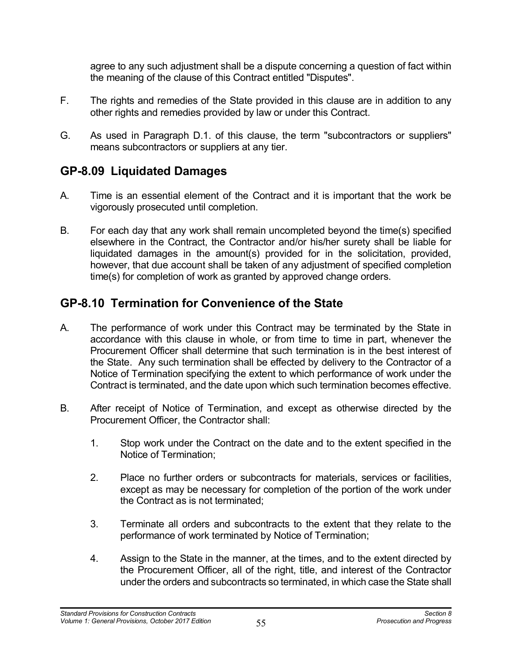agree to any such adjustment shall be a dispute concerning a question of fact within the meaning of the clause of this Contract entitled "Disputes".

- F. The rights and remedies of the State provided in this clause are in addition to any other rights and remedies provided by law or under this Contract.
- G. As used in Paragraph D.1. of this clause, the term "subcontractors or suppliers" means subcontractors or suppliers at any tier.

#### **GP-8.09 Liquidated Damages**

- A. Time is an essential element of the Contract and it is important that the work be vigorously prosecuted until completion.
- B. For each day that any work shall remain uncompleted beyond the time(s) specified elsewhere in the Contract, the Contractor and/or his/her surety shall be liable for liquidated damages in the amount(s) provided for in the solicitation, provided, however, that due account shall be taken of any adjustment of specified completion time(s) for completion of work as granted by approved change orders.

#### **GP-8.10 Termination for Convenience of the State**

- A. The performance of work under this Contract may be terminated by the State in accordance with this clause in whole, or from time to time in part, whenever the Procurement Officer shall determine that such termination is in the best interest of the State. Any such termination shall be effected by delivery to the Contractor of a Notice of Termination specifying the extent to which performance of work under the Contract is terminated, and the date upon which such termination becomes effective.
- B. After receipt of Notice of Termination, and except as otherwise directed by the Procurement Officer, the Contractor shall:
	- 1. Stop work under the Contract on the date and to the extent specified in the Notice of Termination;
	- 2. Place no further orders or subcontracts for materials, services or facilities, except as may be necessary for completion of the portion of the work under the Contract as is not terminated;
	- 3. Terminate all orders and subcontracts to the extent that they relate to the performance of work terminated by Notice of Termination;
	- 4. Assign to the State in the manner, at the times, and to the extent directed by the Procurement Officer, all of the right, title, and interest of the Contractor under the orders and subcontracts so terminated, in which case the State shall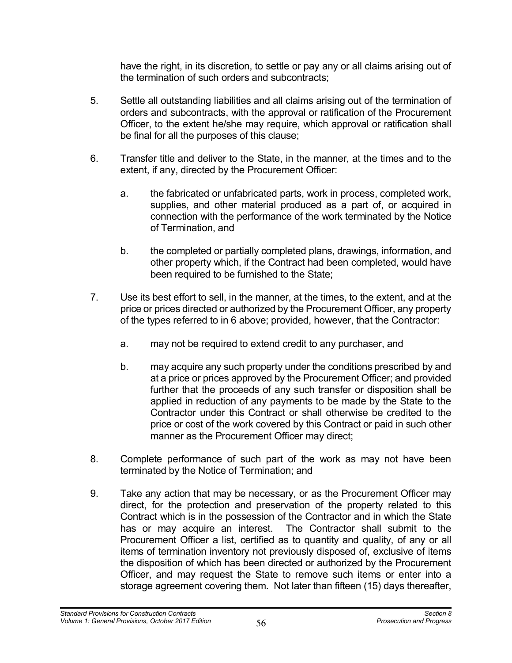have the right, in its discretion, to settle or pay any or all claims arising out of the termination of such orders and subcontracts;

- 5. Settle all outstanding liabilities and all claims arising out of the termination of orders and subcontracts, with the approval or ratification of the Procurement Officer, to the extent he/she may require, which approval or ratification shall be final for all the purposes of this clause;
- 6. Transfer title and deliver to the State, in the manner, at the times and to the extent, if any, directed by the Procurement Officer:
	- a. the fabricated or unfabricated parts, work in process, completed work, supplies, and other material produced as a part of, or acquired in connection with the performance of the work terminated by the Notice of Termination, and
	- b. the completed or partially completed plans, drawings, information, and other property which, if the Contract had been completed, would have been required to be furnished to the State;
- 7. Use its best effort to sell, in the manner, at the times, to the extent, and at the price or prices directed or authorized by the Procurement Officer, any property of the types referred to in 6 above; provided, however, that the Contractor:
	- a. may not be required to extend credit to any purchaser, and
	- b. may acquire any such property under the conditions prescribed by and at a price or prices approved by the Procurement Officer; and provided further that the proceeds of any such transfer or disposition shall be applied in reduction of any payments to be made by the State to the Contractor under this Contract or shall otherwise be credited to the price or cost of the work covered by this Contract or paid in such other manner as the Procurement Officer may direct;
- 8. Complete performance of such part of the work as may not have been terminated by the Notice of Termination; and
- 9. Take any action that may be necessary, or as the Procurement Officer may direct, for the protection and preservation of the property related to this Contract which is in the possession of the Contractor and in which the State has or may acquire an interest. The Contractor shall submit to the Procurement Officer a list, certified as to quantity and quality, of any or all items of termination inventory not previously disposed of, exclusive of items the disposition of which has been directed or authorized by the Procurement Officer, and may request the State to remove such items or enter into a storage agreement covering them. Not later than fifteen (15) days thereafter,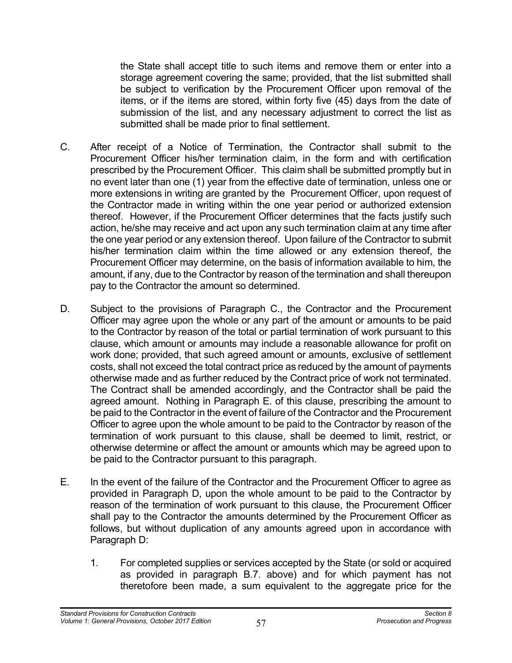the State shall accept title to such items and remove them or enter into a storage agreement covering the same; provided, that the list submitted shall be subject to verification by the Procurement Officer upon removal of the items, or if the items are stored, within forty five (45) days from the date of submission of the list, and any necessary adjustment to correct the list as submitted shall be made prior to final settlement.

- C. After receipt of a Notice of Termination, the Contractor shall submit to the Procurement Officer his/her termination claim, in the form and with certification prescribed by the Procurement Officer. This claim shall be submitted promptly but in no event later than one (1) year from the effective date of termination, unless one or more extensions in writing are granted by the Procurement Officer, upon request of the Contractor made in writing within the one year period or authorized extension thereof. However, if the Procurement Officer determines that the facts justify such action, he/she may receive and act upon any such termination claim at any time after the one year period or any extension thereof. Upon failure of the Contractor to submit his/her termination claim within the time allowed or any extension thereof, the Procurement Officer may determine, on the basis of information available to him, the amount, if any, due to the Contractor by reason of the termination and shall thereupon pay to the Contractor the amount so determined.
- D. Subject to the provisions of Paragraph C., the Contractor and the Procurement Officer may agree upon the whole or any part of the amount or amounts to be paid to the Contractor by reason of the total or partial termination of work pursuant to this clause, which amount or amounts may include a reasonable allowance for profit on work done; provided, that such agreed amount or amounts, exclusive of settlement costs, shall not exceed the total contract price as reduced by the amount of payments otherwise made and as further reduced by the Contract price of work not terminated. The Contract shall be amended accordingly, and the Contractor shall be paid the agreed amount. Nothing in Paragraph E. of this clause, prescribing the amount to be paid to the Contractor in the event of failure of the Contractor and the Procurement Officer to agree upon the whole amount to be paid to the Contractor by reason of the termination of work pursuant to this clause, shall be deemed to limit, restrict, or otherwise determine or affect the amount or amounts which may be agreed upon to be paid to the Contractor pursuant to this paragraph.
- E. In the event of the failure of the Contractor and the Procurement Officer to agree as provided in Paragraph D, upon the whole amount to be paid to the Contractor by reason of the termination of work pursuant to this clause, the Procurement Officer shall pay to the Contractor the amounts determined by the Procurement Officer as follows, but without duplication of any amounts agreed upon in accordance with Paragraph D:
	- 1. For completed supplies or services accepted by the State (or sold or acquired as provided in paragraph B.7. above) and for which payment has not theretofore been made, a sum equivalent to the aggregate price for the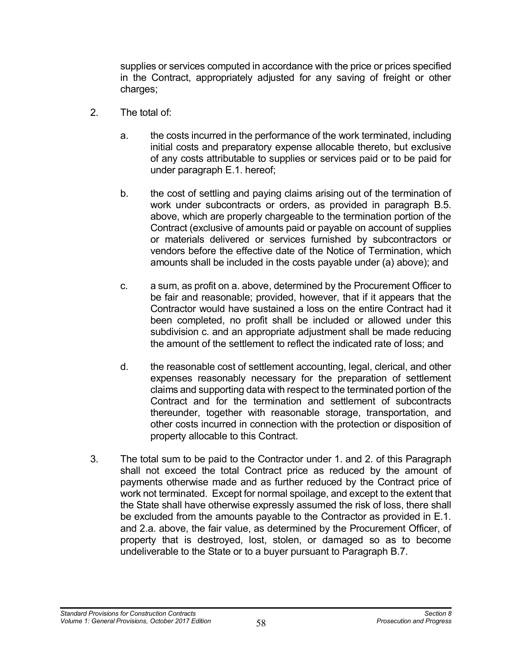supplies or services computed in accordance with the price or prices specified in the Contract, appropriately adjusted for any saving of freight or other charges;

- 2. The total of:
	- a. the costs incurred in the performance of the work terminated, including initial costs and preparatory expense allocable thereto, but exclusive of any costs attributable to supplies or services paid or to be paid for under paragraph E.1. hereof;
	- b. the cost of settling and paying claims arising out of the termination of work under subcontracts or orders, as provided in paragraph B.5. above, which are properly chargeable to the termination portion of the Contract (exclusive of amounts paid or payable on account of supplies or materials delivered or services furnished by subcontractors or vendors before the effective date of the Notice of Termination, which amounts shall be included in the costs payable under (a) above); and
	- c. a sum, as profit on a. above, determined by the Procurement Officer to be fair and reasonable; provided, however, that if it appears that the Contractor would have sustained a loss on the entire Contract had it been completed, no profit shall be included or allowed under this subdivision c. and an appropriate adjustment shall be made reducing the amount of the settlement to reflect the indicated rate of loss; and
	- d. the reasonable cost of settlement accounting, legal, clerical, and other expenses reasonably necessary for the preparation of settlement claims and supporting data with respect to the terminated portion of the Contract and for the termination and settlement of subcontracts thereunder, together with reasonable storage, transportation, and other costs incurred in connection with the protection or disposition of property allocable to this Contract.
- 3. The total sum to be paid to the Contractor under 1. and 2. of this Paragraph shall not exceed the total Contract price as reduced by the amount of payments otherwise made and as further reduced by the Contract price of work not terminated. Except for normal spoilage, and except to the extent that the State shall have otherwise expressly assumed the risk of loss, there shall be excluded from the amounts payable to the Contractor as provided in E.1. and 2.a. above, the fair value, as determined by the Procurement Officer, of property that is destroyed, lost, stolen, or damaged so as to become undeliverable to the State or to a buyer pursuant to Paragraph B.7.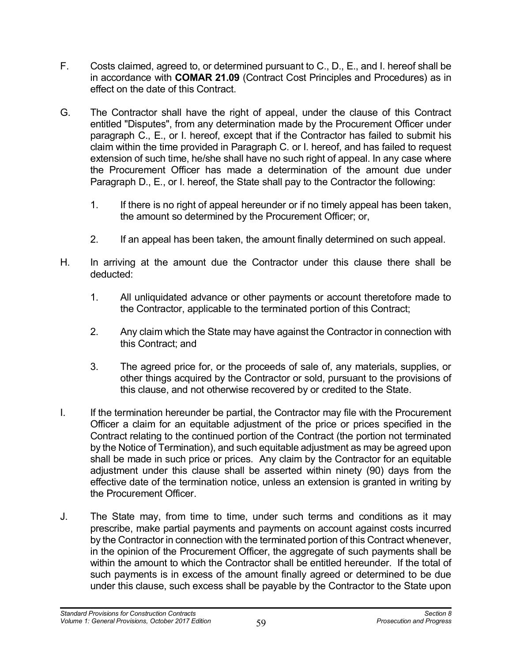- F. Costs claimed, agreed to, or determined pursuant to C., D., E., and I. hereof shall be in accordance with **COMAR 21.09** (Contract Cost Principles and Procedures) as in effect on the date of this Contract.
- G. The Contractor shall have the right of appeal, under the clause of this Contract entitled "Disputes", from any determination made by the Procurement Officer under paragraph C., E., or I. hereof, except that if the Contractor has failed to submit his claim within the time provided in Paragraph C. or I. hereof, and has failed to request extension of such time, he/she shall have no such right of appeal. In any case where the Procurement Officer has made a determination of the amount due under Paragraph D., E., or I. hereof, the State shall pay to the Contractor the following:
	- 1. If there is no right of appeal hereunder or if no timely appeal has been taken, the amount so determined by the Procurement Officer; or,
	- 2. If an appeal has been taken, the amount finally determined on such appeal.
- H. In arriving at the amount due the Contractor under this clause there shall be deducted:
	- 1. All unliquidated advance or other payments or account theretofore made to the Contractor, applicable to the terminated portion of this Contract;
	- 2. Any claim which the State may have against the Contractor in connection with this Contract; and
	- 3. The agreed price for, or the proceeds of sale of, any materials, supplies, or other things acquired by the Contractor or sold, pursuant to the provisions of this clause, and not otherwise recovered by or credited to the State.
- I. If the termination hereunder be partial, the Contractor may file with the Procurement Officer a claim for an equitable adjustment of the price or prices specified in the Contract relating to the continued portion of the Contract (the portion not terminated by the Notice of Termination), and such equitable adjustment as may be agreed upon shall be made in such price or prices. Any claim by the Contractor for an equitable adjustment under this clause shall be asserted within ninety (90) days from the effective date of the termination notice, unless an extension is granted in writing by the Procurement Officer.
- J. The State may, from time to time, under such terms and conditions as it may prescribe, make partial payments and payments on account against costs incurred by the Contractor in connection with the terminated portion of this Contract whenever, in the opinion of the Procurement Officer, the aggregate of such payments shall be within the amount to which the Contractor shall be entitled hereunder. If the total of such payments is in excess of the amount finally agreed or determined to be due under this clause, such excess shall be payable by the Contractor to the State upon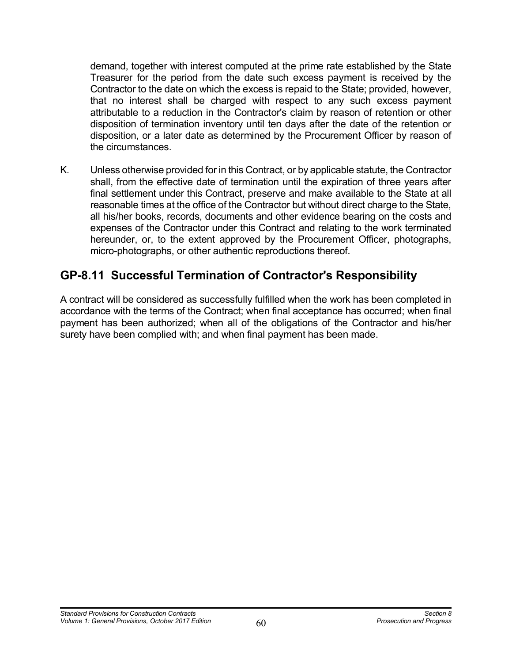demand, together with interest computed at the prime rate established by the State Treasurer for the period from the date such excess payment is received by the Contractor to the date on which the excess is repaid to the State; provided, however, that no interest shall be charged with respect to any such excess payment attributable to a reduction in the Contractor's claim by reason of retention or other disposition of termination inventory until ten days after the date of the retention or disposition, or a later date as determined by the Procurement Officer by reason of the circumstances.

K. Unless otherwise provided for in this Contract, or by applicable statute, the Contractor shall, from the effective date of termination until the expiration of three years after final settlement under this Contract, preserve and make available to the State at all reasonable times at the office of the Contractor but without direct charge to the State, all his/her books, records, documents and other evidence bearing on the costs and expenses of the Contractor under this Contract and relating to the work terminated hereunder, or, to the extent approved by the Procurement Officer, photographs, micro-photographs, or other authentic reproductions thereof.

### **GP-8.11 Successful Termination of Contractor's Responsibility**

A contract will be considered as successfully fulfilled when the work has been completed in accordance with the terms of the Contract; when final acceptance has occurred; when final payment has been authorized; when all of the obligations of the Contractor and his/her surety have been complied with; and when final payment has been made.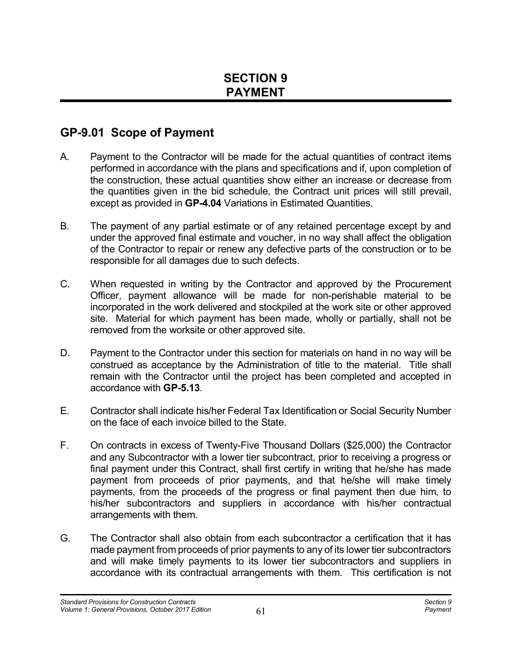### **SECTION 9 PAYMENT**

#### **GP-9.01 Scope of Payment**

- A. Payment to the Contractor will be made for the actual quantities of contract items performed in accordance with the plans and specifications and if, upon completion of the construction, these actual quantities show either an increase or decrease from the quantities given in the bid schedule, the Contract unit prices will still prevail, except as provided in **GP-4.04** Variations in Estimated Quantities.
- B. The payment of any partial estimate or of any retained percentage except by and under the approved final estimate and voucher, in no way shall affect the obligation of the Contractor to repair or renew any defective parts of the construction or to be responsible for all damages due to such defects.
- C. When requested in writing by the Contractor and approved by the Procurement Officer, payment allowance will be made for non-perishable material to be incorporated in the work delivered and stockpiled at the work site or other approved site. Material for which payment has been made, wholly or partially, shall not be removed from the worksite or other approved site.
- D. Payment to the Contractor under this section for materials on hand in no way will be construed as acceptance by the Administration of title to the material. Title shall remain with the Contractor until the project has been completed and accepted in accordance with **GP-5.13**.
- E. Contractor shall indicate his/her Federal Tax Identification or Social Security Number on the face of each invoice billed to the State.
- F. On contracts in excess of Twenty-Five Thousand Dollars (\$25,000) the Contractor and any Subcontractor with a lower tier subcontract, prior to receiving a progress or final payment under this Contract, shall first certify in writing that he/she has made payment from proceeds of prior payments, and that he/she will make timely payments, from the proceeds of the progress or final payment then due him, to his/her subcontractors and suppliers in accordance with his/her contractual arrangements with them.
- G. The Contractor shall also obtain from each subcontractor a certification that it has made payment from proceeds of prior payments to any of its lower tier subcontractors and will make timely payments to its lower tier subcontractors and suppliers in accordance with its contractual arrangements with them. This certification is not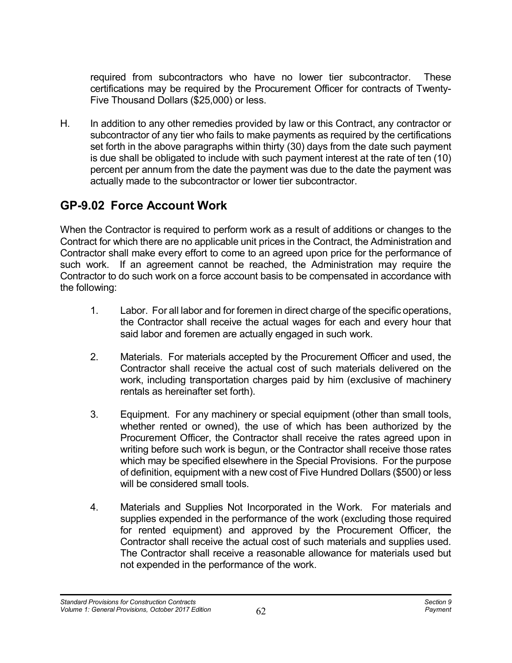required from subcontractors who have no lower tier subcontractor. These certifications may be required by the Procurement Officer for contracts of Twenty-Five Thousand Dollars (\$25,000) or less.

H. In addition to any other remedies provided by law or this Contract, any contractor or subcontractor of any tier who fails to make payments as required by the certifications set forth in the above paragraphs within thirty (30) days from the date such payment is due shall be obligated to include with such payment interest at the rate of ten (10) percent per annum from the date the payment was due to the date the payment was actually made to the subcontractor or lower tier subcontractor.

### **GP-9.02 Force Account Work**

When the Contractor is required to perform work as a result of additions or changes to the Contract for which there are no applicable unit prices in the Contract, the Administration and Contractor shall make every effort to come to an agreed upon price for the performance of such work. If an agreement cannot be reached, the Administration may require the Contractor to do such work on a force account basis to be compensated in accordance with the following:

- 1. Labor. For all labor and for foremen in direct charge of the specific operations, the Contractor shall receive the actual wages for each and every hour that said labor and foremen are actually engaged in such work.
- 2. Materials. For materials accepted by the Procurement Officer and used, the Contractor shall receive the actual cost of such materials delivered on the work, including transportation charges paid by him (exclusive of machinery rentals as hereinafter set forth).
- 3. Equipment. For any machinery or special equipment (other than small tools, whether rented or owned), the use of which has been authorized by the Procurement Officer, the Contractor shall receive the rates agreed upon in writing before such work is begun, or the Contractor shall receive those rates which may be specified elsewhere in the Special Provisions. For the purpose of definition, equipment with a new cost of Five Hundred Dollars (\$500) or less will be considered small tools.
- 4. Materials and Supplies Not Incorporated in the Work. For materials and supplies expended in the performance of the work (excluding those required for rented equipment) and approved by the Procurement Officer, the Contractor shall receive the actual cost of such materials and supplies used. The Contractor shall receive a reasonable allowance for materials used but not expended in the performance of the work.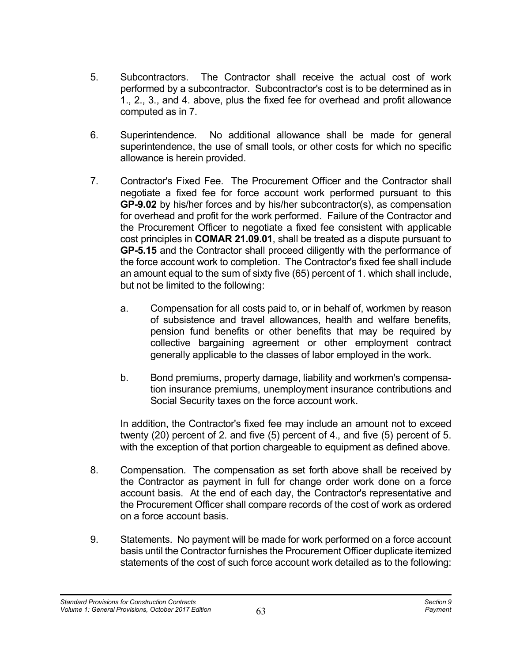- 5. Subcontractors. The Contractor shall receive the actual cost of work performed by a subcontractor. Subcontractor's cost is to be determined as in 1., 2., 3., and 4. above, plus the fixed fee for overhead and profit allowance computed as in 7.
- 6. Superintendence. No additional allowance shall be made for general superintendence, the use of small tools, or other costs for which no specific allowance is herein provided.
- 7. Contractor's Fixed Fee. The Procurement Officer and the Contractor shall negotiate a fixed fee for force account work performed pursuant to this **GP-9.02** by his/her forces and by his/her subcontractor(s), as compensation for overhead and profit for the work performed. Failure of the Contractor and the Procurement Officer to negotiate a fixed fee consistent with applicable cost principles in **COMAR 21.09.01**, shall be treated as a dispute pursuant to **GP-5.15** and the Contractor shall proceed diligently with the performance of the force account work to completion. The Contractor's fixed fee shall include an amount equal to the sum of sixty five (65) percent of 1. which shall include, but not be limited to the following:
	- a. Compensation for all costs paid to, or in behalf of, workmen by reason of subsistence and travel allowances, health and welfare benefits, pension fund benefits or other benefits that may be required by collective bargaining agreement or other employment contract generally applicable to the classes of labor employed in the work.
	- b. Bond premiums, property damage, liability and workmen's compensation insurance premiums, unemployment insurance contributions and Social Security taxes on the force account work.

In addition, the Contractor's fixed fee may include an amount not to exceed twenty (20) percent of 2. and five (5) percent of 4., and five (5) percent of 5. with the exception of that portion chargeable to equipment as defined above.

- 8. Compensation. The compensation as set forth above shall be received by the Contractor as payment in full for change order work done on a force account basis. At the end of each day, the Contractor's representative and the Procurement Officer shall compare records of the cost of work as ordered on a force account basis.
- 9. Statements. No payment will be made for work performed on a force account basis until the Contractor furnishes the Procurement Officer duplicate itemized statements of the cost of such force account work detailed as to the following: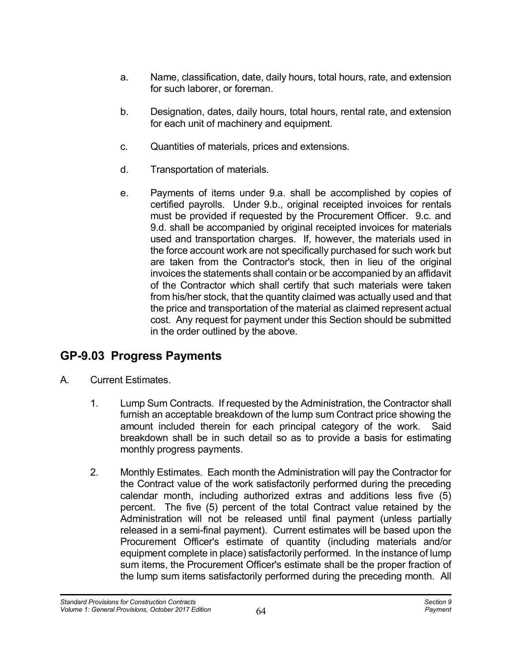- a. Name, classification, date, daily hours, total hours, rate, and extension for such laborer, or foreman.
- b. Designation, dates, daily hours, total hours, rental rate, and extension for each unit of machinery and equipment.
- c. Quantities of materials, prices and extensions.
- d. Transportation of materials.
- e. Payments of items under 9.a. shall be accomplished by copies of certified payrolls. Under 9.b., original receipted invoices for rentals must be provided if requested by the Procurement Officer. 9.c. and 9.d. shall be accompanied by original receipted invoices for materials used and transportation charges. If, however, the materials used in the force account work are not specifically purchased for such work but are taken from the Contractor's stock, then in lieu of the original invoices the statements shall contain or be accompanied by an affidavit of the Contractor which shall certify that such materials were taken from his/her stock, that the quantity claimed was actually used and that the price and transportation of the material as claimed represent actual cost. Any request for payment under this Section should be submitted in the order outlined by the above.

# **GP-9.03 Progress Payments**

- A. Current Estimates.
	- 1. Lump Sum Contracts. If requested by the Administration, the Contractor shall furnish an acceptable breakdown of the lump sum Contract price showing the amount included therein for each principal category of the work. Said breakdown shall be in such detail so as to provide a basis for estimating monthly progress payments.
	- 2. Monthly Estimates. Each month the Administration will pay the Contractor for the Contract value of the work satisfactorily performed during the preceding calendar month, including authorized extras and additions less five (5) percent. The five (5) percent of the total Contract value retained by the Administration will not be released until final payment (unless partially released in a semi-final payment). Current estimates will be based upon the Procurement Officer's estimate of quantity (including materials and/or equipment complete in place) satisfactorily performed. In the instance of lump sum items, the Procurement Officer's estimate shall be the proper fraction of the lump sum items satisfactorily performed during the preceding month. All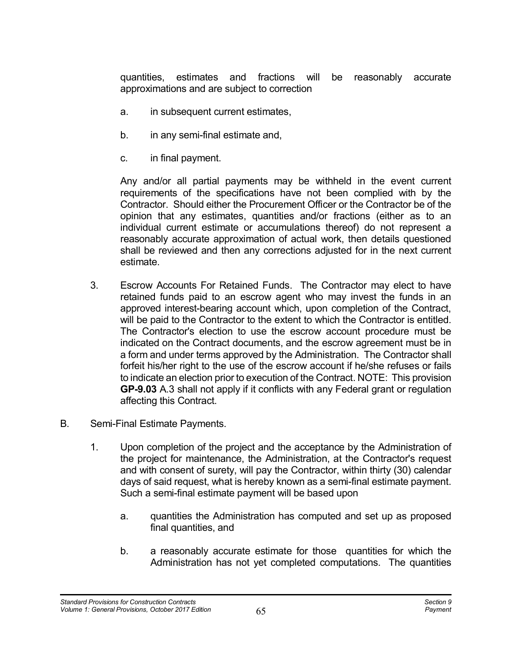quantities, estimates and fractions will be reasonably accurate approximations and are subject to correction

- a. in subsequent current estimates,
- b. in any semi-final estimate and,
- c. in final payment.

Any and/or all partial payments may be withheld in the event current requirements of the specifications have not been complied with by the Contractor. Should either the Procurement Officer or the Contractor be of the opinion that any estimates, quantities and/or fractions (either as to an individual current estimate or accumulations thereof) do not represent a reasonably accurate approximation of actual work, then details questioned shall be reviewed and then any corrections adjusted for in the next current estimate.

- 3. Escrow Accounts For Retained Funds. The Contractor may elect to have retained funds paid to an escrow agent who may invest the funds in an approved interest-bearing account which, upon completion of the Contract, will be paid to the Contractor to the extent to which the Contractor is entitled. The Contractor's election to use the escrow account procedure must be indicated on the Contract documents, and the escrow agreement must be in a form and under terms approved by the Administration. The Contractor shall forfeit his/her right to the use of the escrow account if he/she refuses or fails to indicate an election prior to execution of the Contract. NOTE: This provision **GP-9.03** A.3 shall not apply if it conflicts with any Federal grant or regulation affecting this Contract.
- B. Semi-Final Estimate Payments.
	- 1. Upon completion of the project and the acceptance by the Administration of the project for maintenance, the Administration, at the Contractor's request and with consent of surety, will pay the Contractor, within thirty (30) calendar days of said request, what is hereby known as a semi-final estimate payment. Such a semi-final estimate payment will be based upon
		- a. quantities the Administration has computed and set up as proposed final quantities, and
		- b. a reasonably accurate estimate for those quantities for which the Administration has not yet completed computations. The quantities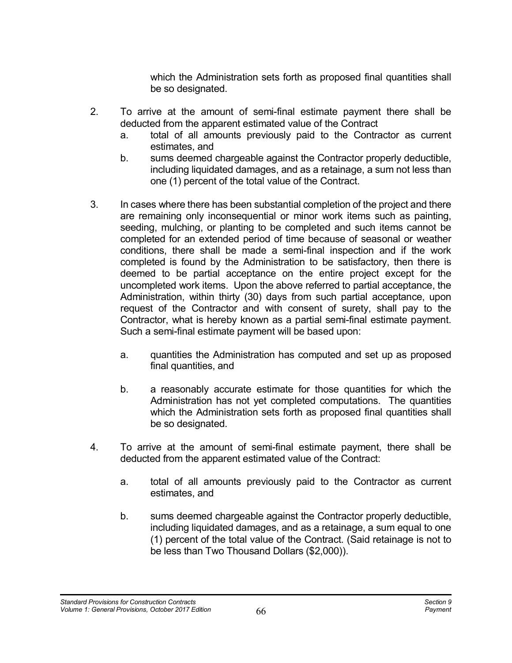which the Administration sets forth as proposed final quantities shall be so designated.

- 2. To arrive at the amount of semi-final estimate payment there shall be deducted from the apparent estimated value of the Contract
	- a. total of all amounts previously paid to the Contractor as current estimates, and
	- b. sums deemed chargeable against the Contractor properly deductible, including liquidated damages, and as a retainage, a sum not less than one (1) percent of the total value of the Contract.
- 3. In cases where there has been substantial completion of the project and there are remaining only inconsequential or minor work items such as painting, seeding, mulching, or planting to be completed and such items cannot be completed for an extended period of time because of seasonal or weather conditions, there shall be made a semi-final inspection and if the work completed is found by the Administration to be satisfactory, then there is deemed to be partial acceptance on the entire project except for the uncompleted work items. Upon the above referred to partial acceptance, the Administration, within thirty (30) days from such partial acceptance, upon request of the Contractor and with consent of surety, shall pay to the Contractor, what is hereby known as a partial semi-final estimate payment. Such a semi-final estimate payment will be based upon:
	- a. quantities the Administration has computed and set up as proposed final quantities, and
	- b. a reasonably accurate estimate for those quantities for which the Administration has not yet completed computations. The quantities which the Administration sets forth as proposed final quantities shall be so designated.
- 4. To arrive at the amount of semi-final estimate payment, there shall be deducted from the apparent estimated value of the Contract:
	- a. total of all amounts previously paid to the Contractor as current estimates, and
	- b. sums deemed chargeable against the Contractor properly deductible, including liquidated damages, and as a retainage, a sum equal to one (1) percent of the total value of the Contract. (Said retainage is not to be less than Two Thousand Dollars (\$2,000)).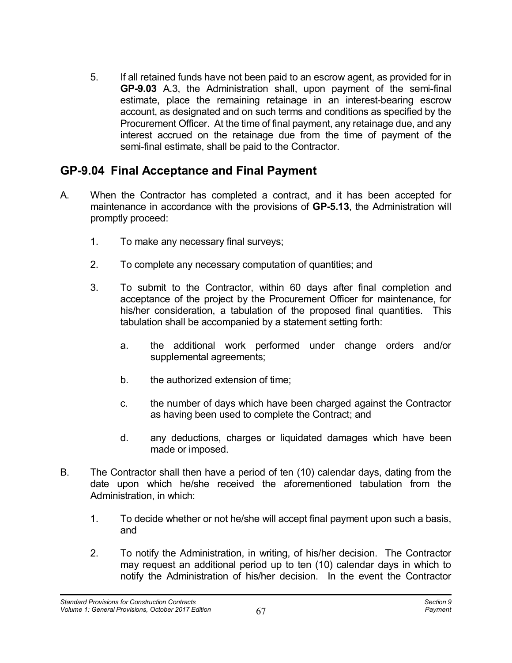5. If all retained funds have not been paid to an escrow agent, as provided for in **GP-9.03** A.3, the Administration shall, upon payment of the semi-final estimate, place the remaining retainage in an interest-bearing escrow account, as designated and on such terms and conditions as specified by the Procurement Officer. At the time of final payment, any retainage due, and any interest accrued on the retainage due from the time of payment of the semi-final estimate, shall be paid to the Contractor.

## **GP-9.04 Final Acceptance and Final Payment**

- A. When the Contractor has completed a contract, and it has been accepted for maintenance in accordance with the provisions of **GP-5.13**, the Administration will promptly proceed:
	- 1. To make any necessary final surveys;
	- 2. To complete any necessary computation of quantities; and
	- 3. To submit to the Contractor, within 60 days after final completion and acceptance of the project by the Procurement Officer for maintenance, for his/her consideration, a tabulation of the proposed final quantities. This tabulation shall be accompanied by a statement setting forth:
		- a. the additional work performed under change orders and/or supplemental agreements;
		- b. the authorized extension of time;
		- c. the number of days which have been charged against the Contractor as having been used to complete the Contract; and
		- d. any deductions, charges or liquidated damages which have been made or imposed.
- B. The Contractor shall then have a period of ten (10) calendar days, dating from the date upon which he/she received the aforementioned tabulation from the Administration, in which:
	- 1. To decide whether or not he/she will accept final payment upon such a basis, and
	- 2. To notify the Administration, in writing, of his/her decision. The Contractor may request an additional period up to ten (10) calendar days in which to notify the Administration of his/her decision. In the event the Contractor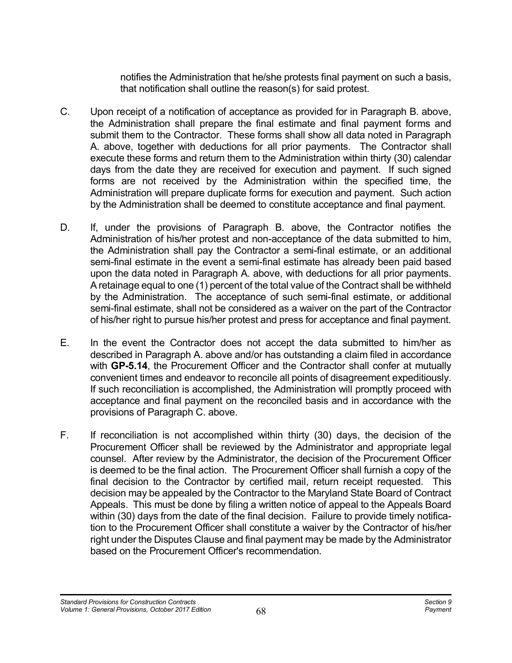notifies the Administration that he/she protests final payment on such a basis, that notification shall outline the reason(s) for said protest.

- C. Upon receipt of a notification of acceptance as provided for in Paragraph B. above, the Administration shall prepare the final estimate and final payment forms and submit them to the Contractor. These forms shall show all data noted in Paragraph A. above, together with deductions for all prior payments. The Contractor shall execute these forms and return them to the Administration within thirty (30) calendar days from the date they are received for execution and payment. If such signed forms are not received by the Administration within the specified time, the Administration will prepare duplicate forms for execution and payment. Such action by the Administration shall be deemed to constitute acceptance and final payment.
- D. If, under the provisions of Paragraph B. above, the Contractor notifies the Administration of his/her protest and non-acceptance of the data submitted to him, the Administration shall pay the Contractor a semi-final estimate, or an additional semi-final estimate in the event a semi-final estimate has already been paid based upon the data noted in Paragraph A. above, with deductions for all prior payments. A retainage equal to one (1) percent of the total value of the Contract shall be withheld by the Administration. The acceptance of such semi-final estimate, or additional semi-final estimate, shall not be considered as a waiver on the part of the Contractor of his/her right to pursue his/her protest and press for acceptance and final payment.
- E. In the event the Contractor does not accept the data submitted to him/her as described in Paragraph A. above and/or has outstanding a claim filed in accordance with **GP-5.14**, the Procurement Officer and the Contractor shall confer at mutually convenient times and endeavor to reconcile all points of disagreement expeditiously. If such reconciliation is accomplished, the Administration will promptly proceed with acceptance and final payment on the reconciled basis and in accordance with the provisions of Paragraph C. above.
- F. If reconciliation is not accomplished within thirty (30) days, the decision of the Procurement Officer shall be reviewed by the Administrator and appropriate legal counsel. After review by the Administrator, the decision of the Procurement Officer is deemed to be the final action. The Procurement Officer shall furnish a copy of the final decision to the Contractor by certified mail, return receipt requested. This decision may be appealed by the Contractor to the Maryland State Board of Contract Appeals. This must be done by filing a written notice of appeal to the Appeals Board within (30) days from the date of the final decision. Failure to provide timely notification to the Procurement Officer shall constitute a waiver by the Contractor of his/her right under the Disputes Clause and final payment may be made by the Administrator based on the Procurement Officer's recommendation.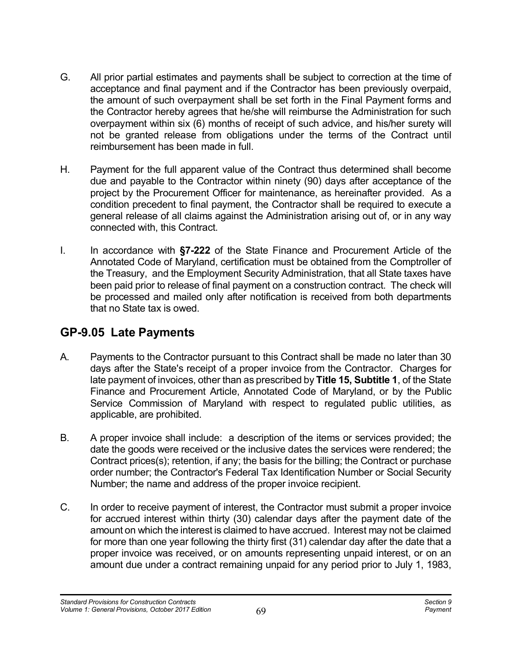- G. All prior partial estimates and payments shall be subject to correction at the time of acceptance and final payment and if the Contractor has been previously overpaid, the amount of such overpayment shall be set forth in the Final Payment forms and the Contractor hereby agrees that he/she will reimburse the Administration for such overpayment within six (6) months of receipt of such advice, and his/her surety will not be granted release from obligations under the terms of the Contract until reimbursement has been made in full.
- H. Payment for the full apparent value of the Contract thus determined shall become due and payable to the Contractor within ninety (90) days after acceptance of the project by the Procurement Officer for maintenance, as hereinafter provided. As a condition precedent to final payment, the Contractor shall be required to execute a general release of all claims against the Administration arising out of, or in any way connected with, this Contract.
- I. In accordance with **§7-222** of the State Finance and Procurement Article of the Annotated Code of Maryland, certification must be obtained from the Comptroller of the Treasury, and the Employment Security Administration, that all State taxes have been paid prior to release of final payment on a construction contract. The check will be processed and mailed only after notification is received from both departments that no State tax is owed.

## **GP-9.05 Late Payments**

- A. Payments to the Contractor pursuant to this Contract shall be made no later than 30 days after the State's receipt of a proper invoice from the Contractor. Charges for late payment of invoices, other than as prescribed by **Title 15, Subtitle 1**, of the State Finance and Procurement Article, Annotated Code of Maryland, or by the Public Service Commission of Maryland with respect to regulated public utilities, as applicable, are prohibited.
- B. A proper invoice shall include: a description of the items or services provided; the date the goods were received or the inclusive dates the services were rendered; the Contract prices(s); retention, if any; the basis for the billing; the Contract or purchase order number; the Contractor's Federal Tax Identification Number or Social Security Number; the name and address of the proper invoice recipient.
- C. In order to receive payment of interest, the Contractor must submit a proper invoice for accrued interest within thirty (30) calendar days after the payment date of the amount on which the interest is claimed to have accrued. Interest may not be claimed for more than one year following the thirty first (31) calendar day after the date that a proper invoice was received, or on amounts representing unpaid interest, or on an amount due under a contract remaining unpaid for any period prior to July 1, 1983,